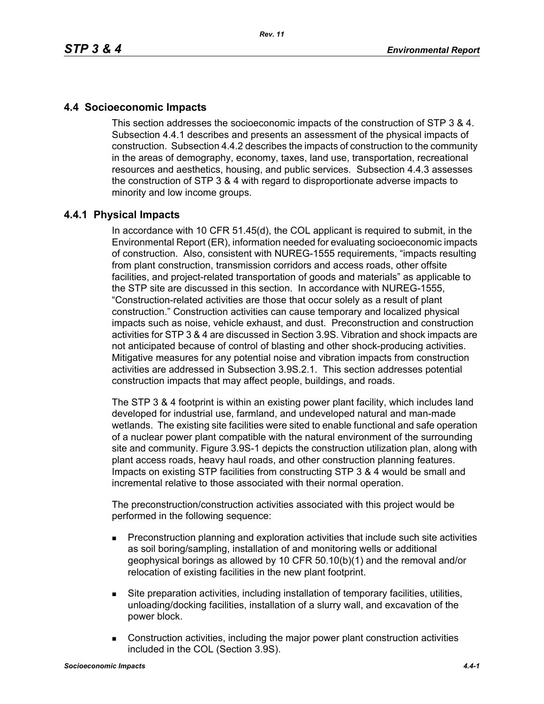## **4.4 Socioeconomic Impacts**

This section addresses the socioeconomic impacts of the construction of STP 3 & 4. Subsection 4.4.1 describes and presents an assessment of the physical impacts of construction. Subsection 4.4.2 describes the impacts of construction to the community in the areas of demography, economy, taxes, land use, transportation, recreational resources and aesthetics, housing, and public services. Subsection 4.4.3 assesses the construction of STP 3 & 4 with regard to disproportionate adverse impacts to minority and low income groups.

## **4.4.1 Physical Impacts**

In accordance with 10 CFR 51.45(d), the COL applicant is required to submit, in the Environmental Report (ER), information needed for evaluating socioeconomic impacts of construction. Also, consistent with NUREG-1555 requirements, "impacts resulting from plant construction, transmission corridors and access roads, other offsite facilities, and project-related transportation of goods and materials" as applicable to the STP site are discussed in this section. In accordance with NUREG-1555, "Construction-related activities are those that occur solely as a result of plant construction." Construction activities can cause temporary and localized physical impacts such as noise, vehicle exhaust, and dust. Preconstruction and construction activities for STP 3 & 4 are discussed in Section 3.9S. Vibration and shock impacts are not anticipated because of control of blasting and other shock-producing activities. Mitigative measures for any potential noise and vibration impacts from construction activities are addressed in Subsection 3.9S.2.1. This section addresses potential construction impacts that may affect people, buildings, and roads.

The STP 3 & 4 footprint is within an existing power plant facility, which includes land developed for industrial use, farmland, and undeveloped natural and man-made wetlands. The existing site facilities were sited to enable functional and safe operation of a nuclear power plant compatible with the natural environment of the surrounding site and community. Figure 3.9S-1 depicts the construction utilization plan, along with plant access roads, heavy haul roads, and other construction planning features. Impacts on existing STP facilities from constructing STP 3 & 4 would be small and incremental relative to those associated with their normal operation.

The preconstruction/construction activities associated with this project would be performed in the following sequence:

- **Preconstruction planning and exploration activities that include such site activities** as soil boring/sampling, installation of and monitoring wells or additional geophysical borings as allowed by 10 CFR 50.10(b)(1) and the removal and/or relocation of existing facilities in the new plant footprint.
- Site preparation activities, including installation of temporary facilities, utilities, unloading/docking facilities, installation of a slurry wall, and excavation of the power block.
- Construction activities, including the major power plant construction activities included in the COL (Section 3.9S).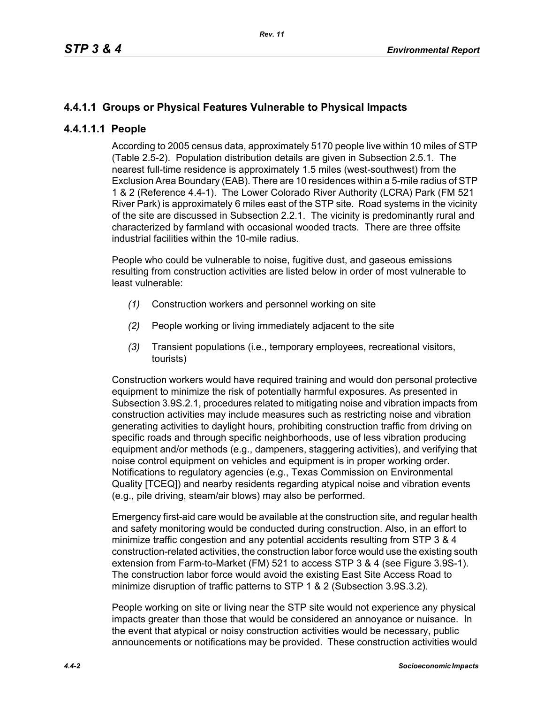# **4.4.1.1 Groups or Physical Features Vulnerable to Physical Impacts**

## **4.4.1.1.1 People**

According to 2005 census data, approximately 5170 people live within 10 miles of STP (Table 2.5-2). Population distribution details are given in Subsection 2.5.1. The nearest full-time residence is approximately 1.5 miles (west-southwest) from the Exclusion Area Boundary (EAB). There are 10 residences within a 5-mile radius of STP 1 & 2 (Reference 4.4-1). The Lower Colorado River Authority (LCRA) Park (FM 521 River Park) is approximately 6 miles east of the STP site. Road systems in the vicinity of the site are discussed in Subsection 2.2.1. The vicinity is predominantly rural and characterized by farmland with occasional wooded tracts. There are three offsite industrial facilities within the 10-mile radius.

People who could be vulnerable to noise, fugitive dust, and gaseous emissions resulting from construction activities are listed below in order of most vulnerable to least vulnerable:

- *(1)* Construction workers and personnel working on site
- *(2)* People working or living immediately adjacent to the site
- *(3)* Transient populations (i.e., temporary employees, recreational visitors, tourists)

Construction workers would have required training and would don personal protective equipment to minimize the risk of potentially harmful exposures. As presented in Subsection 3.9S.2.1, procedures related to mitigating noise and vibration impacts from construction activities may include measures such as restricting noise and vibration generating activities to daylight hours, prohibiting construction traffic from driving on specific roads and through specific neighborhoods, use of less vibration producing equipment and/or methods (e.g., dampeners, staggering activities), and verifying that noise control equipment on vehicles and equipment is in proper working order. Notifications to regulatory agencies (e.g., Texas Commission on Environmental Quality [TCEQ]) and nearby residents regarding atypical noise and vibration events (e.g., pile driving, steam/air blows) may also be performed.

Emergency first-aid care would be available at the construction site, and regular health and safety monitoring would be conducted during construction. Also, in an effort to minimize traffic congestion and any potential accidents resulting from STP 3 & 4 construction-related activities, the construction labor force would use the existing south extension from Farm-to-Market (FM) 521 to access STP 3 & 4 (see Figure 3.9S-1). The construction labor force would avoid the existing East Site Access Road to minimize disruption of traffic patterns to STP 1 & 2 (Subsection 3.9S.3.2).

People working on site or living near the STP site would not experience any physical impacts greater than those that would be considered an annoyance or nuisance. In the event that atypical or noisy construction activities would be necessary, public announcements or notifications may be provided. These construction activities would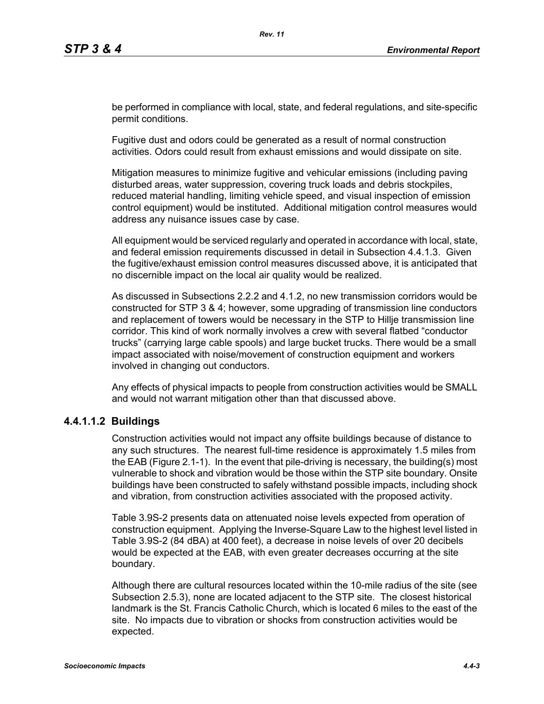be performed in compliance with local, state, and federal regulations, and site-specific permit conditions.

Fugitive dust and odors could be generated as a result of normal construction activities. Odors could result from exhaust emissions and would dissipate on site.

Mitigation measures to minimize fugitive and vehicular emissions (including paving disturbed areas, water suppression, covering truck loads and debris stockpiles, reduced material handling, limiting vehicle speed, and visual inspection of emission control equipment) would be instituted. Additional mitigation control measures would address any nuisance issues case by case.

All equipment would be serviced regularly and operated in accordance with local, state, and federal emission requirements discussed in detail in Subsection 4.4.1.3. Given the fugitive/exhaust emission control measures discussed above, it is anticipated that no discernible impact on the local air quality would be realized.

As discussed in Subsections 2.2.2 and 4.1.2, no new transmission corridors would be constructed for STP 3 & 4; however, some upgrading of transmission line conductors and replacement of towers would be necessary in the STP to Hillje transmission line corridor. This kind of work normally involves a crew with several flatbed "conductor trucks" (carrying large cable spools) and large bucket trucks. There would be a small impact associated with noise/movement of construction equipment and workers involved in changing out conductors.

Any effects of physical impacts to people from construction activities would be SMALL and would not warrant mitigation other than that discussed above.

## **4.4.1.1.2 Buildings**

Construction activities would not impact any offsite buildings because of distance to any such structures. The nearest full-time residence is approximately 1.5 miles from the EAB (Figure 2.1-1). In the event that pile-driving is necessary, the building(s) most vulnerable to shock and vibration would be those within the STP site boundary. Onsite buildings have been constructed to safely withstand possible impacts, including shock and vibration, from construction activities associated with the proposed activity.

Table 3.9S-2 presents data on attenuated noise levels expected from operation of construction equipment. Applying the Inverse-Square Law to the highest level listed in Table 3.9S-2 (84 dBA) at 400 feet), a decrease in noise levels of over 20 decibels would be expected at the EAB, with even greater decreases occurring at the site boundary.

Although there are cultural resources located within the 10-mile radius of the site (see Subsection 2.5.3), none are located adjacent to the STP site. The closest historical landmark is the St. Francis Catholic Church, which is located 6 miles to the east of the site. No impacts due to vibration or shocks from construction activities would be expected.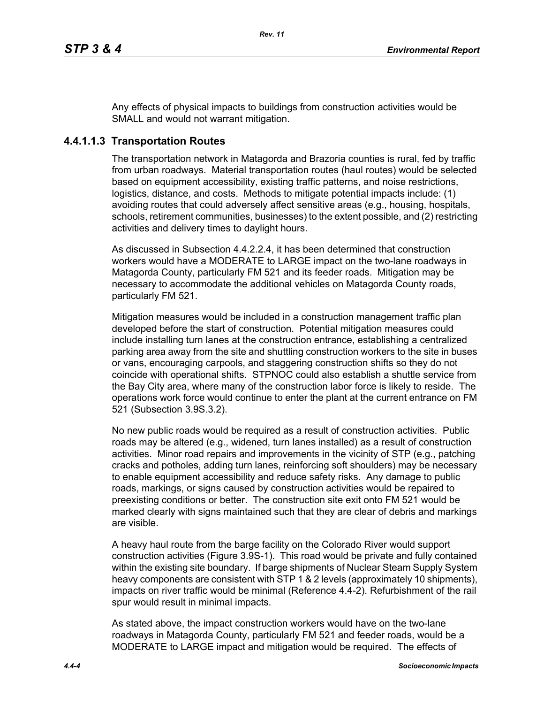Any effects of physical impacts to buildings from construction activities would be SMALL and would not warrant mitigation.

# **4.4.1.1.3 Transportation Routes**

The transportation network in Matagorda and Brazoria counties is rural, fed by traffic from urban roadways. Material transportation routes (haul routes) would be selected based on equipment accessibility, existing traffic patterns, and noise restrictions, logistics, distance, and costs. Methods to mitigate potential impacts include: (1) avoiding routes that could adversely affect sensitive areas (e.g., housing, hospitals, schools, retirement communities, businesses) to the extent possible, and (2) restricting activities and delivery times to daylight hours.

As discussed in Subsection 4.4.2.2.4, it has been determined that construction workers would have a MODERATE to LARGE impact on the two-lane roadways in Matagorda County, particularly FM 521 and its feeder roads. Mitigation may be necessary to accommodate the additional vehicles on Matagorda County roads, particularly FM 521.

Mitigation measures would be included in a construction management traffic plan developed before the start of construction. Potential mitigation measures could include installing turn lanes at the construction entrance, establishing a centralized parking area away from the site and shuttling construction workers to the site in buses or vans, encouraging carpools, and staggering construction shifts so they do not coincide with operational shifts. STPNOC could also establish a shuttle service from the Bay City area, where many of the construction labor force is likely to reside. The operations work force would continue to enter the plant at the current entrance on FM 521 (Subsection 3.9S.3.2).

No new public roads would be required as a result of construction activities. Public roads may be altered (e.g., widened, turn lanes installed) as a result of construction activities. Minor road repairs and improvements in the vicinity of STP (e.g., patching cracks and potholes, adding turn lanes, reinforcing soft shoulders) may be necessary to enable equipment accessibility and reduce safety risks. Any damage to public roads, markings, or signs caused by construction activities would be repaired to preexisting conditions or better. The construction site exit onto FM 521 would be marked clearly with signs maintained such that they are clear of debris and markings are visible.

A heavy haul route from the barge facility on the Colorado River would support construction activities (Figure 3.9S-1). This road would be private and fully contained within the existing site boundary. If barge shipments of Nuclear Steam Supply System heavy components are consistent with STP 1 & 2 levels (approximately 10 shipments). impacts on river traffic would be minimal (Reference 4.4-2). Refurbishment of the rail spur would result in minimal impacts.

As stated above, the impact construction workers would have on the two-lane roadways in Matagorda County, particularly FM 521 and feeder roads, would be a MODERATE to LARGE impact and mitigation would be required. The effects of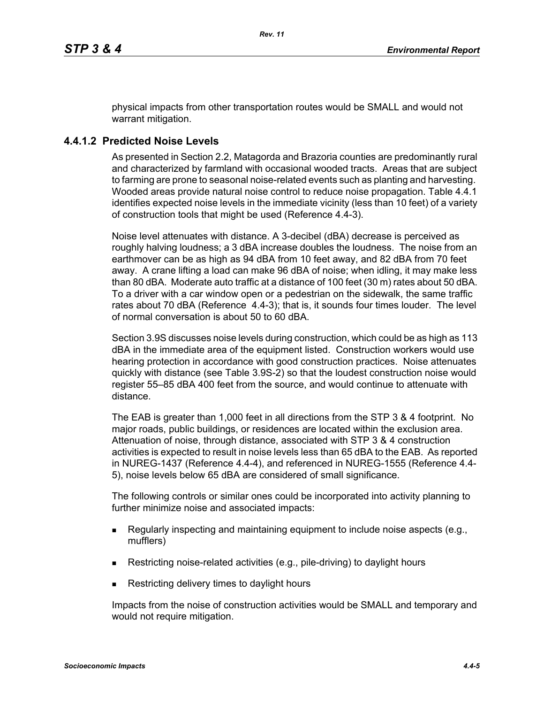physical impacts from other transportation routes would be SMALL and would not warrant mitigation.

## **4.4.1.2 Predicted Noise Levels**

As presented in Section 2.2, Matagorda and Brazoria counties are predominantly rural and characterized by farmland with occasional wooded tracts. Areas that are subject to farming are prone to seasonal noise-related events such as planting and harvesting. Wooded areas provide natural noise control to reduce noise propagation. Table 4.4.1 identifies expected noise levels in the immediate vicinity (less than 10 feet) of a variety of construction tools that might be used (Reference 4.4-3).

Noise level attenuates with distance. A 3-decibel (dBA) decrease is perceived as roughly halving loudness; a 3 dBA increase doubles the loudness. The noise from an earthmover can be as high as 94 dBA from 10 feet away, and 82 dBA from 70 feet away. A crane lifting a load can make 96 dBA of noise; when idling, it may make less than 80 dBA. Moderate auto traffic at a distance of 100 feet (30 m) rates about 50 dBA. To a driver with a car window open or a pedestrian on the sidewalk, the same traffic rates about 70 dBA (Reference 4.4-3); that is, it sounds four times louder. The level of normal conversation is about 50 to 60 dBA.

Section 3.9S discusses noise levels during construction, which could be as high as 113 dBA in the immediate area of the equipment listed. Construction workers would use hearing protection in accordance with good construction practices. Noise attenuates quickly with distance (see Table 3.9S-2) so that the loudest construction noise would register 55–85 dBA 400 feet from the source, and would continue to attenuate with distance.

The EAB is greater than 1,000 feet in all directions from the STP 3 & 4 footprint. No major roads, public buildings, or residences are located within the exclusion area. Attenuation of noise, through distance, associated with STP 3 & 4 construction activities is expected to result in noise levels less than 65 dBA to the EAB. As reported in NUREG-1437 (Reference 4.4-4), and referenced in NUREG-1555 (Reference 4.4- 5), noise levels below 65 dBA are considered of small significance.

The following controls or similar ones could be incorporated into activity planning to further minimize noise and associated impacts:

- Regularly inspecting and maintaining equipment to include noise aspects (e.g., mufflers)
- Restricting noise-related activities (e.g., pile-driving) to daylight hours
- Restricting delivery times to daylight hours

Impacts from the noise of construction activities would be SMALL and temporary and would not require mitigation.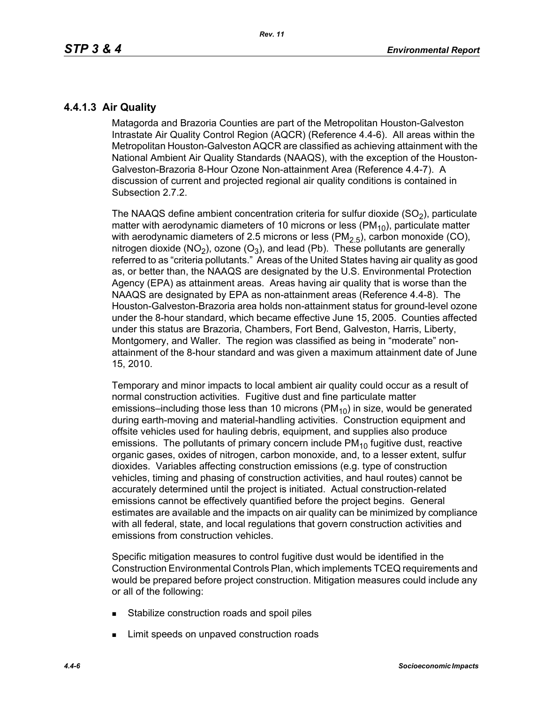## **4.4.1.3 Air Quality**

Matagorda and Brazoria Counties are part of the Metropolitan Houston-Galveston Intrastate Air Quality Control Region (AQCR) (Reference 4.4-6). All areas within the Metropolitan Houston-Galveston AQCR are classified as achieving attainment with the National Ambient Air Quality Standards (NAAQS), with the exception of the Houston-Galveston-Brazoria 8-Hour Ozone Non-attainment Area (Reference 4.4-7). A discussion of current and projected regional air quality conditions is contained in Subsection 2.7.2.

The NAAQS define ambient concentration criteria for sulfur dioxide  $(SO<sub>2</sub>)$ , particulate matter with aerodynamic diameters of 10 microns or less ( $PM_{10}$ ), particulate matter with aerodynamic diameters of 2.5 microns or less ( $PM<sub>2.5</sub>$ ), carbon monoxide (CO), nitrogen dioxide (NO<sub>2</sub>), ozone (O<sub>3</sub>), and lead (Pb). These pollutants are generally referred to as "criteria pollutants." Areas of the United States having air quality as good as, or better than, the NAAQS are designated by the U.S. Environmental Protection Agency (EPA) as attainment areas. Areas having air quality that is worse than the NAAQS are designated by EPA as non-attainment areas (Reference 4.4-8). The Houston-Galveston-Brazoria area holds non-attainment status for ground-level ozone under the 8-hour standard, which became effective June 15, 2005. Counties affected under this status are Brazoria, Chambers, Fort Bend, Galveston, Harris, Liberty, Montgomery, and Waller. The region was classified as being in "moderate" nonattainment of the 8-hour standard and was given a maximum attainment date of June 15, 2010.

Temporary and minor impacts to local ambient air quality could occur as a result of normal construction activities. Fugitive dust and fine particulate matter emissions–including those less than 10 microns  $(PM_{10})$  in size, would be generated during earth-moving and material-handling activities. Construction equipment and offsite vehicles used for hauling debris, equipment, and supplies also produce emissions. The pollutants of primary concern include  $PM_{10}$  fugitive dust, reactive organic gases, oxides of nitrogen, carbon monoxide, and, to a lesser extent, sulfur dioxides. Variables affecting construction emissions (e.g. type of construction vehicles, timing and phasing of construction activities, and haul routes) cannot be accurately determined until the project is initiated. Actual construction-related emissions cannot be effectively quantified before the project begins. General estimates are available and the impacts on air quality can be minimized by compliance with all federal, state, and local regulations that govern construction activities and emissions from construction vehicles.

Specific mitigation measures to control fugitive dust would be identified in the Construction Environmental Controls Plan, which implements TCEQ requirements and would be prepared before project construction. Mitigation measures could include any or all of the following:

- **Stabilize construction roads and spoil piles**
- **EXECUTE:** Limit speeds on unpaved construction roads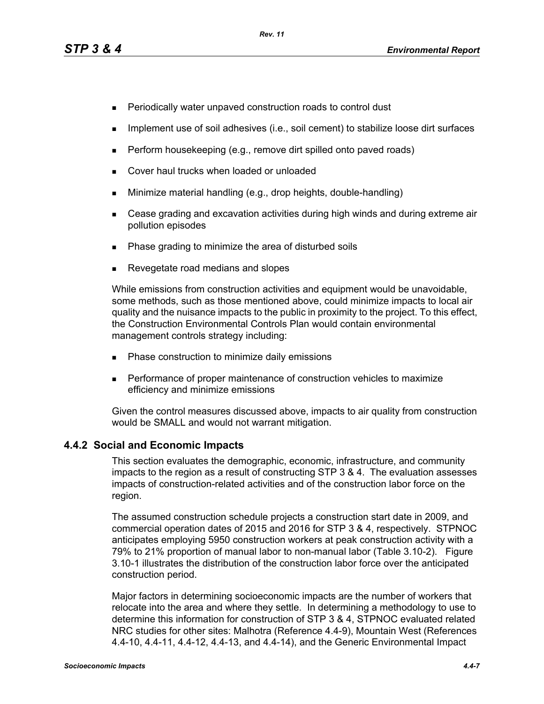- **Periodically water unpaved construction roads to control dust**
- **IMPLEMENT USE OF SOIL ADDES** (i.e., soil cement) to stabilize loose dirt surfaces
- $\blacksquare$  Perform housekeeping (e.g., remove dirt spilled onto paved roads)
- **Cover haul trucks when loaded or unloaded**
- **Minimize material handling (e.g., drop heights, double-handling)**
- Cease grading and excavation activities during high winds and during extreme air pollution episodes
- Phase grading to minimize the area of disturbed soils
- Revegetate road medians and slopes

While emissions from construction activities and equipment would be unavoidable, some methods, such as those mentioned above, could minimize impacts to local air quality and the nuisance impacts to the public in proximity to the project. To this effect, the Construction Environmental Controls Plan would contain environmental management controls strategy including:

- **Phase construction to minimize daily emissions**
- **Performance of proper maintenance of construction vehicles to maximize** efficiency and minimize emissions

[Given the control measures discussed above, impacts to air quality from construction](http://factfinder.census.gov/)  would be SMALL and would not warrant mitigation.

## **4.4.2 Social and Economic Impacts**

This section evaluates the demographic, economic, infrastructure, and community impacts to the region as a result of constructing STP 3 & 4. The evaluation assesses impacts of construction-related activities and of the construction labor force on the region.

The assumed construction schedule projects a construction start date in 2009, and commercial operation dates of 2015 and 2016 for STP 3 & 4, respectively. STPNOC anticipates employing 5950 construction workers at peak construction activity with a 79% to 21% proportion of manual labor to non-manual labor (Table 3.10-2). Figure 3.10-1 illustrates the distribution of the construction labor force over the anticipated construction period.

[Major factors in determining socioeconomic impacts are the number of workers that](http://factfinder.census.gov/)  relocate into the area and where they settle. In determining a methodology to use to determine this information for construction of STP 3 & 4, STPNOC evaluated related [NRC studies for other sites: Malhotra \(Reference 4.4-9\), Mountain West \(References](http://factfinder.census.gov/)  [4.4-10, 4.4-11, 4.4-12, 4.4-13, and 4.4-14\), and the Generic Environmental Impact](http://factfinder.census.gov/)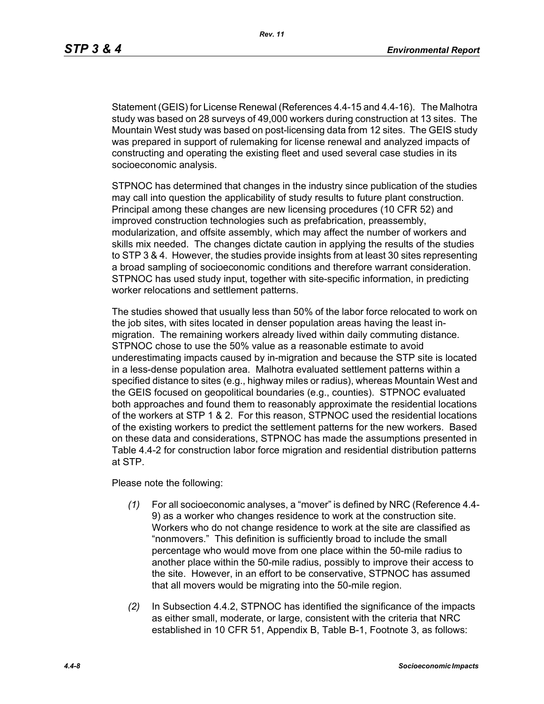[Statement \(GEIS\) for License Renewal \(References 4.4-15 and 4.4-16\). The Malhotra](http://factfinder.census.gov/)  study was based on 28 surveys of 49,000 workers during construction at 13 sites. The Mountain West study was based on post-licensing data from 12 sites. The GEIS study was prepared in support of rulemaking for license renewal and analyzed impacts of constructing and operating the existing fleet and used several case studies in its socioeconomic analysis.

STPNOC has determined that changes in the industry since publication of the studies may call into question the applicability of study results to future plant construction. Principal among these changes are new licensing procedures (10 CFR 52) and improved construction technologies such as prefabrication, preassembly, modularization, and offsite assembly, which may affect the number of workers and skills mix needed. The changes dictate caution in applying the results of the studies to STP 3 & 4. However, the studies provide insights from at least 30 sites representing a broad sampling of socioeconomic conditions and therefore warrant consideration. STPNOC has used study input, together with site-specific information, in predicting worker relocations and settlement patterns.

The studies showed that usually less than 50% of the labor force relocated to work on the job sites, with sites located in denser population areas having the least inmigration. The remaining workers already lived within daily commuting distance. STPNOC chose to use the 50% value as a reasonable estimate to avoid underestimating impacts caused by in-migration and because the STP site is located in a less-dense population area. Malhotra evaluated settlement patterns within a specified distance to sites (e.g., highway miles or radius), whereas Mountain West and the GEIS focused on geopolitical boundaries (e.g., counties). STPNOC evaluated both approaches and found them to reasonably approximate the residential locations of the workers at STP 1 & 2. For this reason, STPNOC used the residential locations of the existing workers to predict the settlement patterns for the new workers. Based on these data and considerations, STPNOC has made the assumptions presented in Table 4.4-2 for construction labor force migration and residential distribution patterns at STP.

Please note the following:

- *(1)* For all socioeconomic analyses, a "mover" is defined by NRC (Reference 4.4- 9) as a worker who changes residence to work at the construction site. Workers who do not change residence to work at the site are classified as "nonmovers." This definition is sufficiently broad to include the small percentage who would move from one place within the 50-mile radius to another place within the 50-mile radius, possibly to improve their access to the site. However, in an effort to be conservative, STPNOC has assumed that all movers would be migrating into the 50-mile region.
- *(2)* In Subsection 4.4.2, STPNOC has identified the significance of the impacts as either small, moderate, or large, consistent with the criteria that NRC established in 10 CFR 51, Appendix B, Table B-1, Footnote 3, as follows: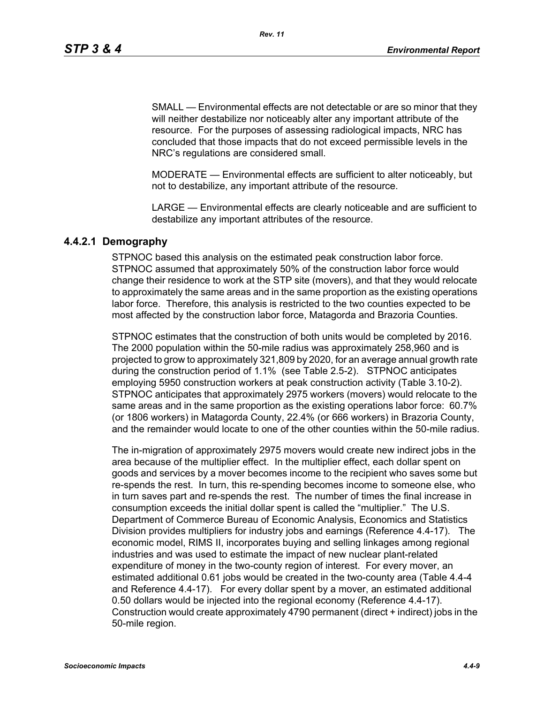SMALL — Environmental effects are not detectable or are so minor that they will neither destabilize nor noticeably alter any important attribute of the resource. For the purposes of assessing radiological impacts, NRC has concluded that those impacts that do not exceed permissible levels in the NRC's regulations are considered small.

MODERATE — Environmental effects are sufficient to alter noticeably, but not to destabilize, any important attribute of the resource.

LARGE — Environmental effects are clearly noticeable and are sufficient to destabilize any important attributes of the resource.

## **4.4.2.1 Demography**

STPNOC based this analysis on the estimated peak construction labor force. STPNOC assumed that approximately 50% of the construction labor force would change their residence to work at the STP site (movers), and that they would relocate to approximately the same areas and in the same proportion as the existing operations labor force. Therefore, this analysis is restricted to the two counties expected to be most affected by the construction labor force, Matagorda and Brazoria Counties.

STPNOC estimates that the construction of both units would be completed by 2016. The 2000 population within the 50-mile radius was approximately 258,960 and is projected to grow to approximately 321,809 by 2020, for an average annual growth rate during the construction period of 1.1% (see Table 2.5-2). STPNOC anticipates employing 5950 construction workers at peak construction activity (Table 3.10-2). STPNOC anticipates that approximately 2975 workers (movers) would relocate to the same areas and in the same proportion as the existing operations labor force: 60.7% (or 1806 workers) in Matagorda County, 22.4% (or 666 workers) in Brazoria County, and the remainder would locate to one of the other counties within the 50-mile radius.

The in-migration of approximately 2975 movers would create new indirect jobs in the area because of the multiplier effect. In the multiplier effect, each dollar spent on goods and services by a mover becomes income to the recipient who saves some but re-spends the rest. In turn, this re-spending becomes income to someone else, who in turn saves part and re-spends the rest. The number of times the final increase in consumption exceeds the initial dollar spent is called the "multiplier." The U.S. Department of Commerce Bureau of Economic Analysis, Economics and Statistics Division provides multipliers for industry jobs and earnings (Reference 4.4-17). The economic model, RIMS II, incorporates buying and selling linkages among regional industries and was used to estimate the impact of new nuclear plant-related expenditure of money in the two-county region of interest. For every mover, an estimated additional 0.61 jobs would be created in the two-county area (Table 4.4-4 and Reference 4.4-17). For every dollar spent by a mover, an estimated additional 0.50 dollars would be injected into the regional economy (Reference 4.4-17). Construction would create approximately 4790 permanent (direct + indirect) jobs in the 50-mile region.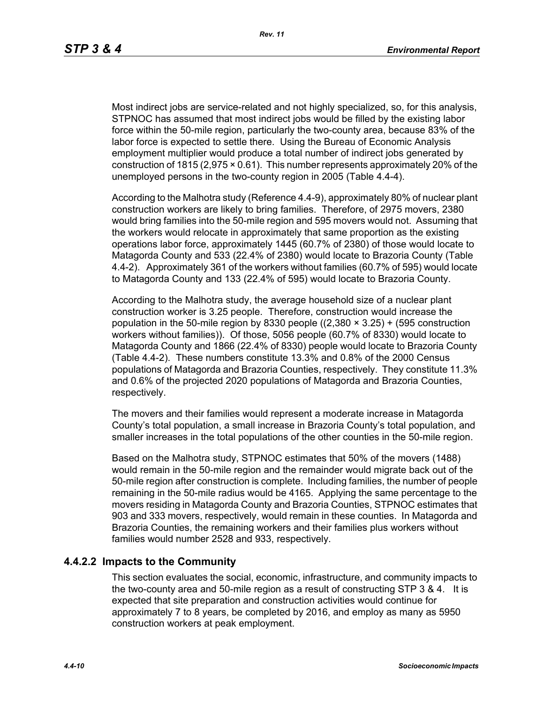Most indirect jobs are service-related and not highly specialized, so, for this analysis, STPNOC has assumed that most indirect jobs would be filled by the existing labor force within the 50-mile region, particularly the two-county area, because 83% of the labor force is expected to settle there. Using the Bureau of Economic Analysis employment multiplier would produce a total number of indirect jobs generated by construction of 1815 (2,975 × 0.61). This number represents approximately 20% of the unemployed persons in the two-county region in 2005 (Table 4.4-4).

According to the Malhotra study (Reference 4.4-9), approximately 80% of nuclear plant construction workers are likely to bring families. Therefore, of 2975 movers, 2380 would bring families into the 50-mile region and 595 movers would not. Assuming that the workers would relocate in approximately that same proportion as the existing operations labor force, approximately 1445 (60.7% of 2380) of those would locate to Matagorda County and 533 (22.4% of 2380) would locate to Brazoria County (Table 4.4-2). Approximately 361 of the workers without families (60.7% of 595) would locate to Matagorda County and 133 (22.4% of 595) would locate to Brazoria County.

According to the Malhotra study, the average household size of a nuclear plant construction worker is 3.25 people. Therefore, construction would increase the population in the 50-mile region by 8330 people  $((2,380 \times 3.25) + (595$  construction workers without families)). Of those, 5056 people (60.7% of 8330) would locate to Matagorda County and 1866 (22.4% of 8330) people would locate to Brazoria County (Table 4.4-2). These numbers constitute 13.3% and 0.8% of the 2000 Census populations of Matagorda and Brazoria Counties, respectively. They constitute 11.3% and 0.6% of the projected 2020 populations of Matagorda and Brazoria Counties, respectively.

The movers and their families would represent a moderate increase in Matagorda County's total population, a small increase in Brazoria County's total population, and smaller increases in the total populations of the other counties in the 50-mile region.

Based on the Malhotra study, STPNOC estimates that 50% of the movers (1488) would remain in the 50-mile region and the remainder would migrate back out of the 50-mile region after construction is complete. Including families, the number of people remaining in the 50-mile radius would be 4165. Applying the same percentage to the movers residing in Matagorda County and Brazoria Counties, STPNOC estimates that 903 and 333 movers, respectively, would remain in these counties. In Matagorda and Brazoria Counties, the remaining workers and their families plus workers without families would number 2528 and 933, respectively.

#### **4.4.2.2 Impacts to the Community**

This section evaluates the social, economic, infrastructure, and community impacts to the two-county area and 50-mile region as a result of constructing STP 3 & 4. It is expected that site preparation and construction activities would continue for approximately 7 to 8 years, be completed by 2016, and employ as many as 5950 construction workers at peak employment.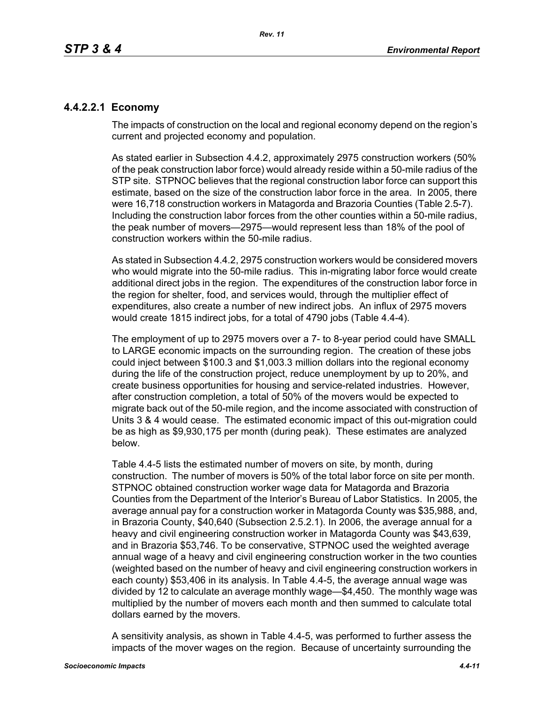## **4.4.2.2.1 Economy**

The impacts of construction on the local and regional economy depend on the region's current and projected economy and population.

As stated earlier in Subsection 4.4.2, approximately 2975 construction workers (50% of the peak construction labor force) would already reside within a 50-mile radius of the STP site. STPNOC believes that the regional construction labor force can support this estimate, based on the size of the construction labor force in the area. In 2005, there were 16,718 construction workers in Matagorda and Brazoria Counties (Table 2.5-7). Including the construction labor forces from the other counties within a 50-mile radius, the peak number of movers—2975—would represent less than 18% of the pool of construction workers within the 50-mile radius.

As stated in Subsection 4.4.2, 2975 construction workers would be considered movers who would migrate into the 50-mile radius. This in-migrating labor force would create additional direct jobs in the region. The expenditures of the construction labor force in the region for shelter, food, and services would, through the multiplier effect of expenditures, also create a number of new indirect jobs. An influx of 2975 movers would create 1815 indirect jobs, for a total of 4790 jobs (Table 4.4-4).

The employment of up to 2975 movers over a 7- to 8-year period could have SMALL to LARGE economic impacts on the surrounding region. The creation of these jobs could inject between \$100.3 and \$1,003.3 million dollars into the regional economy during the life of the construction project, reduce unemployment by up to 20%, and create business opportunities for housing and service-related industries. However, after construction completion, a total of 50% of the movers would be expected to migrate back out of the 50-mile region, and the income associated with construction of Units 3 & 4 would cease. The estimated economic impact of this out-migration could be as high as \$9,930,175 per month (during peak). These estimates are analyzed below.

Table 4.4-5 lists the estimated number of movers on site, by month, during construction. The number of movers is 50% of the total labor force on site per month. STPNOC obtained construction worker wage data for Matagorda and Brazoria Counties from the Department of the Interior's Bureau of Labor Statistics. In 2005, the average annual pay for a construction worker in Matagorda County was \$35,988, and, in Brazoria County, \$40,640 (Subsection 2.5.2.1). In 2006, the average annual for a heavy and civil engineering construction worker in Matagorda County was \$43,639, and in Brazoria \$53,746. To be conservative, STPNOC used the weighted average annual wage of a heavy and civil engineering construction worker in the two counties (weighted based on the number of heavy and civil engineering construction workers in each county) \$53,406 in its analysis. In Table 4.4-5, the average annual wage was divided by 12 to calculate an average monthly wage—\$4,450. The monthly wage was multiplied by the number of movers each month and then summed to calculate total dollars earned by the movers.

A sensitivity analysis, as shown in Table 4.4-5, was performed to further assess the impacts of the mover wages on the region. Because of uncertainty surrounding the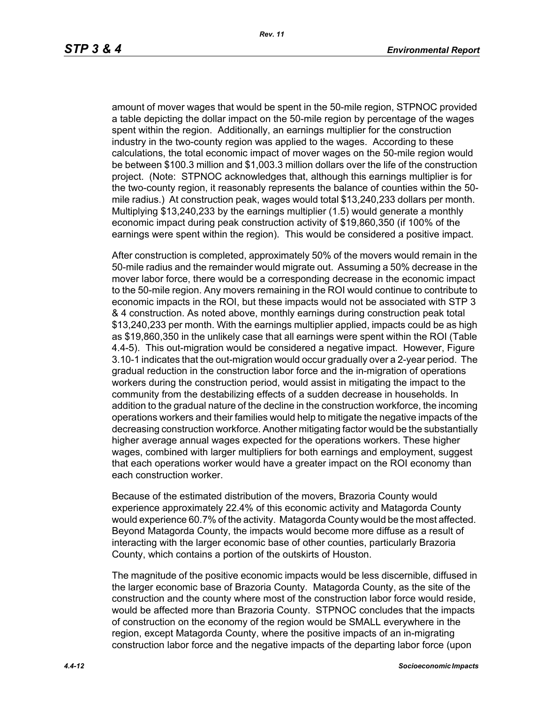amount of mover wages that would be spent in the 50-mile region, STPNOC provided a table depicting the dollar impact on the 50-mile region by percentage of the wages spent within the region. Additionally, an earnings multiplier for the construction industry in the two-county region was applied to the wages. According to these calculations, the total economic impact of mover wages on the 50-mile region would be between \$100.3 million and \$1,003.3 million dollars over the life of the construction project. (Note: STPNOC acknowledges that, although this earnings multiplier is for the two-county region, it reasonably represents the balance of counties within the 50 mile radius.) At construction peak, wages would total \$13,240,233 dollars per month. Multiplying \$13,240,233 by the earnings multiplier (1.5) would generate a monthly economic impact during peak construction activity of \$19,860,350 (if 100% of the earnings were spent within the region). This would be considered a positive impact.

After construction is completed, approximately 50% of the movers would remain in the 50-mile radius and the remainder would migrate out. Assuming a 50% decrease in the mover labor force, there would be a corresponding decrease in the economic impact to the 50-mile region. Any movers remaining in the ROI would continue to contribute to economic impacts in the ROI, but these impacts would not be associated with STP 3 & 4 construction. As noted above, monthly earnings during construction peak total \$13,240,233 per month. With the earnings multiplier applied, impacts could be as high as \$19,860,350 in the unlikely case that all earnings were spent within the ROI (Table 4.4-5). This out-migration would be considered a negative impact. However, Figure 3.10-1 indicates that the out-migration would occur gradually over a 2-year period. The gradual reduction in the construction labor force and the in-migration of operations workers during the construction period, would assist in mitigating the impact to the community from the destabilizing effects of a sudden decrease in households. In addition to the gradual nature of the decline in the construction workforce, the incoming operations workers and their families would help to mitigate the negative impacts of the decreasing construction workforce. Another mitigating factor would be the substantially higher average annual wages expected for the operations workers. These higher wages, combined with larger multipliers for both earnings and employment, suggest that each operations worker would have a greater impact on the ROI economy than each construction worker.

Because of the estimated distribution of the movers, Brazoria County would experience approximately 22.4% of this economic activity and Matagorda County would experience 60.7% of the activity. Matagorda County would be the most affected. Beyond Matagorda County, the impacts would become more diffuse as a result of interacting with the larger economic base of other counties, particularly Brazoria County, which contains a portion of the outskirts of Houston.

The magnitude of the positive economic impacts would be less discernible, diffused in the larger economic base of Brazoria County. Matagorda County, as the site of the construction and the county where most of the construction labor force would reside, would be affected more than Brazoria County. STPNOC concludes that the impacts of construction on the economy of the region would be SMALL everywhere in the region, except Matagorda County, where the positive impacts of an in-migrating construction labor force and the negative impacts of the departing labor force (upon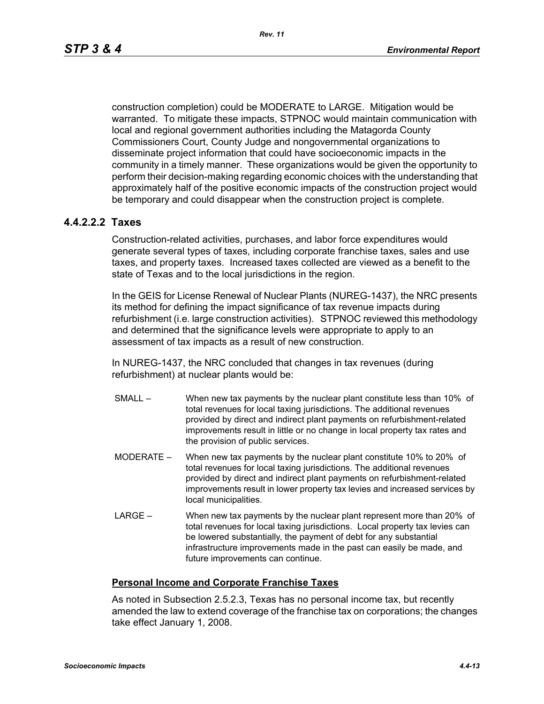construction completion) could be MODERATE to LARGE. Mitigation would be warranted. To mitigate these impacts, STPNOC would maintain communication with local and regional government authorities including the Matagorda County Commissioners Court, County Judge and nongovernmental organizations to disseminate project information that could have socioeconomic impacts in the community in a timely manner. These organizations would be given the opportunity to perform their decision-making regarding economic choices with the understanding that approximately half of the positive economic impacts of the construction project would be temporary and could disappear when the construction project is complete.

## **4.4.2.2.2 Taxes**

Construction-related activities, purchases, and labor force expenditures would generate several types of taxes, including corporate franchise taxes, sales and use taxes, and property taxes. Increased taxes collected are viewed as a benefit to the state of Texas and to the local jurisdictions in the region.

In the GEIS for License Renewal of Nuclear Plants (NUREG-1437), the NRC presents its method for defining the impact significance of tax revenue impacts during refurbishment (i.e. large construction activities). STPNOC reviewed this methodology and determined that the significance levels were appropriate to apply to an assessment of tax impacts as a result of new construction.

In NUREG-1437, the NRC concluded that changes in tax revenues (during refurbishment) at nuclear plants would be:

- SMALL When new tax payments by the nuclear plant constitute less than 10% of total revenues for local taxing jurisdictions. The additional revenues provided by direct and indirect plant payments on refurbishment-related improvements result in little or no change in local property tax rates and the provision of public services.
- MODERATE When new tax payments by the nuclear plant constitute 10% to 20% of total revenues for local taxing jurisdictions. The additional revenues provided by direct and indirect plant payments on refurbishment-related improvements result in lower property tax levies and increased services by local municipalities.
- LARGE When new tax payments by the nuclear plant represent more than 20% of total revenues for local taxing jurisdictions. Local property tax levies can be lowered substantially, the payment of debt for any substantial infrastructure improvements made in the past can easily be made, and future improvements can continue.

## **Personal Income and Corporate Franchise Taxes**

As noted in Subsection 2.5.2.3, Texas has no personal income tax, but recently amended the law to extend coverage of the franchise tax on corporations; the changes take effect January 1, 2008.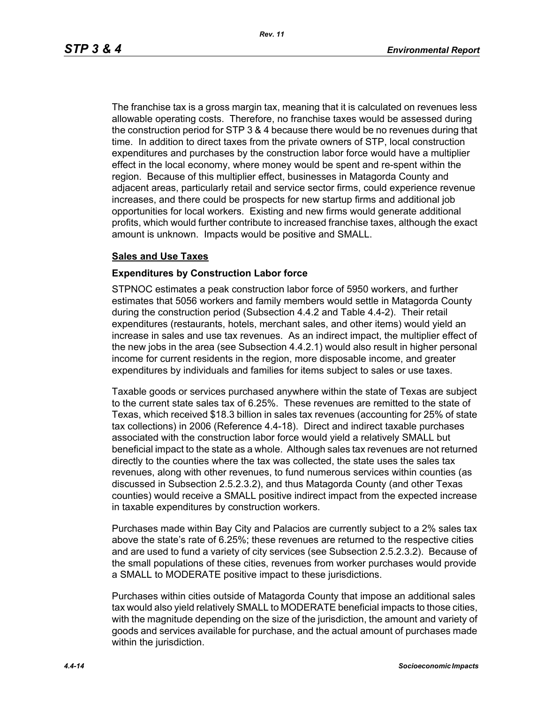The franchise tax is a gross margin tax, meaning that it is calculated on revenues less allowable operating costs. Therefore, no franchise taxes would be assessed during the construction period for STP 3 & 4 because there would be no revenues during that time. In addition to direct taxes from the private owners of STP, local construction expenditures and purchases by the construction labor force would have a multiplier effect in the local economy, where money would be spent and re-spent within the region. Because of this multiplier effect, businesses in Matagorda County and adjacent areas, particularly retail and service sector firms, could experience revenue increases, and there could be prospects for new startup firms and additional job opportunities for local workers. Existing and new firms would generate additional profits, which would further contribute to increased franchise taxes, although the exact amount is unknown. Impacts would be positive and SMALL.

#### **Sales and Use Taxes**

#### **Expenditures by Construction Labor force**

STPNOC estimates a peak construction labor force of 5950 workers, and further estimates that 5056 workers and family members would settle in Matagorda County during the construction period (Subsection 4.4.2 and Table 4.4-2). Their retail expenditures (restaurants, hotels, merchant sales, and other items) would yield an increase in sales and use tax revenues. As an indirect impact, the multiplier effect of the new jobs in the area (see Subsection 4.4.2.1) would also result in higher personal income for current residents in the region, more disposable income, and greater expenditures by individuals and families for items subject to sales or use taxes.

Taxable goods or services purchased anywhere within the state of Texas are subject to the current state sales tax of 6.25%. These revenues are remitted to the state of Texas, which received \$18.3 billion in sales tax revenues (accounting for 25% of state tax collections) in 2006 (Reference 4.4-18). Direct and indirect taxable purchases associated with the construction labor force would yield a relatively SMALL but beneficial impact to the state as a whole. Although sales tax revenues are not returned directly to the counties where the tax was collected, the state uses the sales tax revenues, along with other revenues, to fund numerous services within counties (as discussed in Subsection 2.5.2.3.2), and thus Matagorda County (and other Texas counties) would receive a SMALL positive indirect impact from the expected increase in taxable expenditures by construction workers.

Purchases made within Bay City and Palacios are currently subject to a 2% sales tax above the state's rate of 6.25%; these revenues are returned to the respective cities and are used to fund a variety of city services (see Subsection 2.5.2.3.2). Because of the small populations of these cities, revenues from worker purchases would provide a SMALL to MODERATE positive impact to these jurisdictions.

Purchases within cities outside of Matagorda County that impose an additional sales tax would also yield relatively SMALL to MODERATE beneficial impacts to those cities, with the magnitude depending on the size of the jurisdiction, the amount and variety of goods and services available for purchase, and the actual amount of purchases made within the jurisdiction.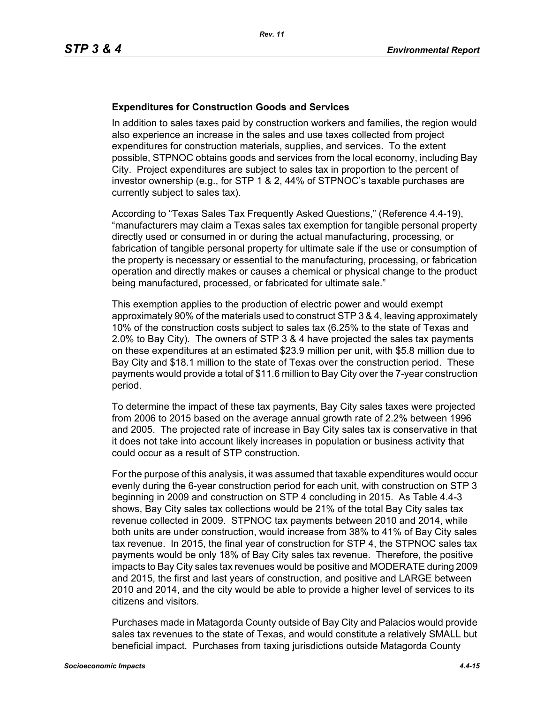#### **Expenditures for Construction Goods and Services**

In addition to sales taxes paid by construction workers and families, the region would also experience an increase in the sales and use taxes collected from project expenditures for construction materials, supplies, and services. To the extent possible, STPNOC obtains goods and services from the local economy, including Bay City. Project expenditures are subject to sales tax in proportion to the percent of investor ownership (e.g., for STP 1 & 2, 44% of STPNOC's taxable purchases are currently subject to sales tax).

According to "Texas Sales Tax Frequently Asked Questions," (Reference 4.4-19), "manufacturers may claim a Texas sales tax exemption for tangible personal property directly used or consumed in or during the actual manufacturing, processing, or fabrication of tangible personal property for ultimate sale if the use or consumption of the property is necessary or essential to the manufacturing, processing, or fabrication operation and directly makes or causes a chemical or physical change to the product being manufactured, processed, or fabricated for ultimate sale."

This exemption applies to the production of electric power and would exempt approximately 90% of the materials used to construct STP 3 & 4, leaving approximately 10% of the construction costs subject to sales tax (6.25% to the state of Texas and 2.0% to Bay City). The owners of STP 3 & 4 have projected the sales tax payments on these expenditures at an estimated \$23.9 million per unit, with \$5.8 million due to Bay City and \$18.1 million to the state of Texas over the construction period. These payments would provide a total of \$11.6 million to Bay City over the 7-year construction period.

To determine the impact of these tax payments, Bay City sales taxes were projected from 2006 to 2015 based on the average annual growth rate of 2.2% between 1996 and 2005. The projected rate of increase in Bay City sales tax is conservative in that it does not take into account likely increases in population or business activity that could occur as a result of STP construction.

For the purpose of this analysis, it was assumed that taxable expenditures would occur evenly during the 6-year construction period for each unit, with construction on STP 3 beginning in 2009 and construction on STP 4 concluding in 2015. As Table 4.4-3 shows, Bay City sales tax collections would be 21% of the total Bay City sales tax revenue collected in 2009. STPNOC tax payments between 2010 and 2014, while both units are under construction, would increase from 38% to 41% of Bay City sales tax revenue. In 2015, the final year of construction for STP 4, the STPNOC sales tax payments would be only 18% of Bay City sales tax revenue. Therefore, the positive impacts to Bay City sales tax revenues would be positive and MODERATE during 2009 and 2015, the first and last years of construction, and positive and LARGE between 2010 and 2014, and the city would be able to provide a higher level of services to its citizens and visitors.

Purchases made in Matagorda County outside of Bay City and Palacios would provide sales tax revenues to the state of Texas, and would constitute a relatively SMALL but beneficial impact. Purchases from taxing jurisdictions outside Matagorda County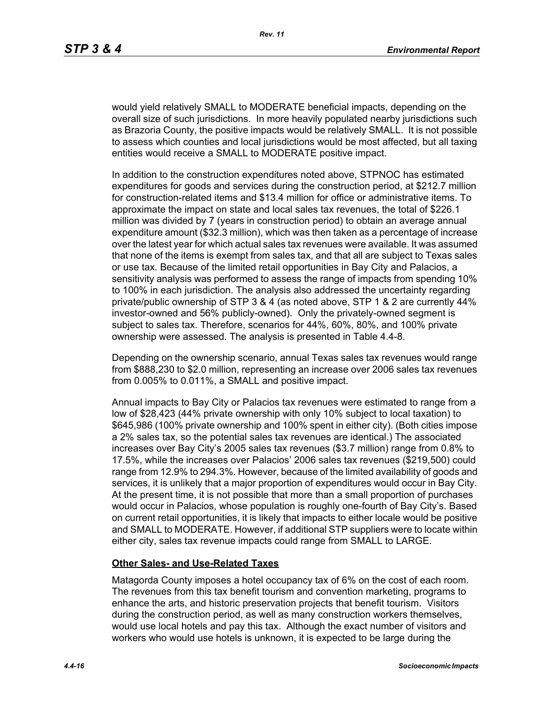would yield relatively SMALL to MODERATE beneficial impacts, depending on the overall size of such jurisdictions. In more heavily populated nearby jurisdictions such as Brazoria County, the positive impacts would be relatively SMALL. It is not possible to assess which counties and local jurisdictions would be most affected, but all taxing entities would receive a SMALL to MODERATE positive impact.

In addition to the construction expenditures noted above, STPNOC has estimated expenditures for goods and services during the construction period, at \$212.7 million for construction-related items and \$13.4 million for office or administrative items. To approximate the impact on state and local sales tax revenues, the total of \$226.1 million was divided by 7 (years in construction period) to obtain an average annual expenditure amount (\$32.3 million), which was then taken as a percentage of increase over the latest year for which actual sales tax revenues were available. It was assumed that none of the items is exempt from sales tax, and that all are subject to Texas sales or use tax. Because of the limited retail opportunities in Bay City and Palacios, a sensitivity analysis was performed to assess the range of impacts from spending 10% to 100% in each jurisdiction. The analysis also addressed the uncertainty regarding private/public ownership of STP 3 & 4 (as noted above, STP 1 & 2 are currently 44% investor-owned and 56% publicly-owned). Only the privately-owned segment is subject to sales tax. Therefore, scenarios for 44%, 60%, 80%, and 100% private ownership were assessed. The analysis is presented in Table 4.4-8.

Depending on the ownership scenario, annual Texas sales tax revenues would range from \$888,230 to \$2.0 million, representing an increase over 2006 sales tax revenues from 0.005% to 0.011%, a SMALL and positive impact.

Annual impacts to Bay City or Palacios tax revenues were estimated to range from a low of \$28,423 (44% private ownership with only 10% subject to local taxation) to \$645,986 (100% private ownership and 100% spent in either city). (Both cities impose a 2% sales tax, so the potential sales tax revenues are identical.) The associated increases over Bay City's 2005 sales tax revenues (\$3.7 million) range from 0.8% to 17.5%, while the increases over Palacios' 2006 sales tax revenues (\$219,500) could range from 12.9% to 294.3%. However, because of the limited availability of goods and services, it is unlikely that a major proportion of expenditures would occur in Bay City. At the present time, it is not possible that more than a small proportion of purchases would occur in Palacios, whose population is roughly one-fourth of Bay City's. Based on current retail opportunities, it is likely that impacts to either locale would be positive and SMALL to MODERATE. However, if additional STP suppliers were to locate within either city, sales tax revenue impacts could range from SMALL to LARGE.

#### **Other Sales- and Use-Related Taxes**

Matagorda County imposes a hotel occupancy tax of 6% on the cost of each room. The revenues from this tax benefit tourism and convention marketing, programs to enhance the arts, and historic preservation projects that benefit tourism. Visitors during the construction period, as well as many construction workers themselves, would use local hotels and pay this tax. Although the exact number of visitors and workers who would use hotels is unknown, it is expected to be large during the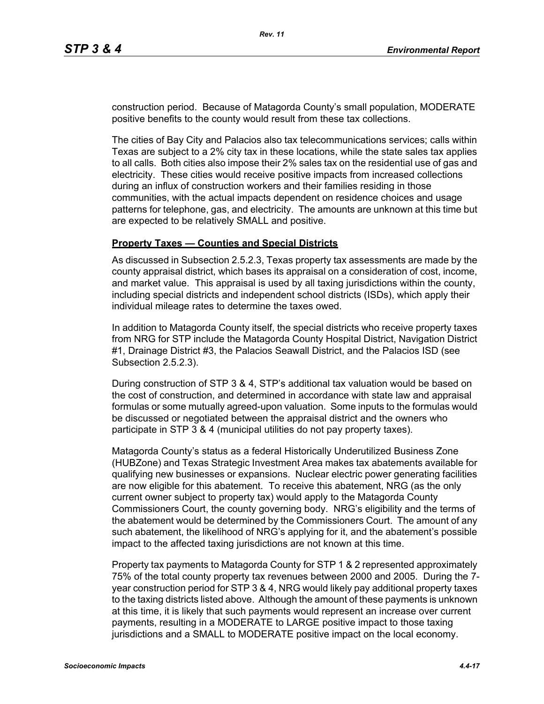construction period. Because of Matagorda County's small population, MODERATE positive benefits to the county would result from these tax collections.

The cities of Bay City and Palacios also tax telecommunications services; calls within Texas are subject to a 2% city tax in these locations, while the state sales tax applies to all calls. Both cities also impose their 2% sales tax on the residential use of gas and electricity. These cities would receive positive impacts from increased collections during an influx of construction workers and their families residing in those communities, with the actual impacts dependent on residence choices and usage patterns for telephone, gas, and electricity. The amounts are unknown at this time but are expected to be relatively SMALL and positive.

#### **Property Taxes — Counties and Special Districts**

As discussed in Subsection 2.5.2.3, Texas property tax assessments are made by the county appraisal district, which bases its appraisal on a consideration of cost, income, and market value. This appraisal is used by all taxing jurisdictions within the county, including special districts and independent school districts (ISDs), which apply their individual mileage rates to determine the taxes owed.

In addition to Matagorda County itself, the special districts who receive property taxes from NRG for STP include the Matagorda County Hospital District, Navigation District #1, Drainage District #3, the Palacios Seawall District, and the Palacios ISD (see Subsection 2.5.2.3).

During construction of STP 3 & 4, STP's additional tax valuation would be based on the cost of construction, and determined in accordance with state law and appraisal formulas or some mutually agreed-upon valuation. Some inputs to the formulas would be discussed or negotiated between the appraisal district and the owners who participate in STP 3 & 4 (municipal utilities do not pay property taxes).

Matagorda County's status as a federal Historically Underutilized Business Zone (HUBZone) and Texas Strategic Investment Area makes tax abatements available for qualifying new businesses or expansions. Nuclear electric power generating facilities are now eligible for this abatement. To receive this abatement, NRG (as the only current owner subject to property tax) would apply to the Matagorda County Commissioners Court, the county governing body. NRG's eligibility and the terms of the abatement would be determined by the Commissioners Court. The amount of any such abatement, the likelihood of NRG's applying for it, and the abatement's possible impact to the affected taxing jurisdictions are not known at this time.

Property tax payments to Matagorda County for STP 1 & 2 represented approximately 75% of the total county property tax revenues between 2000 and 2005. During the 7 year construction period for STP 3 & 4, NRG would likely pay additional property taxes to the taxing districts listed above. Although the amount of these payments is unknown at this time, it is likely that such payments would represent an increase over current payments, resulting in a MODERATE to LARGE positive impact to those taxing jurisdictions and a SMALL to MODERATE positive impact on the local economy.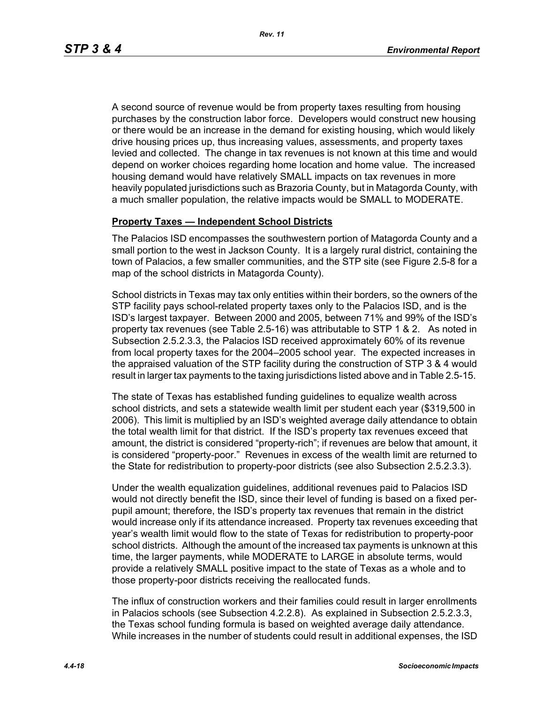A second source of revenue would be from property taxes resulting from housing purchases by the construction labor force. Developers would construct new housing or there would be an increase in the demand for existing housing, which would likely drive housing prices up, thus increasing values, assessments, and property taxes levied and collected. The change in tax revenues is not known at this time and would depend on worker choices regarding home location and home value. The increased housing demand would have relatively SMALL impacts on tax revenues in more heavily populated jurisdictions such as Brazoria County, but in Matagorda County, with a much smaller population, the relative impacts would be SMALL to MODERATE.

#### **Property Taxes — Independent School Districts**

The Palacios ISD encompasses the southwestern portion of Matagorda County and a small portion to the west in Jackson County. It is a largely rural district, containing the town of Palacios, a few smaller communities, and the STP site (see Figure 2.5-8 for a map of the school districts in Matagorda County).

School districts in Texas may tax only entities within their borders, so the owners of the STP facility pays school-related property taxes only to the Palacios ISD, and is the ISD's largest taxpayer. Between 2000 and 2005, between 71% and 99% of the ISD's property tax revenues (see Table 2.5-16) was attributable to STP 1 & 2. As noted in Subsection 2.5.2.3.3, the Palacios ISD received approximately 60% of its revenue from local property taxes for the 2004–2005 school year. The expected increases in the appraised valuation of the STP facility during the construction of STP 3 & 4 would result in larger tax payments to the taxing jurisdictions listed above and in Table 2.5-15.

The state of Texas has established funding guidelines to equalize wealth across school districts, and sets a statewide wealth limit per student each year (\$319,500 in 2006). This limit is multiplied by an ISD's weighted average daily attendance to obtain the total wealth limit for that district. If the ISD's property tax revenues exceed that amount, the district is considered "property-rich"; if revenues are below that amount, it is considered "property-poor." Revenues in excess of the wealth limit are returned to the State for redistribution to property-poor districts (see also Subsection 2.5.2.3.3).

Under the wealth equalization guidelines, additional revenues paid to Palacios ISD would not directly benefit the ISD, since their level of funding is based on a fixed perpupil amount; therefore, the ISD's property tax revenues that remain in the district would increase only if its attendance increased. Property tax revenues exceeding that year's wealth limit would flow to the state of Texas for redistribution to property-poor school districts. Although the amount of the increased tax payments is unknown at this time, the larger payments, while MODERATE to LARGE in absolute terms, would provide a relatively SMALL positive impact to the state of Texas as a whole and to those property-poor districts receiving the reallocated funds.

The influx of construction workers and their families could result in larger enrollments in Palacios schools (see Subsection 4.2.2.8). As explained in Subsection 2.5.2.3.3, the Texas school funding formula is based on weighted average daily attendance. While increases in the number of students could result in additional expenses, the ISD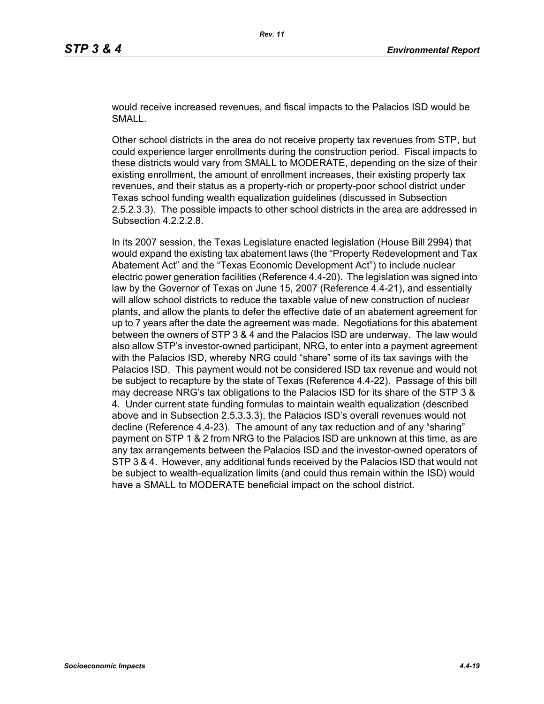would receive increased revenues, and fiscal impacts to the Palacios ISD would be SMALL.

Other school districts in the area do not receive property tax revenues from STP, but could experience larger enrollments during the construction period. Fiscal impacts to these districts would vary from SMALL to MODERATE, depending on the size of their existing enrollment, the amount of enrollment increases, their existing property tax revenues, and their status as a property-rich or property-poor school district under Texas school funding wealth equalization guidelines (discussed in Subsection 2.5.2.3.3). The possible impacts to other school districts in the area are addressed in Subsection 4.2.2.2.8.

In its 2007 session, the Texas Legislature enacted legislation (House Bill 2994) that would expand the existing tax abatement laws (the "Property Redevelopment and Tax Abatement Act" and the "Texas Economic Development Act") to include nuclear electric power generation facilities (Reference 4.4-20). The legislation was signed into law by the Governor of Texas on June 15, 2007 (Reference 4.4-21), and essentially will allow school districts to reduce the taxable value of new construction of nuclear plants, and allow the plants to defer the effective date of an abatement agreement for up to 7 years after the date the agreement was made. Negotiations for this abatement between the owners of STP 3 & 4 and the Palacios ISD are underway. The law would also allow STP's investor-owned participant, NRG, to enter into a payment agreement with the Palacios ISD, whereby NRG could "share" some of its tax savings with the Palacios ISD. This payment would not be considered ISD tax revenue and would not be subject to recapture by the state of Texas (Reference 4.4-22). Passage of this bill may decrease NRG's tax obligations to the Palacios ISD for its share of the STP 3 & 4. Under current state funding formulas to maintain wealth equalization (described above and in Subsection 2.5.3.3.3), the Palacios ISD's overall revenues would not decline (Reference 4.4-23). The amount of any tax reduction and of any "sharing" payment on STP 1 & 2 from NRG to the Palacios ISD are unknown at this time, as are any tax arrangements between the Palacios ISD and the investor-owned operators of STP 3 & 4. However, any additional funds received by the Palacios ISD that would not be subject to wealth-equalization limits (and could thus remain within the ISD) would have a SMALL to MODERATE beneficial impact on the school district.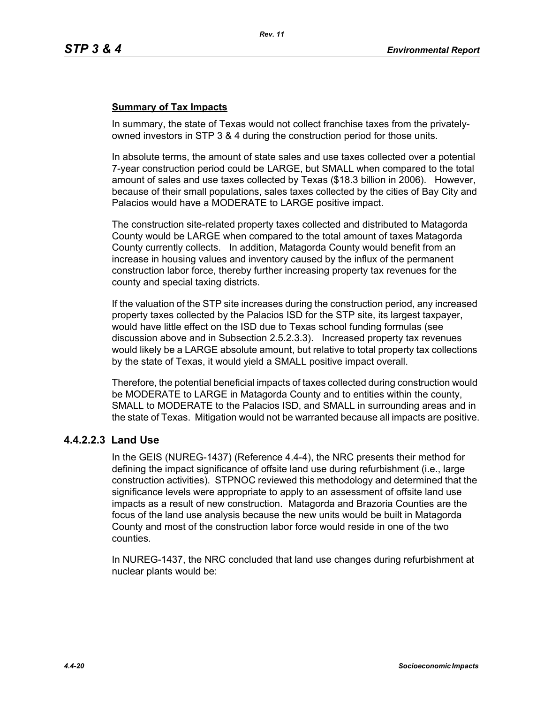## **Summary of Tax Impacts**

In summary, the state of Texas would not collect franchise taxes from the privatelyowned investors in STP 3 & 4 during the construction period for those units.

In absolute terms, the amount of state sales and use taxes collected over a potential 7-year construction period could be LARGE, but SMALL when compared to the total amount of sales and use taxes collected by Texas (\$18.3 billion in 2006). However, because of their small populations, sales taxes collected by the cities of Bay City and Palacios would have a MODERATE to LARGE positive impact.

The construction site-related property taxes collected and distributed to Matagorda County would be LARGE when compared to the total amount of taxes Matagorda County currently collects. In addition, Matagorda County would benefit from an increase in housing values and inventory caused by the influx of the permanent construction labor force, thereby further increasing property tax revenues for the county and special taxing districts.

If the valuation of the STP site increases during the construction period, any increased property taxes collected by the Palacios ISD for the STP site, its largest taxpayer, would have little effect on the ISD due to Texas school funding formulas (see discussion above and in Subsection 2.5.2.3.3). Increased property tax revenues would likely be a LARGE absolute amount, but relative to total property tax collections by the state of Texas, it would yield a SMALL positive impact overall.

Therefore, the potential beneficial impacts of taxes collected during construction would be MODERATE to LARGE in Matagorda County and to entities within the county, SMALL to MODERATE to the Palacios ISD, and SMALL in surrounding areas and in the state of Texas. Mitigation would not be warranted because all impacts are positive.

## **4.4.2.2.3 Land Use**

In the GEIS (NUREG-1437) (Reference 4.4-4), the NRC presents their method for defining the impact significance of offsite land use during refurbishment (i.e., large construction activities). STPNOC reviewed this methodology and determined that the significance levels were appropriate to apply to an assessment of offsite land use impacts as a result of new construction. Matagorda and Brazoria Counties are the focus of the land use analysis because the new units would be built in Matagorda County and most of the construction labor force would reside in one of the two counties.

In NUREG-1437, the NRC concluded that land use changes during refurbishment at nuclear plants would be: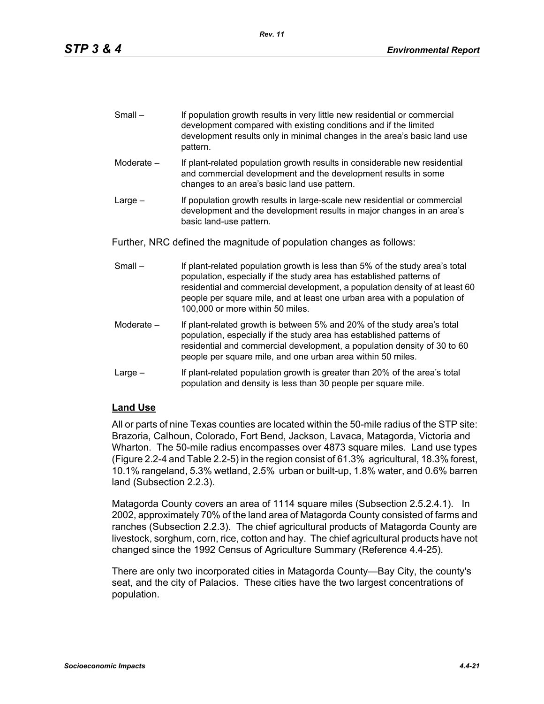| $Small -$ | If population growth results in very little new residential or commercial |
|-----------|---------------------------------------------------------------------------|
|           | development compared with existing conditions and if the limited          |
|           | development results only in minimal changes in the area's basic land use  |
|           | pattern.                                                                  |

- Moderate If plant-related population growth results in considerable new residential and commercial development and the development results in some changes to an area's basic land use pattern.
- Large If population growth results in large-scale new residential or commercial development and the development results in major changes in an area's basic land-use pattern.

Further, NRC defined the magnitude of population changes as follows:

- Small If plant-related population growth is less than 5% of the study area's total population, especially if the study area has established patterns of residential and commercial development, a population density of at least 60 people per square mile, and at least one urban area with a population of 100,000 or more within 50 miles.
- Moderate If plant-related growth is between 5% and 20% of the study area's total population, especially if the study area has established patterns of residential and commercial development, a population density of 30 to 60 people per square mile, and one urban area within 50 miles.
- Large If plant-related population growth is greater than 20% of the area's total population and density is less than 30 people per square mile.

## **Land Use**

All or parts of nine Texas counties are located within the 50-mile radius of the STP site: Brazoria, Calhoun, Colorado, Fort Bend, Jackson, Lavaca, Matagorda, Victoria and Wharton. The 50-mile radius encompasses over 4873 square miles. Land use types (Figure 2.2-4 and Table 2.2-5) in the region consist of 61.3% agricultural, 18.3% forest, 10.1% rangeland, 5.3% wetland, 2.5% urban or built-up, 1.8% water, and 0.6% barren land (Subsection 2.2.3).

Matagorda County covers an area of 1114 square miles (Subsection 2.5.2.4.1). In 2002, approximately 70% of the land area of Matagorda County consisted of farms and ranches (Subsection 2.2.3). The chief agricultural products of Matagorda County are livestock, sorghum, corn, rice, cotton and hay. The chief agricultural products have not changed since the 1992 Census of Agriculture Summary (Reference 4.4-25).

There are only two incorporated cities in Matagorda County—Bay City, the county's seat, and the city of Palacios. These cities have the two largest concentrations of population.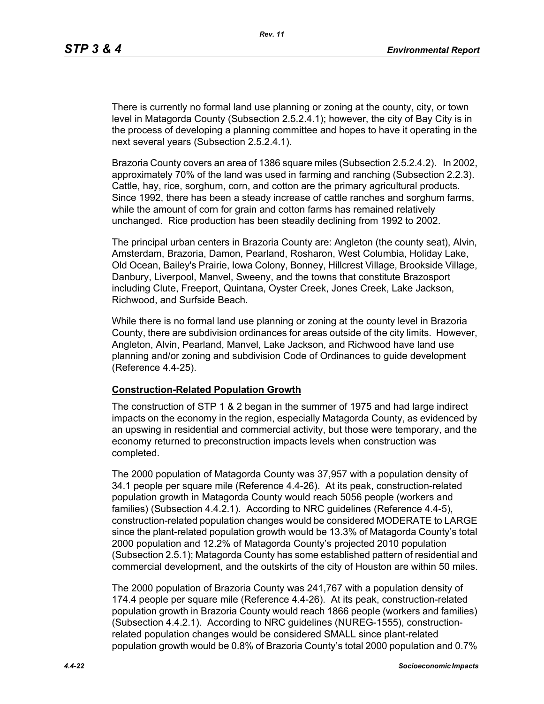There is currently no formal land use planning or zoning at the county, city, or town level in Matagorda County (Subsection 2.5.2.4.1); however, the city of Bay City is in the process of developing a planning committee and hopes to have it operating in the next several years (Subsection 2.5.2.4.1).

Brazoria County covers an area of 1386 square miles (Subsection 2.5.2.4.2). In 2002, approximately 70% of the land was used in farming and ranching (Subsection 2.2.3). Cattle, hay, rice, sorghum, corn, and cotton are the primary agricultural products. Since 1992, there has been a steady increase of cattle ranches and sorghum farms, while the amount of corn for grain and cotton farms has remained relatively unchanged. Rice production has been steadily declining from 1992 to 2002.

The principal urban centers in Brazoria County are: Angleton (the county seat), Alvin, Amsterdam, Brazoria, Damon, Pearland, Rosharon, West Columbia, Holiday Lake, Old Ocean, Bailey's Prairie, Iowa Colony, Bonney, Hillcrest Village, Brookside Village, Danbury, Liverpool, Manvel, Sweeny, and the towns that constitute Brazosport including Clute, Freeport, Quintana, Oyster Creek, Jones Creek, Lake Jackson, Richwood, and Surfside Beach.

While there is no formal land use planning or zoning at the county level in Brazoria County, there are subdivision ordinances for areas outside of the city limits. However, Angleton, Alvin, Pearland, Manvel, Lake Jackson, and Richwood have land use planning and/or zoning and subdivision Code of Ordinances to guide development (Reference 4.4-25).

#### **Construction-Related Population Growth**

The construction of STP 1 & 2 began in the summer of 1975 and had large indirect impacts on the economy in the region, especially Matagorda County, as evidenced by an upswing in residential and commercial activity, but those were temporary, and the economy returned to preconstruction impacts levels when construction was completed.

The 2000 population of Matagorda County was 37,957 with a population density of 34.1 people per square mile (Reference 4.4-26). At its peak, construction-related population growth in Matagorda County would reach 5056 people (workers and families) (Subsection 4.4.2.1). According to NRC guidelines (Reference 4.4-5), construction-related population changes would be considered MODERATE to LARGE since the plant-related population growth would be 13.3% of Matagorda County's total 2000 population and 12.2% of Matagorda County's projected 2010 population (Subsection 2.5.1); Matagorda County has some established pattern of residential and commercial development, and the outskirts of the city of Houston are within 50 miles.

The 2000 population of Brazoria County was 241,767 with a population density of 174.4 people per square mile (Reference 4.4-26). At its peak, construction-related population growth in Brazoria County would reach 1866 people (workers and families) (Subsection 4.4.2.1). According to NRC guidelines (NUREG-1555), constructionrelated population changes would be considered SMALL since plant-related population growth would be 0.8% of Brazoria County's total 2000 population and 0.7%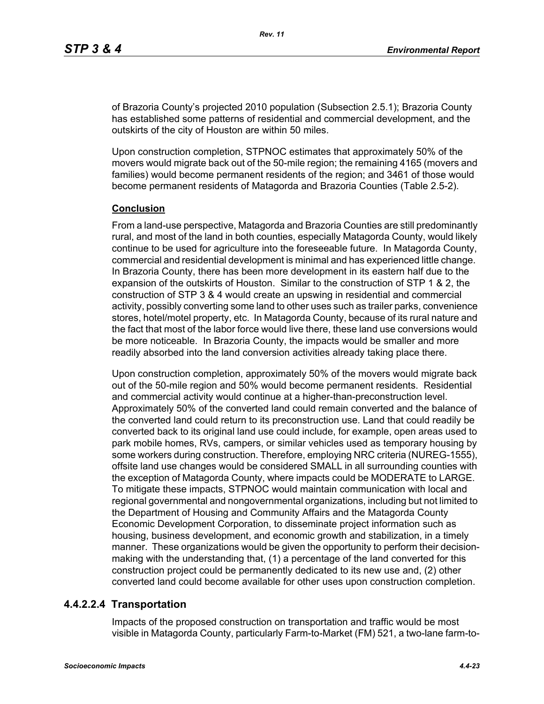of Brazoria County's projected 2010 population (Subsection 2.5.1); Brazoria County has established some patterns of residential and commercial development, and the outskirts of the city of Houston are within 50 miles.

Upon construction completion, STPNOC estimates that approximately 50% of the movers would migrate back out of the 50-mile region; the remaining 4165 (movers and families) would become permanent residents of the region; and 3461 of those would become permanent residents of Matagorda and Brazoria Counties (Table 2.5-2).

#### **Conclusion**

From a land-use perspective, Matagorda and Brazoria Counties are still predominantly rural, and most of the land in both counties, especially Matagorda County, would likely continue to be used for agriculture into the foreseeable future. In Matagorda County, commercial and residential development is minimal and has experienced little change. In Brazoria County, there has been more development in its eastern half due to the expansion of the outskirts of Houston. Similar to the construction of STP 1 & 2, the construction of STP 3 & 4 would create an upswing in residential and commercial activity, possibly converting some land to other uses such as trailer parks, convenience stores, hotel/motel property, etc. In Matagorda County, because of its rural nature and the fact that most of the labor force would live there, these land use conversions would be more noticeable. In Brazoria County, the impacts would be smaller and more readily absorbed into the land conversion activities already taking place there.

Upon construction completion, approximately 50% of the movers would migrate back out of the 50-mile region and 50% would become permanent residents. Residential and commercial activity would continue at a higher-than-preconstruction level. Approximately 50% of the converted land could remain converted and the balance of the converted land could return to its preconstruction use. Land that could readily be converted back to its original land use could include, for example, open areas used to park mobile homes, RVs, campers, or similar vehicles used as temporary housing by some workers during construction. Therefore, employing NRC criteria (NUREG-1555), offsite land use changes would be considered SMALL in all surrounding counties with the exception of Matagorda County, where impacts could be MODERATE to LARGE. To mitigate these impacts, STPNOC would maintain communication with local and regional governmental and nongovernmental organizations, including but not limited to the Department of Housing and Community Affairs and the Matagorda County Economic Development Corporation, to disseminate project information such as housing, business development, and economic growth and stabilization, in a timely manner. These organizations would be given the opportunity to perform their decisionmaking with the understanding that, (1) a percentage of the land converted for this construction project could be permanently dedicated to its new use and, (2) other converted land could become available for other uses upon construction completion.

## **4.4.2.2.4 Transportation**

Impacts of the proposed construction on transportation and traffic would be most visible in Matagorda County, particularly Farm-to-Market (FM) 521, a two-lane farm-to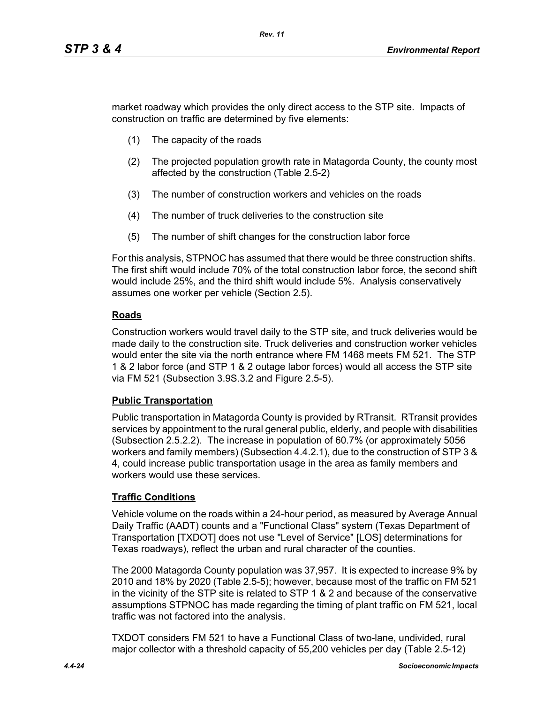market roadway which provides the only direct access to the STP site. Impacts of construction on traffic are determined by five elements:

- (1) The capacity of the roads
- (2) The projected population growth rate in Matagorda County, the county most affected by the construction (Table 2.5-2)
- (3) The number of construction workers and vehicles on the roads
- (4) The number of truck deliveries to the construction site
- (5) The number of shift changes for the construction labor force

For this analysis, STPNOC has assumed that there would be three construction shifts. The first shift would include 70% of the total construction labor force, the second shift would include 25%, and the third shift would include 5%. Analysis conservatively assumes one worker per vehicle (Section 2.5).

## **Roads**

Construction workers would travel daily to the STP site, and truck deliveries would be made daily to the construction site. Truck deliveries and construction worker vehicles would enter the site via the north entrance where FM 1468 meets FM 521. The STP 1 & 2 labor force (and STP 1 & 2 outage labor forces) would all access the STP site via FM 521 (Subsection 3.9S.3.2 and Figure 2.5-5).

## **Public Transportation**

Public transportation in Matagorda County is provided by RTransit. RTransit provides services by appointment to the rural general public, elderly, and people with disabilities (Subsection 2.5.2.2). The increase in population of 60.7% (or approximately 5056 workers and family members) (Subsection 4.4.2.1), due to the construction of STP 3 & 4, could increase public transportation usage in the area as family members and workers would use these services.

## **Traffic Conditions**

Vehicle volume on the roads within a 24-hour period, as measured by Average Annual Daily Traffic (AADT) counts and a "Functional Class" system (Texas Department of Transportation [TXDOT] does not use "Level of Service" [LOS] determinations for Texas roadways), reflect the urban and rural character of the counties.

The 2000 Matagorda County population was 37,957. It is expected to increase 9% by 2010 and 18% by 2020 (Table 2.5-5); however, because most of the traffic on FM 521 in the vicinity of the STP site is related to STP 1 & 2 and because of the conservative assumptions STPNOC has made regarding the timing of plant traffic on FM 521, local traffic was not factored into the analysis.

TXDOT considers FM 521 to have a Functional Class of two-lane, undivided, rural major collector with a threshold capacity of 55,200 vehicles per day (Table 2.5-12)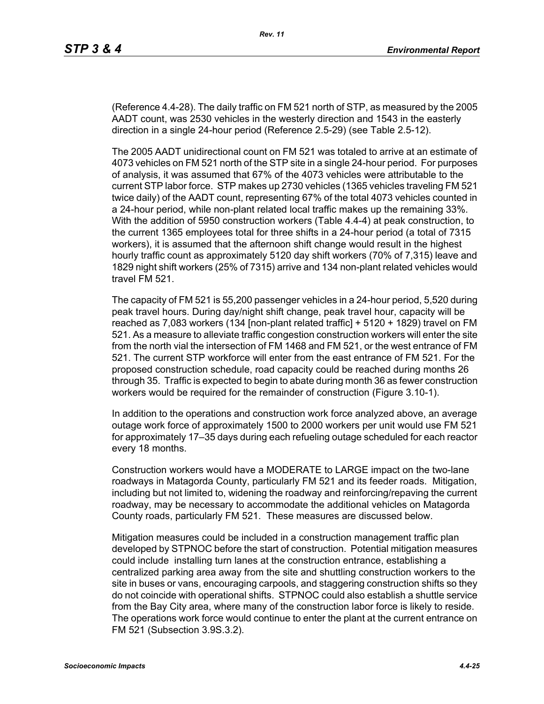(Reference 4.4-28). The daily traffic on FM 521 north of STP, as measured by the 2005 AADT count, was 2530 vehicles in the westerly direction and 1543 in the easterly direction in a single 24-hour period (Reference 2.5-29) (see Table 2.5-12).

The 2005 AADT unidirectional count on FM 521 was totaled to arrive at an estimate of 4073 vehicles on FM 521 north of the STP site in a single 24-hour period. For purposes of analysis, it was assumed that 67% of the 4073 vehicles were attributable to the current STP labor force. STP makes up 2730 vehicles (1365 vehicles traveling FM 521 twice daily) of the AADT count, representing 67% of the total 4073 vehicles counted in a 24-hour period, while non-plant related local traffic makes up the remaining 33%. With the addition of 5950 construction workers (Table 4.4-4) at peak construction, to the current 1365 employees total for three shifts in a 24-hour period (a total of 7315 workers), it is assumed that the afternoon shift change would result in the highest hourly traffic count as approximately 5120 day shift workers (70% of 7,315) leave and 1829 night shift workers (25% of 7315) arrive and 134 non-plant related vehicles would travel FM 521.

The capacity of FM 521 is 55,200 passenger vehicles in a 24-hour period, 5,520 during peak travel hours. During day/night shift change, peak travel hour, capacity will be reached as 7,083 workers (134 [non-plant related traffic] + 5120 + 1829) travel on FM 521. As a measure to alleviate traffic congestion construction workers will enter the site from the north vial the intersection of FM 1468 and FM 521, or the west entrance of FM 521. The current STP workforce will enter from the east entrance of FM 521. For the proposed construction schedule, road capacity could be reached during months 26 through 35. Traffic is expected to begin to abate during month 36 as fewer construction workers would be required for the remainder of construction (Figure 3.10-1).

In addition to the operations and construction work force analyzed above, an average outage work force of approximately 1500 to 2000 workers per unit would use FM 521 for approximately 17–35 days during each refueling outage scheduled for each reactor every 18 months.

Construction workers would have a MODERATE to LARGE impact on the two-lane roadways in Matagorda County, particularly FM 521 and its feeder roads. Mitigation, including but not limited to, widening the roadway and reinforcing/repaving the current roadway, may be necessary to accommodate the additional vehicles on Matagorda County roads, particularly FM 521. These measures are discussed below.

Mitigation measures could be included in a construction management traffic plan developed by STPNOC before the start of construction. Potential mitigation measures could include installing turn lanes at the construction entrance, establishing a centralized parking area away from the site and shuttling construction workers to the site in buses or vans, encouraging carpools, and staggering construction shifts so they do not coincide with operational shifts. STPNOC could also establish a shuttle service from the Bay City area, where many of the construction labor force is likely to reside. The operations work force would continue to enter the plant at the current entrance on FM 521 (Subsection 3.9S.3.2).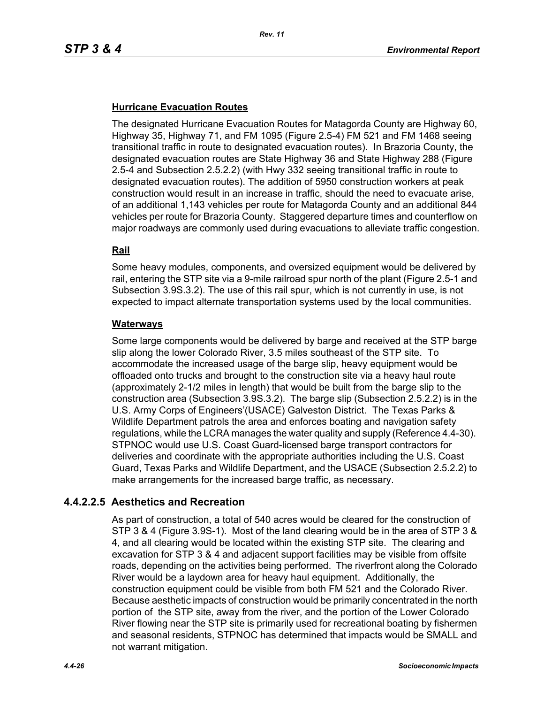## **Hurricane Evacuation Routes**

The designated Hurricane Evacuation Routes for Matagorda County are Highway 60, Highway 35, Highway 71, and FM 1095 (Figure 2.5-4) FM 521 and FM 1468 seeing transitional traffic in route to designated evacuation routes). In Brazoria County, the designated evacuation routes are State Highway 36 and State Highway 288 (Figure 2.5-4 and Subsection 2.5.2.2) (with Hwy 332 seeing transitional traffic in route to designated evacuation routes). The addition of 5950 construction workers at peak construction would result in an increase in traffic, should the need to evacuate arise, of an additional 1,143 vehicles per route for Matagorda County and an additional 844 vehicles per route for Brazoria County. Staggered departure times and counterflow on major roadways are commonly used during evacuations to alleviate traffic congestion.

## **Rail**

Some heavy modules, components, and oversized equipment would be delivered by rail, entering the STP site via a 9-mile railroad spur north of the plant (Figure 2.5-1 and Subsection 3.9S.3.2). The use of this rail spur, which is not currently in use, is not expected to impact alternate transportation systems used by the local communities.

#### **Waterways**

Some large components would be delivered by barge and received at the STP barge slip along the lower Colorado River, 3.5 miles southeast of the STP site. To accommodate the increased usage of the barge slip, heavy equipment would be offloaded onto trucks and brought to the construction site via a heavy haul route (approximately 2-1/2 miles in length) that would be built from the barge slip to the construction area (Subsection 3.9S.3.2). The barge slip (Subsection 2.5.2.2) is in the U.S. Army Corps of Engineers'(USACE) Galveston District. The Texas Parks & Wildlife Department patrols the area and enforces boating and navigation safety regulations, while the LCRA manages the water quality and supply (Reference 4.4-30). STPNOC would use U.S. Coast Guard-licensed barge transport contractors for deliveries and coordinate with the appropriate authorities including the U.S. Coast Guard, Texas Parks and Wildlife Department, and the USACE (Subsection 2.5.2.2) to make arrangements for the increased barge traffic, as necessary.

## **4.4.2.2.5 Aesthetics and Recreation**

As part of construction, a total of 540 acres would be cleared for the construction of STP 3 & 4 (Figure 3.9S-1). Most of the land clearing would be in the area of STP 3 & 4, and all clearing would be located within the existing STP site. The clearing and excavation for STP 3 & 4 and adjacent support facilities may be visible from offsite roads, depending on the activities being performed. The riverfront along the Colorado River would be a laydown area for heavy haul equipment. Additionally, the construction equipment could be visible from both FM 521 and the Colorado River. Because aesthetic impacts of construction would be primarily concentrated in the north portion of the STP site, away from the river, and the portion of the Lower Colorado River flowing near the STP site is primarily used for recreational boating by fishermen and seasonal residents, STPNOC has determined that impacts would be SMALL and not warrant mitigation.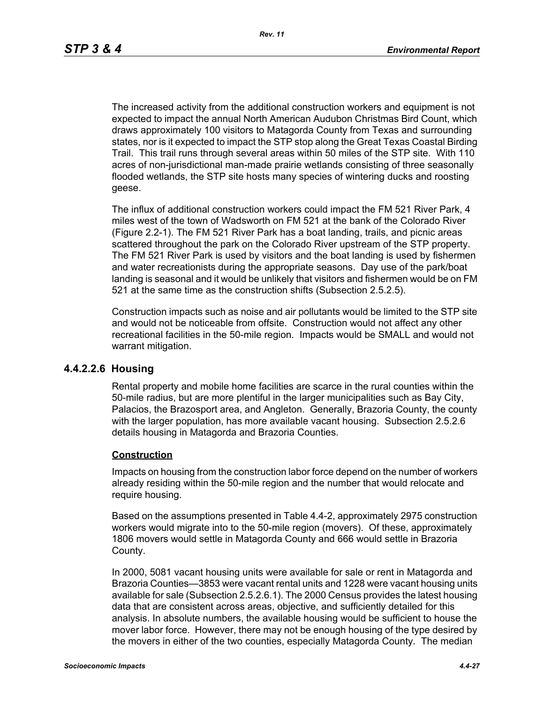The increased activity from the additional construction workers and equipment is not expected to impact the annual North American Audubon Christmas Bird Count, which draws approximately 100 visitors to Matagorda County from Texas and surrounding states, nor is it expected to impact the STP stop along the Great Texas Coastal Birding Trail. This trail runs through several areas within 50 miles of the STP site. With 110 acres of non-jurisdictional man-made prairie wetlands consisting of three seasonally flooded wetlands, the STP site hosts many species of wintering ducks and roosting geese.

The influx of additional construction workers could impact the FM 521 River Park, 4 miles west of the town of Wadsworth on FM 521 at the bank of the Colorado River (Figure 2.2-1). The FM 521 River Park has a boat landing, trails, and picnic areas scattered throughout the park on the Colorado River upstream of the STP property. The FM 521 River Park is used by visitors and the boat landing is used by fishermen and water recreationists during the appropriate seasons. Day use of the park/boat landing is seasonal and it would be unlikely that visitors and fishermen would be on FM 521 at the same time as the construction shifts (Subsection 2.5.2.5).

Construction impacts such as noise and air pollutants would be limited to the STP site and would not be noticeable from offsite. Construction would not affect any other recreational facilities in the 50-mile region. Impacts would be SMALL and would not warrant mitigation.

#### **4.4.2.2.6 Housing**

Rental property and mobile home facilities are scarce in the rural counties within the 50-mile radius, but are more plentiful in the larger municipalities such as Bay City, Palacios, the Brazosport area, and Angleton. Generally, Brazoria County, the county with the larger population, has more available vacant housing. Subsection 2.5.2.6 details housing in Matagorda and Brazoria Counties.

#### **Construction**

Impacts on housing from the construction labor force depend on the number of workers already residing within the 50-mile region and the number that would relocate and require housing.

Based on the assumptions presented in Table 4.4-2, approximately 2975 construction workers would migrate into to the 50-mile region (movers). Of these, approximately 1806 movers would settle in Matagorda County and 666 would settle in Brazoria County.

In 2000, 5081 vacant housing units were available for sale or rent in Matagorda and Brazoria Counties—3853 were vacant rental units and 1228 were vacant housing units available for sale (Subsection 2.5.2.6.1). The 2000 Census provides the latest housing data that are consistent across areas, objective, and sufficiently detailed for this analysis. In absolute numbers, the available housing would be sufficient to house the mover labor force. However, there may not be enough housing of the type desired by the movers in either of the two counties, especially Matagorda County. The median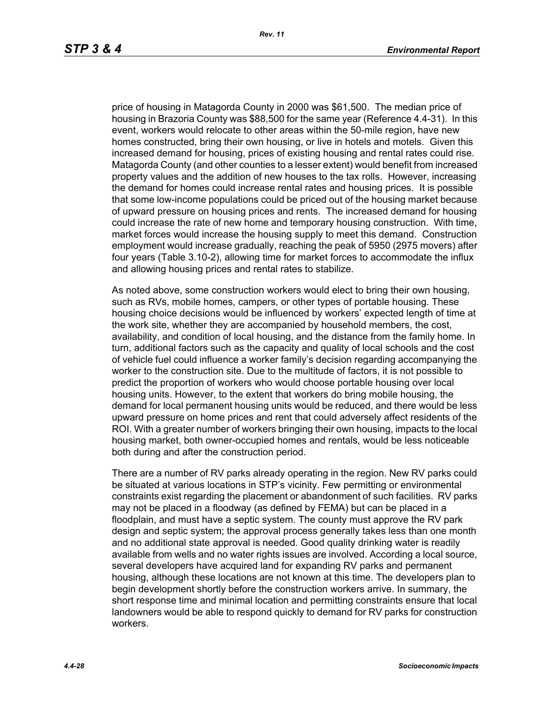price of housing in Matagorda County in 2000 was \$61,500. The median price of housing in Brazoria County was \$88,500 for the same year (Reference 4.4-31). In this event, workers would relocate to other areas within the 50-mile region, have new homes constructed, bring their own housing, or live in hotels and motels. Given this increased demand for housing, prices of existing housing and rental rates could rise. Matagorda County (and other counties to a lesser extent) would benefit from increased property values and the addition of new houses to the tax rolls. However, increasing the demand for homes could increase rental rates and housing prices. It is possible that some low-income populations could be priced out of the housing market because of upward pressure on housing prices and rents. The increased demand for housing could increase the rate of new home and temporary housing construction. With time, market forces would increase the housing supply to meet this demand. Construction employment would increase gradually, reaching the peak of 5950 (2975 movers) after four years (Table 3.10-2), allowing time for market forces to accommodate the influx and allowing housing prices and rental rates to stabilize.

As noted above, some construction workers would elect to bring their own housing, such as RVs, mobile homes, campers, or other types of portable housing. These housing choice decisions would be influenced by workers' expected length of time at the work site, whether they are accompanied by household members, the cost, availability, and condition of local housing, and the distance from the family home. In turn, additional factors such as the capacity and quality of local schools and the cost of vehicle fuel could influence a worker family's decision regarding accompanying the worker to the construction site. Due to the multitude of factors, it is not possible to predict the proportion of workers who would choose portable housing over local housing units. However, to the extent that workers do bring mobile housing, the demand for local permanent housing units would be reduced, and there would be less upward pressure on home prices and rent that could adversely affect residents of the ROI. With a greater number of workers bringing their own housing, impacts to the local housing market, both owner-occupied homes and rentals, would be less noticeable both during and after the construction period.

There are a number of RV parks already operating in the region. New RV parks could be situated at various locations in STP's vicinity. Few permitting or environmental constraints exist regarding the placement or abandonment of such facilities. RV parks may not be placed in a floodway (as defined by FEMA) but can be placed in a floodplain, and must have a septic system. The county must approve the RV park design and septic system; the approval process generally takes less than one month and no additional state approval is needed. Good quality drinking water is readily available from wells and no water rights issues are involved. According a local source, several developers have acquired land for expanding RV parks and permanent housing, although these locations are not known at this time. The developers plan to begin development shortly before the construction workers arrive. In summary, the short response time and minimal location and permitting constraints ensure that local landowners would be able to respond quickly to demand for RV parks for construction workers.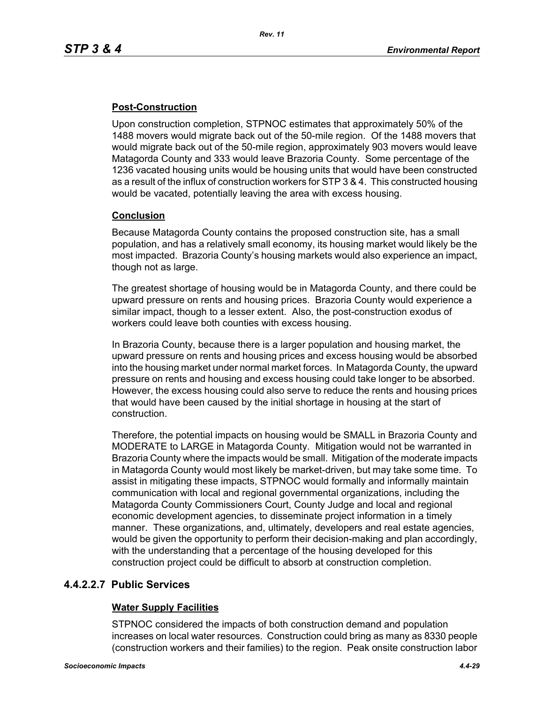## **Post-Construction**

Upon construction completion, STPNOC estimates that approximately 50% of the 1488 movers would migrate back out of the 50-mile region. Of the 1488 movers that would migrate back out of the 50-mile region, approximately 903 movers would leave Matagorda County and 333 would leave Brazoria County. Some percentage of the 1236 vacated housing units would be housing units that would have been constructed as a result of the influx of construction workers for STP 3 & 4. This constructed housing would be vacated, potentially leaving the area with excess housing.

## **Conclusion**

Because Matagorda County contains the proposed construction site, has a small population, and has a relatively small economy, its housing market would likely be the most impacted. Brazoria County's housing markets would also experience an impact, though not as large.

The greatest shortage of housing would be in Matagorda County, and there could be upward pressure on rents and housing prices. Brazoria County would experience a similar impact, though to a lesser extent. Also, the post-construction exodus of workers could leave both counties with excess housing.

In Brazoria County, because there is a larger population and housing market, the upward pressure on rents and housing prices and excess housing would be absorbed into the housing market under normal market forces. In Matagorda County, the upward pressure on rents and housing and excess housing could take longer to be absorbed. However, the excess housing could also serve to reduce the rents and housing prices that would have been caused by the initial shortage in housing at the start of construction.

Therefore, the potential impacts on housing would be SMALL in Brazoria County and MODERATE to LARGE in Matagorda County. Mitigation would not be warranted in Brazoria County where the impacts would be small. Mitigation of the moderate impacts in Matagorda County would most likely be market-driven, but may take some time. To assist in mitigating these impacts, STPNOC would formally and informally maintain communication with local and regional governmental organizations, including the Matagorda County Commissioners Court, County Judge and local and regional economic development agencies, to disseminate project information in a timely manner. These organizations, and, ultimately, developers and real estate agencies, would be given the opportunity to perform their decision-making and plan accordingly, with the understanding that a percentage of the housing developed for this construction project could be difficult to absorb at construction completion.

## **4.4.2.2.7 Public Services**

## **Water Supply Facilities**

STPNOC considered the impacts of both construction demand and population increases on local water resources. Construction could bring as many as 8330 people (construction workers and their families) to the region. Peak onsite construction labor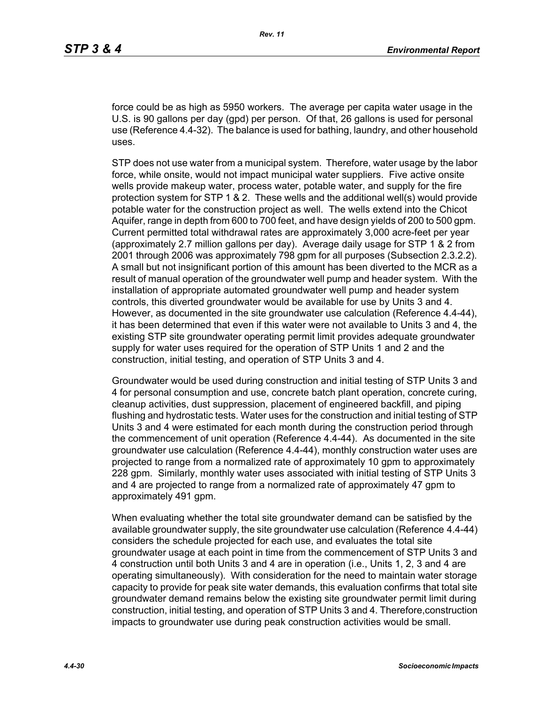force could be as high as 5950 workers. The average per capita water usage in the U.S. is 90 gallons per day (gpd) per person. Of that, 26 gallons is used for personal use (Reference 4.4-32). The balance is used for bathing, laundry, and other household uses.

STP does not use water from a municipal system. Therefore, water usage by the labor force, while onsite, would not impact municipal water suppliers. Five active onsite wells provide makeup water, process water, potable water, and supply for the fire protection system for STP 1 & 2. These wells and the additional well(s) would provide potable water for the construction project as well. The wells extend into the Chicot Aquifer, range in depth from 600 to 700 feet, and have design yields of 200 to 500 gpm. Current permitted total withdrawal rates are approximately 3,000 acre-feet per year (approximately 2.7 million gallons per day). Average daily usage for STP 1 & 2 from 2001 through 2006 was approximately 798 gpm for all purposes (Subsection 2.3.2.2). A small but not insignificant portion of this amount has been diverted to the MCR as a result of manual operation of the groundwater well pump and header system. With the installation of appropriate automated groundwater well pump and header system controls, this diverted groundwater would be available for use by Units 3 and 4. However, as documented in the site groundwater use calculation (Reference 4.4-44), it has been determined that even if this water were not available to Units 3 and 4, the existing STP site groundwater operating permit limit provides adequate groundwater supply for water uses required for the operation of STP Units 1 and 2 and the construction, initial testing, and operation of STP Units 3 and 4.

Groundwater would be used during construction and initial testing of STP Units 3 and 4 for personal consumption and use, concrete batch plant operation, concrete curing, cleanup activities, dust suppression, placement of engineered backfill, and piping flushing and hydrostatic tests. Water uses for the construction and initial testing of STP Units 3 and 4 were estimated for each month during the construction period through the commencement of unit operation (Reference 4.4-44). As documented in the site groundwater use calculation (Reference 4.4-44), monthly construction water uses are projected to range from a normalized rate of approximately 10 gpm to approximately 228 gpm. Similarly, monthly water uses associated with initial testing of STP Units 3 and 4 are projected to range from a normalized rate of approximately 47 gpm to approximately 491 gpm.

When evaluating whether the total site groundwater demand can be satisfied by the available groundwater supply, the site groundwater use calculation (Reference 4.4-44) considers the schedule projected for each use, and evaluates the total site groundwater usage at each point in time from the commencement of STP Units 3 and 4 construction until both Units 3 and 4 are in operation (i.e., Units 1, 2, 3 and 4 are operating simultaneously). With consideration for the need to maintain water storage capacity to provide for peak site water demands, this evaluation confirms that total site groundwater demand remains below the existing site groundwater permit limit during construction, initial testing, and operation of STP Units 3 and 4. Therefore,construction impacts to groundwater use during peak construction activities would be small.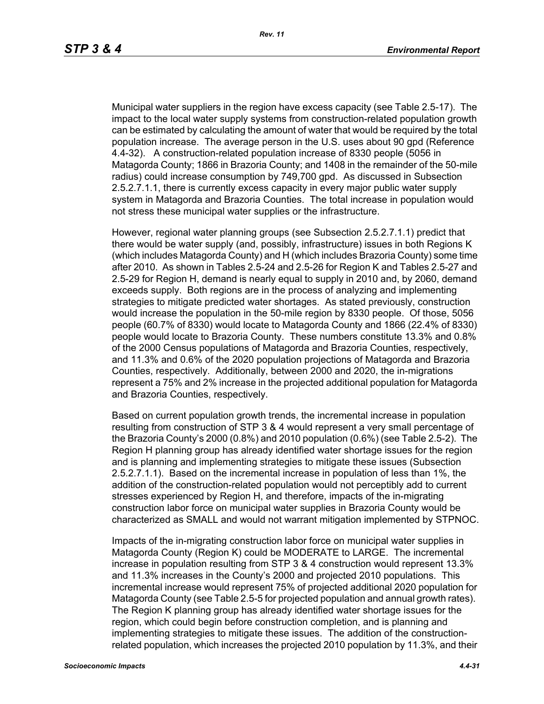Municipal water suppliers in the region have excess capacity (see Table 2.5-17). The impact to the local water supply systems from construction-related population growth can be estimated by calculating the amount of water that would be required by the total population increase. The average person in the U.S. uses about 90 gpd (Reference 4.4-32). A construction-related population increase of 8330 people (5056 in Matagorda County; 1866 in Brazoria County; and 1408 in the remainder of the 50-mile radius) could increase consumption by 749,700 gpd. As discussed in Subsection 2.5.2.7.1.1, there is currently excess capacity in every major public water supply system in Matagorda and Brazoria Counties. The total increase in population would not stress these municipal water supplies or the infrastructure.

However, regional water planning groups (see Subsection 2.5.2.7.1.1) predict that there would be water supply (and, possibly, infrastructure) issues in both Regions K (which includes Matagorda County) and H (which includes Brazoria County) some time after 2010. As shown in Tables 2.5-24 and 2.5-26 for Region K and Tables 2.5-27 and 2.5-29 for Region H, demand is nearly equal to supply in 2010 and, by 2060, demand exceeds supply. Both regions are in the process of analyzing and implementing strategies to mitigate predicted water shortages. As stated previously, construction would increase the population in the 50-mile region by 8330 people. Of those, 5056 people (60.7% of 8330) would locate to Matagorda County and 1866 (22.4% of 8330) people would locate to Brazoria County. These numbers constitute 13.3% and 0.8% of the 2000 Census populations of Matagorda and Brazoria Counties, respectively, and 11.3% and 0.6% of the 2020 population projections of Matagorda and Brazoria Counties, respectively. Additionally, between 2000 and 2020, the in-migrations represent a 75% and 2% increase in the projected additional population for Matagorda and Brazoria Counties, respectively.

Based on current population growth trends, the incremental increase in population resulting from construction of STP 3 & 4 would represent a very small percentage of the Brazoria County's 2000 (0.8%) and 2010 population (0.6%) (see Table 2.5-2). The Region H planning group has already identified water shortage issues for the region and is planning and implementing strategies to mitigate these issues (Subsection 2.5.2.7.1.1). Based on the incremental increase in population of less than 1%, the addition of the construction-related population would not perceptibly add to current stresses experienced by Region H, and therefore, impacts of the in-migrating construction labor force on municipal water supplies in Brazoria County would be characterized as SMALL and would not warrant mitigation implemented by STPNOC.

Impacts of the in-migrating construction labor force on municipal water supplies in Matagorda County (Region K) could be MODERATE to LARGE. The incremental increase in population resulting from STP 3 & 4 construction would represent 13.3% and 11.3% increases in the County's 2000 and projected 2010 populations. This incremental increase would represent 75% of projected additional 2020 population for Matagorda County (see Table 2.5-5 for projected population and annual growth rates). The Region K planning group has already identified water shortage issues for the region, which could begin before construction completion, and is planning and implementing strategies to mitigate these issues. The addition of the constructionrelated population, which increases the projected 2010 population by 11.3%, and their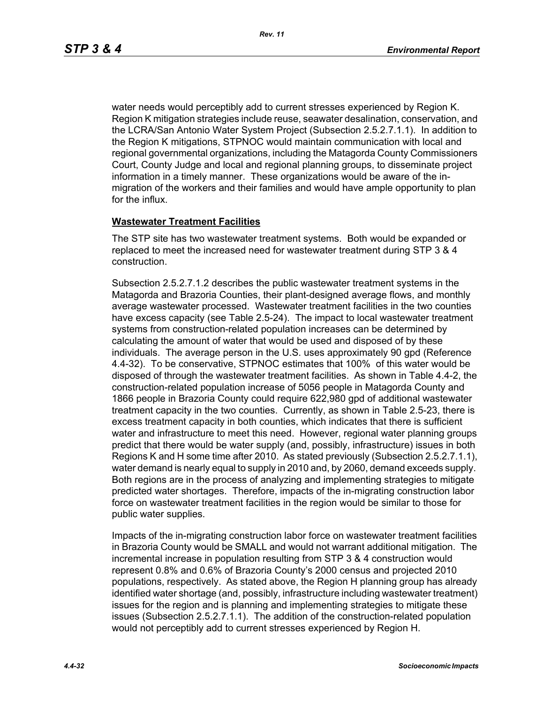water needs would perceptibly add to current stresses experienced by Region K. Region K mitigation strategies include reuse, seawater desalination, conservation, and the LCRA/San Antonio Water System Project (Subsection 2.5.2.7.1.1). In addition to the Region K mitigations, STPNOC would maintain communication with local and regional governmental organizations, including the Matagorda County Commissioners Court, County Judge and local and regional planning groups, to disseminate project information in a timely manner. These organizations would be aware of the inmigration of the workers and their families and would have ample opportunity to plan for the influx.

#### **Wastewater Treatment Facilities**

The STP site has two wastewater treatment systems. Both would be expanded or replaced to meet the increased need for wastewater treatment during STP 3 & 4 construction.

Subsection 2.5.2.7.1.2 describes the public wastewater treatment systems in the Matagorda and Brazoria Counties, their plant-designed average flows, and monthly average wastewater processed. Wastewater treatment facilities in the two counties have excess capacity (see Table 2.5-24). The impact to local wastewater treatment systems from construction-related population increases can be determined by calculating the amount of water that would be used and disposed of by these individuals. The average person in the U.S. uses approximately 90 gpd (Reference 4.4-32). To be conservative, STPNOC estimates that 100% of this water would be disposed of through the wastewater treatment facilities. As shown in Table 4.4-2, the construction-related population increase of 5056 people in Matagorda County and 1866 people in Brazoria County could require 622,980 gpd of additional wastewater treatment capacity in the two counties. Currently, as shown in Table 2.5-23, there is excess treatment capacity in both counties, which indicates that there is sufficient water and infrastructure to meet this need. However, regional water planning groups predict that there would be water supply (and, possibly, infrastructure) issues in both Regions K and H some time after 2010. As stated previously (Subsection 2.5.2.7.1.1), water demand is nearly equal to supply in 2010 and, by 2060, demand exceeds supply. Both regions are in the process of analyzing and implementing strategies to mitigate predicted water shortages. Therefore, impacts of the in-migrating construction labor force on wastewater treatment facilities in the region would be similar to those for public water supplies.

Impacts of the in-migrating construction labor force on wastewater treatment facilities in Brazoria County would be SMALL and would not warrant additional mitigation. The incremental increase in population resulting from STP 3 & 4 construction would represent 0.8% and 0.6% of Brazoria County's 2000 census and projected 2010 populations, respectively. As stated above, the Region H planning group has already identified water shortage (and, possibly, infrastructure including wastewater treatment) issues for the region and is planning and implementing strategies to mitigate these issues (Subsection 2.5.2.7.1.1). The addition of the construction-related population would not perceptibly add to current stresses experienced by Region H.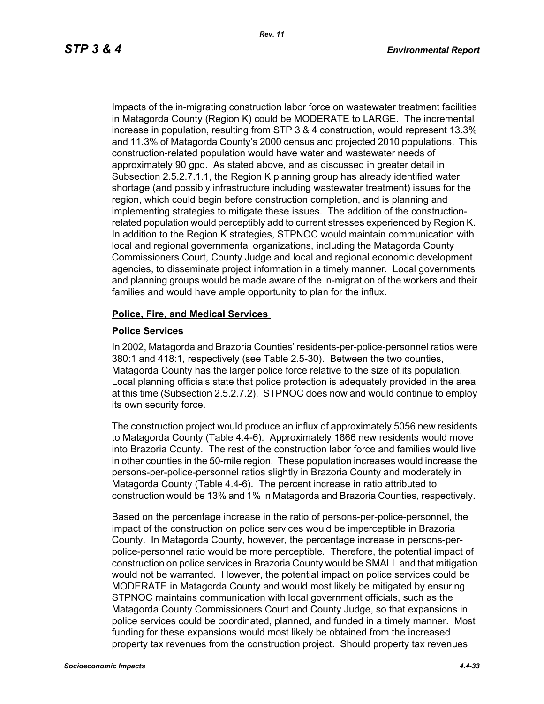Impacts of the in-migrating construction labor force on wastewater treatment facilities in Matagorda County (Region K) could be MODERATE to LARGE. The incremental increase in population, resulting from STP 3 & 4 construction, would represent 13.3% and 11.3% of Matagorda County's 2000 census and projected 2010 populations. This construction-related population would have water and wastewater needs of approximately 90 gpd. As stated above, and as discussed in greater detail in Subsection 2.5.2.7.1.1, the Region K planning group has already identified water shortage (and possibly infrastructure including wastewater treatment) issues for the region, which could begin before construction completion, and is planning and implementing strategies to mitigate these issues. The addition of the constructionrelated population would perceptibly add to current stresses experienced by Region K. In addition to the Region K strategies, STPNOC would maintain communication with local and regional governmental organizations, including the Matagorda County Commissioners Court, County Judge and local and regional economic development agencies, to disseminate project information in a timely manner. Local governments and planning groups would be made aware of the in-migration of the workers and their families and would have ample opportunity to plan for the influx.

#### **Police, Fire, and Medical Services**

#### **Police Services**

In 2002, Matagorda and Brazoria Counties' residents-per-police-personnel ratios were 380:1 and 418:1, respectively (see Table 2.5-30). Between the two counties, Matagorda County has the larger police force relative to the size of its population. Local planning officials state that police protection is adequately provided in the area at this time (Subsection 2.5.2.7.2). STPNOC does now and would continue to employ its own security force.

The construction project would produce an influx of approximately 5056 new residents to Matagorda County (Table 4.4-6). Approximately 1866 new residents would move into Brazoria County. The rest of the construction labor force and families would live in other counties in the 50-mile region. These population increases would increase the persons-per-police-personnel ratios slightly in Brazoria County and moderately in Matagorda County (Table 4.4-6). The percent increase in ratio attributed to construction would be 13% and 1% in Matagorda and Brazoria Counties, respectively.

Based on the percentage increase in the ratio of persons-per-police-personnel, the impact of the construction on police services would be imperceptible in Brazoria County. In Matagorda County, however, the percentage increase in persons-perpolice-personnel ratio would be more perceptible. Therefore, the potential impact of construction on police services in Brazoria County would be SMALL and that mitigation would not be warranted. However, the potential impact on police services could be MODERATE in Matagorda County and would most likely be mitigated by ensuring STPNOC maintains communication with local government officials, such as the Matagorda County Commissioners Court and County Judge, so that expansions in police services could be coordinated, planned, and funded in a timely manner. Most funding for these expansions would most likely be obtained from the increased property tax revenues from the construction project. Should property tax revenues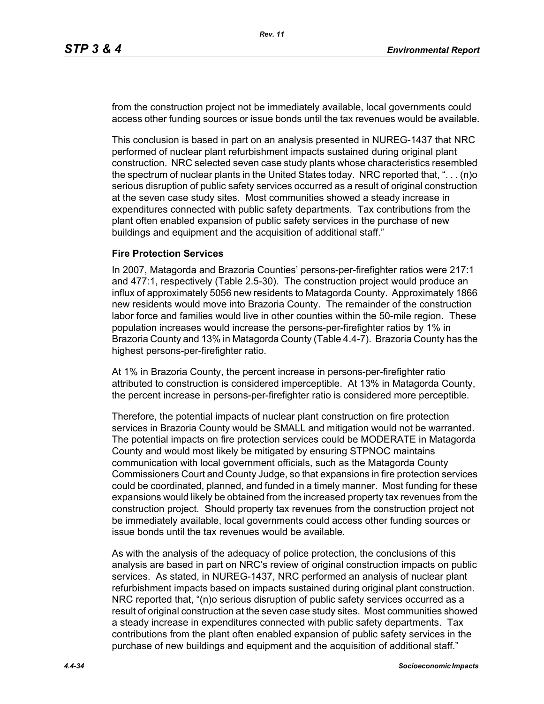from the construction project not be immediately available, local governments could access other funding sources or issue bonds until the tax revenues would be available.

This conclusion is based in part on an analysis presented in NUREG-1437 that NRC performed of nuclear plant refurbishment impacts sustained during original plant construction. NRC selected seven case study plants whose characteristics resembled the spectrum of nuclear plants in the United States today. NRC reported that, ". . . (n)o serious disruption of public safety services occurred as a result of original construction at the seven case study sites. Most communities showed a steady increase in expenditures connected with public safety departments. Tax contributions from the plant often enabled expansion of public safety services in the purchase of new buildings and equipment and the acquisition of additional staff."

#### **Fire Protection Services**

In 2007, Matagorda and Brazoria Counties' persons-per-firefighter ratios were 217:1 and 477:1, respectively (Table 2.5-30). The construction project would produce an influx of approximately 5056 new residents to Matagorda County. Approximately 1866 new residents would move into Brazoria County. The remainder of the construction labor force and families would live in other counties within the 50-mile region. These population increases would increase the persons-per-firefighter ratios by 1% in Brazoria County and 13% in Matagorda County (Table 4.4-7). Brazoria County has the highest persons-per-firefighter ratio.

At 1% in Brazoria County, the percent increase in persons-per-firefighter ratio attributed to construction is considered imperceptible. At 13% in Matagorda County, the percent increase in persons-per-firefighter ratio is considered more perceptible.

Therefore, the potential impacts of nuclear plant construction on fire protection services in Brazoria County would be SMALL and mitigation would not be warranted. The potential impacts on fire protection services could be MODERATE in Matagorda County and would most likely be mitigated by ensuring STPNOC maintains communication with local government officials, such as the Matagorda County Commissioners Court and County Judge, so that expansions in fire protection services could be coordinated, planned, and funded in a timely manner. Most funding for these expansions would likely be obtained from the increased property tax revenues from the construction project. Should property tax revenues from the construction project not be immediately available, local governments could access other funding sources or issue bonds until the tax revenues would be available.

As with the analysis of the adequacy of police protection, the conclusions of this analysis are based in part on NRC's review of original construction impacts on public services. As stated, in NUREG-1437, NRC performed an analysis of nuclear plant refurbishment impacts based on impacts sustained during original plant construction. NRC reported that, "(n)o serious disruption of public safety services occurred as a result of original construction at the seven case study sites. Most communities showed a steady increase in expenditures connected with public safety departments. Tax contributions from the plant often enabled expansion of public safety services in the purchase of new buildings and equipment and the acquisition of additional staff."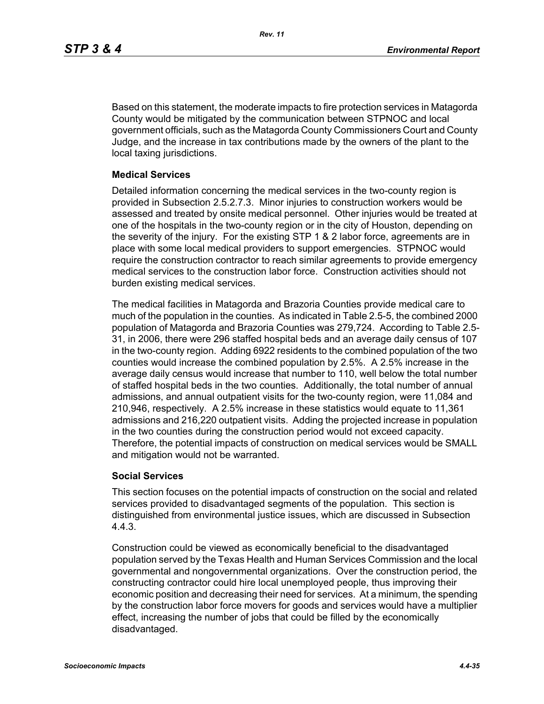Based on this statement, the moderate impacts to fire protection services in Matagorda County would be mitigated by the communication between STPNOC and local government officials, such as the Matagorda County Commissioners Court and County Judge, and the increase in tax contributions made by the owners of the plant to the local taxing jurisdictions.

#### **Medical Services**

Detailed information concerning the medical services in the two-county region is provided in Subsection 2.5.2.7.3. Minor injuries to construction workers would be assessed and treated by onsite medical personnel. Other injuries would be treated at one of the hospitals in the two-county region or in the city of Houston, depending on the severity of the injury. For the existing STP 1 & 2 labor force, agreements are in place with some local medical providers to support emergencies. STPNOC would require the construction contractor to reach similar agreements to provide emergency medical services to the construction labor force. Construction activities should not burden existing medical services.

The medical facilities in Matagorda and Brazoria Counties provide medical care to much of the population in the counties. As indicated in Table 2.5-5, the combined 2000 population of Matagorda and Brazoria Counties was 279,724. According to Table 2.5- 31, in 2006, there were 296 staffed hospital beds and an average daily census of 107 in the two-county region. Adding 6922 residents to the combined population of the two counties would increase the combined population by 2.5%. A 2.5% increase in the average daily census would increase that number to 110, well below the total number of staffed hospital beds in the two counties. Additionally, the total number of annual admissions, and annual outpatient visits for the two-county region, were 11,084 and 210,946, respectively. A 2.5% increase in these statistics would equate to 11,361 admissions and 216,220 outpatient visits. Adding the projected increase in population in the two counties during the construction period would not exceed capacity. Therefore, the potential impacts of construction on medical services would be SMALL and mitigation would not be warranted.

## **Social Services**

This section focuses on the potential impacts of construction on the social and related services provided to disadvantaged segments of the population. This section is distinguished from environmental justice issues, which are discussed in Subsection 4.4.3.

Construction could be viewed as economically beneficial to the disadvantaged population served by the Texas Health and Human Services Commission and the local governmental and nongovernmental organizations. Over the construction period, the constructing contractor could hire local unemployed people, thus improving their economic position and decreasing their need for services. At a minimum, the spending by the construction labor force movers for goods and services would have a multiplier effect, increasing the number of jobs that could be filled by the economically disadvantaged.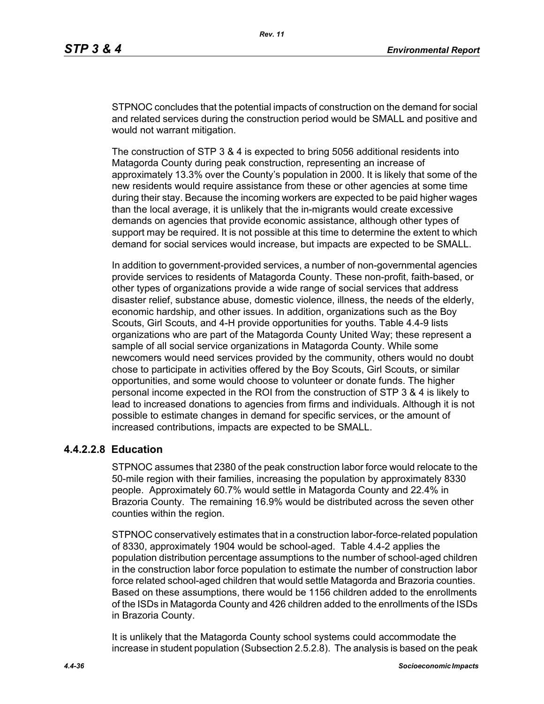STPNOC concludes that the potential impacts of construction on the demand for social and related services during the construction period would be SMALL and positive and would not warrant mitigation.

The construction of STP 3 & 4 is expected to bring 5056 additional residents into Matagorda County during peak construction, representing an increase of approximately 13.3% over the County's population in 2000. It is likely that some of the new residents would require assistance from these or other agencies at some time during their stay. Because the incoming workers are expected to be paid higher wages than the local average, it is unlikely that the in-migrants would create excessive demands on agencies that provide economic assistance, although other types of support may be required. It is not possible at this time to determine the extent to which demand for social services would increase, but impacts are expected to be SMALL.

In addition to government-provided services, a number of non-governmental agencies provide services to residents of Matagorda County. These non-profit, faith-based, or other types of organizations provide a wide range of social services that address disaster relief, substance abuse, domestic violence, illness, the needs of the elderly, economic hardship, and other issues. In addition, organizations such as the Boy Scouts, Girl Scouts, and 4-H provide opportunities for youths. Table 4.4-9 lists organizations who are part of the Matagorda County United Way; these represent a sample of all social service organizations in Matagorda County. While some newcomers would need services provided by the community, others would no doubt chose to participate in activities offered by the Boy Scouts, Girl Scouts, or similar opportunities, and some would choose to volunteer or donate funds. The higher personal income expected in the ROI from the construction of STP 3 & 4 is likely to lead to increased donations to agencies from firms and individuals. Although it is not possible to estimate changes in demand for specific services, or the amount of increased contributions, impacts are expected to be SMALL.

## **4.4.2.2.8 Education**

STPNOC assumes that 2380 of the peak construction labor force would relocate to the 50-mile region with their families, increasing the population by approximately 8330 people. Approximately 60.7% would settle in Matagorda County and 22.4% in Brazoria County. The remaining 16.9% would be distributed across the seven other counties within the region.

STPNOC conservatively estimates that in a construction labor-force-related population of 8330, approximately 1904 would be school-aged. Table 4.4-2 applies the population distribution percentage assumptions to the number of school-aged children in the construction labor force population to estimate the number of construction labor force related school-aged children that would settle Matagorda and Brazoria counties. Based on these assumptions, there would be 1156 children added to the enrollments of the ISDs in Matagorda County and 426 children added to the enrollments of the ISDs in Brazoria County.

It is unlikely that the Matagorda County school systems could accommodate the increase in student population (Subsection 2.5.2.8). The analysis is based on the peak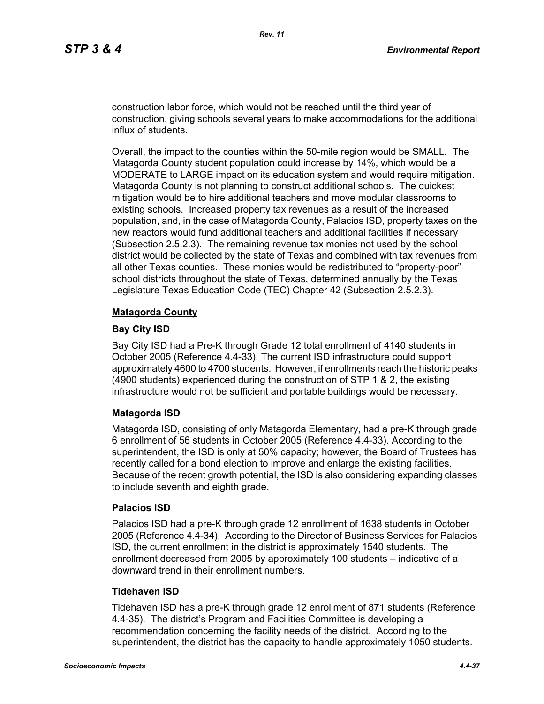construction labor force, which would not be reached until the third year of construction, giving schools several years to make accommodations for the additional influx of students.

Overall, the impact to the counties within the 50-mile region would be SMALL. The Matagorda County student population could increase by 14%, which would be a MODERATE to LARGE impact on its education system and would require mitigation. Matagorda County is not planning to construct additional schools. The quickest mitigation would be to hire additional teachers and move modular classrooms to existing schools. Increased property tax revenues as a result of the increased population, and, in the case of Matagorda County, Palacios ISD, property taxes on the new reactors would fund additional teachers and additional facilities if necessary (Subsection 2.5.2.3). The remaining revenue tax monies not used by the school district would be collected by the state of Texas and combined with tax revenues from all other Texas counties. These monies would be redistributed to "property-poor" school districts throughout the state of Texas, determined annually by the Texas Legislature Texas Education Code (TEC) Chapter 42 (Subsection 2.5.2.3).

#### **Matagorda County**

#### **Bay City ISD**

Bay City ISD had a Pre-K through Grade 12 total enrollment of 4140 students in October 2005 (Reference 4.4-33). The current ISD infrastructure could support approximately 4600 to 4700 students. However, if enrollments reach the historic peaks (4900 students) experienced during the construction of STP 1 & 2, the existing infrastructure would not be sufficient and portable buildings would be necessary.

## **Matagorda ISD**

Matagorda ISD, consisting of only Matagorda Elementary, had a pre-K through grade 6 enrollment of 56 students in October 2005 (Reference 4.4-33). According to the superintendent, the ISD is only at 50% capacity; however, the Board of Trustees has recently called for a bond election to improve and enlarge the existing facilities. Because of the recent growth potential, the ISD is also considering expanding classes to include seventh and eighth grade.

#### **Palacios ISD**

Palacios ISD had a pre-K through grade 12 enrollment of 1638 students in October 2005 (Reference 4.4-34). According to the Director of Business Services for Palacios ISD, the current enrollment in the district is approximately 1540 students. The enrollment decreased from 2005 by approximately 100 students – indicative of a downward trend in their enrollment numbers.

#### **Tidehaven ISD**

Tidehaven ISD has a pre-K through grade 12 enrollment of 871 students (Reference 4.4-35). The district's Program and Facilities Committee is developing a recommendation concerning the facility needs of the district. According to the superintendent, the district has the capacity to handle approximately 1050 students.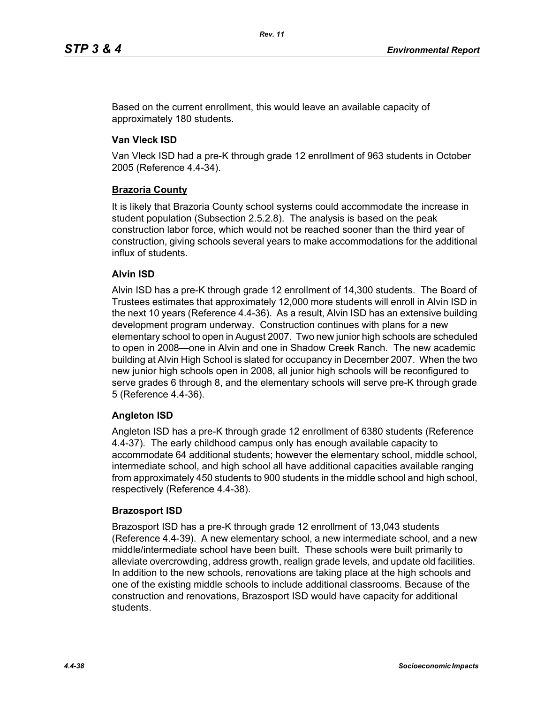Based on the current enrollment, this would leave an available capacity of approximately 180 students.

## **Van Vleck ISD**

Van Vleck ISD had a pre-K through grade 12 enrollment of 963 students in October 2005 (Reference 4.4-34).

## **Brazoria County**

It is likely that Brazoria County school systems could accommodate the increase in student population (Subsection 2.5.2.8). The analysis is based on the peak construction labor force, which would not be reached sooner than the third year of construction, giving schools several years to make accommodations for the additional influx of students.

## **Alvin ISD**

Alvin ISD has a pre-K through grade 12 enrollment of 14,300 students. The Board of Trustees estimates that approximately 12,000 more students will enroll in Alvin ISD in the next 10 years (Reference 4.4-36). As a result, Alvin ISD has an extensive building development program underway. Construction continues with plans for a new elementary school to open in August 2007. Two new junior high schools are scheduled to open in 2008—one in Alvin and one in Shadow Creek Ranch. The new academic building at Alvin High School is slated for occupancy in December 2007. When the two new junior high schools open in 2008, all junior high schools will be reconfigured to serve grades 6 through 8, and the elementary schools will serve pre-K through grade 5 (Reference 4.4-36).

## **Angleton ISD**

Angleton ISD has a pre-K through grade 12 enrollment of 6380 students (Reference 4.4-37). The early childhood campus only has enough available capacity to accommodate 64 additional students; however the elementary school, middle school, intermediate school, and high school all have additional capacities available ranging from approximately 450 students to 900 students in the middle school and high school, respectively (Reference 4.4-38).

## **Brazosport ISD**

Brazosport ISD has a pre-K through grade 12 enrollment of 13,043 students (Reference 4.4-39). A new elementary school, a new intermediate school, and a new middle/intermediate school have been built. These schools were built primarily to alleviate overcrowding, address growth, realign grade levels, and update old facilities. In addition to the new schools, renovations are taking place at the high schools and one of the existing middle schools to include additional classrooms. Because of the construction and renovations, Brazosport ISD would have capacity for additional students.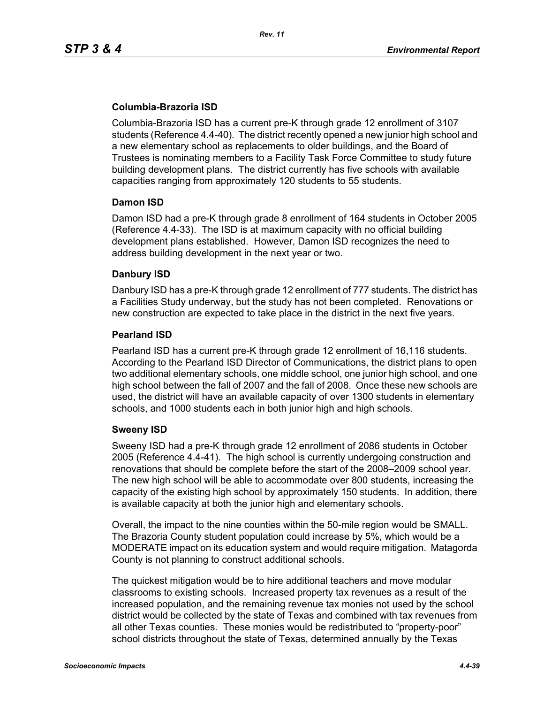## **Columbia-Brazoria ISD**

Columbia-Brazoria ISD has a current pre-K through grade 12 enrollment of 3107 students (Reference 4.4-40). The district recently opened a new junior high school and a new elementary school as replacements to older buildings, and the Board of Trustees is nominating members to a Facility Task Force Committee to study future building development plans. The district currently has five schools with available capacities ranging from approximately 120 students to 55 students.

#### **Damon ISD**

Damon ISD had a pre-K through grade 8 enrollment of 164 students in October 2005 (Reference 4.4-33). The ISD is at maximum capacity with no official building development plans established. However, Damon ISD recognizes the need to address building development in the next year or two.

## **Danbury ISD**

Danbury ISD has a pre-K through grade 12 enrollment of 777 students. The district has a Facilities Study underway, but the study has not been completed. Renovations or new construction are expected to take place in the district in the next five years.

#### **Pearland ISD**

Pearland ISD has a current pre-K through grade 12 enrollment of 16,116 students. According to the Pearland ISD Director of Communications, the district plans to open two additional elementary schools, one middle school, one junior high school, and one high school between the fall of 2007 and the fall of 2008. Once these new schools are used, the district will have an available capacity of over 1300 students in elementary schools, and 1000 students each in both junior high and high schools.

## **Sweeny ISD**

Sweeny ISD had a pre-K through grade 12 enrollment of 2086 students in October 2005 (Reference 4.4-41). The high school is currently undergoing construction and renovations that should be complete before the start of the 2008–2009 school year. The new high school will be able to accommodate over 800 students, increasing the capacity of the existing high school by approximately 150 students. In addition, there is available capacity at both the junior high and elementary schools.

Overall, the impact to the nine counties within the 50-mile region would be SMALL. The Brazoria County student population could increase by 5%, which would be a MODERATE impact on its education system and would require mitigation. Matagorda County is not planning to construct additional schools.

The quickest mitigation would be to hire additional teachers and move modular classrooms to existing schools. Increased property tax revenues as a result of the increased population, and the remaining revenue tax monies not used by the school district would be collected by the state of Texas and combined with tax revenues from all other Texas counties. These monies would be redistributed to "property-poor" school districts throughout the state of Texas, determined annually by the Texas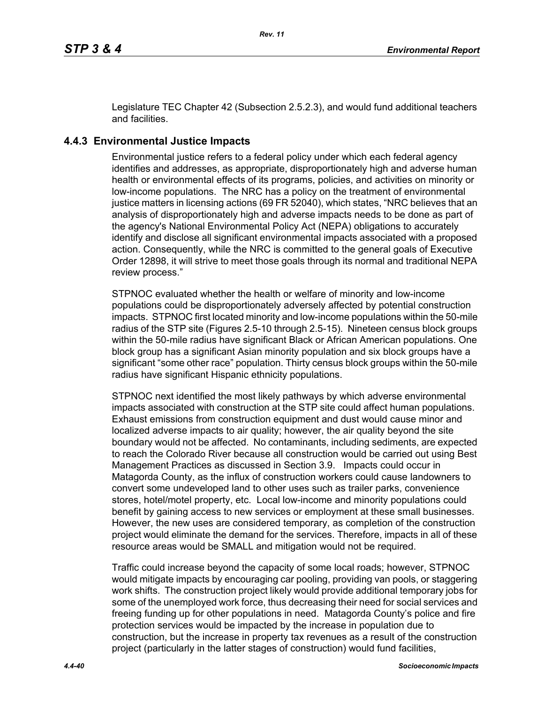Legislature TEC Chapter 42 (Subsection 2.5.2.3), and would fund additional teachers and facilities.

## **4.4.3 Environmental Justice Impacts**

Environmental justice refers to a federal policy under which each federal agency identifies and addresses, as appropriate, disproportionately high and adverse human health or environmental effects of its programs, policies, and activities on minority or low-income populations. The NRC has a policy on the treatment of environmental justice matters in licensing actions (69 FR 52040), which states, "NRC believes that an analysis of disproportionately high and adverse impacts needs to be done as part of the agency's National Environmental Policy Act (NEPA) obligations to accurately identify and disclose all significant environmental impacts associated with a proposed action. Consequently, while the NRC is committed to the general goals of Executive Order 12898, it will strive to meet those goals through its normal and traditional NEPA review process."

STPNOC evaluated whether the health or welfare of minority and low-income populations could be disproportionately adversely affected by potential construction impacts. STPNOC first located minority and low-income populations within the 50-mile radius of the STP site (Figures 2.5-10 through 2.5-15). Nineteen census block groups within the 50-mile radius have significant Black or African American populations. One block group has a significant Asian minority population and six block groups have a significant "some other race" population. Thirty census block groups within the 50-mile radius have significant Hispanic ethnicity populations.

STPNOC next identified the most likely pathways by which adverse environmental impacts associated with construction at the STP site could affect human populations. Exhaust emissions from construction equipment and dust would cause minor and localized adverse impacts to air quality; however, the air quality beyond the site boundary would not be affected. No contaminants, including sediments, are expected to reach the Colorado River because all construction would be carried out using Best Management Practices as discussed in Section 3.9. Impacts could occur in Matagorda County, as the influx of construction workers could cause landowners to convert some undeveloped land to other uses such as trailer parks, convenience stores, hotel/motel property, etc. Local low-income and minority populations could benefit by gaining access to new services or employment at these small businesses. However, the new uses are considered temporary, as completion of the construction project would eliminate the demand for the services. Therefore, impacts in all of these resource areas would be SMALL and mitigation would not be required.

Traffic could increase beyond the capacity of some local roads; however, STPNOC would mitigate impacts by encouraging car pooling, providing van pools, or staggering work shifts. The construction project likely would provide additional temporary jobs for some of the unemployed work force, thus decreasing their need for social services and freeing funding up for other populations in need. Matagorda County's police and fire protection services would be impacted by the increase in population due to construction, but the increase in property tax revenues as a result of the construction project (particularly in the latter stages of construction) would fund facilities,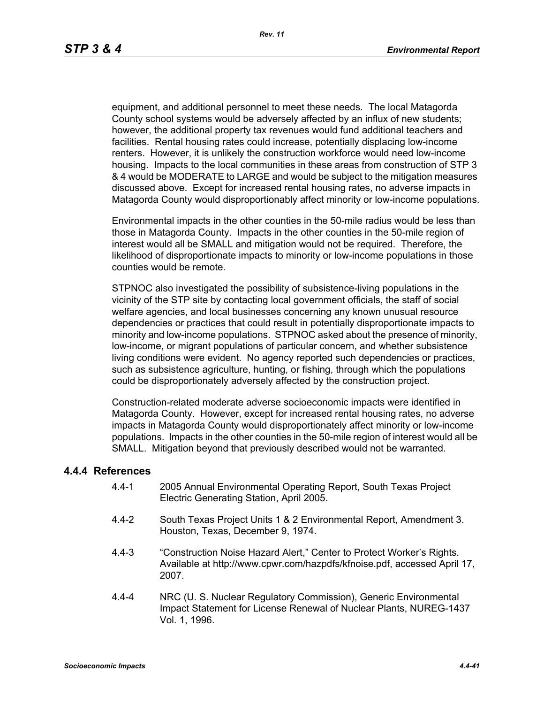equipment, and additional personnel to meet these needs. The local Matagorda County school systems would be adversely affected by an influx of new students; however, the additional property tax revenues would fund additional teachers and facilities. Rental housing rates could increase, potentially displacing low-income renters. However, it is unlikely the construction workforce would need low-income housing. Impacts to the local communities in these areas from construction of STP 3 & 4 would be MODERATE to LARGE and would be subject to the mitigation measures discussed above. Except for increased rental housing rates, no adverse impacts in Matagorda County would disproportionably affect minority or low-income populations.

Environmental impacts in the other counties in the 50-mile radius would be less than those in Matagorda County. Impacts in the other counties in the 50-mile region of interest would all be SMALL and mitigation would not be required. Therefore, the likelihood of disproportionate impacts to minority or low-income populations in those counties would be remote.

STPNOC also investigated the possibility of subsistence-living populations in the vicinity of the STP site by contacting local government officials, the staff of social welfare agencies, and local businesses concerning any known unusual resource dependencies or practices that could result in potentially disproportionate impacts to minority and low-income populations. STPNOC asked about the presence of minority, low-income, or migrant populations of particular concern, and whether subsistence living conditions were evident. No agency reported such dependencies or practices, such as subsistence agriculture, hunting, or fishing, through which the populations could be disproportionately adversely affected by the construction project.

Construction-related moderate adverse socioeconomic impacts were identified in Matagorda County. However, except for increased rental housing rates, no adverse impacts in Matagorda County would disproportionately affect minority or low-income populations. Impacts in the other counties in the 50-mile region of interest would all be SMALL. Mitigation beyond that previously described would not be warranted.

#### **4.4.4 References**

- 4.4-1 2005 Annual Environmental Operating Report, South Texas Project Electric Generating Station, April 2005.
- 4.4-2 South Texas Project Units 1 & 2 Environmental Report, Amendment 3. Houston, Texas, December 9, 1974.
- 4.4-3 "Construction Noise Hazard Alert," Center to Protect Worker's Rights. Available at http://www.cpwr.com/hazpdfs/kfnoise.pdf, accessed April 17, 2007.
- 4.4-4 NRC (U. S. Nuclear Regulatory Commission), Generic Environmental Impact Statement for License Renewal of Nuclear Plants, NUREG-1437 Vol. 1, 1996.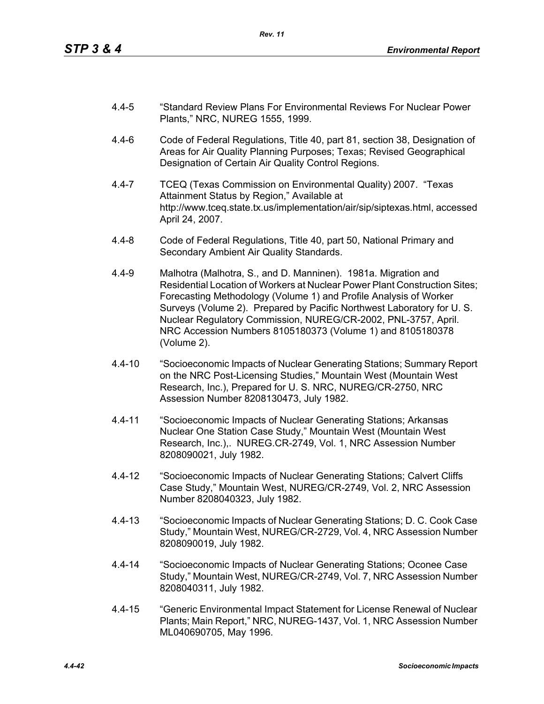- 4.4-5 "Standard Review Plans For Environmental Reviews For Nuclear Power Plants," NRC, NUREG 1555, 1999.
- 4.4-6 Code of Federal Regulations, Title 40, part 81, section 38, Designation of Areas for Air Quality Planning Purposes; Texas; Revised Geographical Designation of Certain Air Quality Control Regions.
- 4.4-7 TCEQ (Texas Commission on Environmental Quality) 2007. "Texas Attainment Status by Region," Available at http://www.tceq.state.tx.us/implementation/air/sip/siptexas.html, accessed April 24, 2007.
- 4.4-8 Code of Federal Regulations, Title 40, part 50, National Primary and Secondary Ambient Air Quality Standards.
- 4.4-9 Malhotra (Malhotra, S., and D. Manninen). 1981a. Migration and Residential Location of Workers at Nuclear Power Plant Construction Sites; Forecasting Methodology (Volume 1) and Profile Analysis of Worker Surveys (Volume 2). Prepared by Pacific Northwest Laboratory for U. S. Nuclear Regulatory Commission, NUREG/CR-2002, PNL-3757, April. NRC Accession Numbers 8105180373 (Volume 1) and 8105180378 (Volume 2).
- 4.4-10 "Socioeconomic Impacts of Nuclear Generating Stations; Summary Report on the NRC Post-Licensing Studies," Mountain West (Mountain West Research, Inc.), Prepared for U. S. NRC, NUREG/CR-2750, NRC Assession Number 8208130473, July 1982.
- 4.4-11 "Socioeconomic Impacts of Nuclear Generating Stations; Arkansas Nuclear One Station Case Study," Mountain West (Mountain West Research, Inc.),. NUREG.CR-2749, Vol. 1, NRC Assession Number 8208090021, July 1982.
- 4.4-12 "Socioeconomic Impacts of Nuclear Generating Stations; Calvert Cliffs Case Study," Mountain West, NUREG/CR-2749, Vol. 2, NRC Assession Number 8208040323, July 1982.
- 4.4-13 "Socioeconomic Impacts of Nuclear Generating Stations; D. C. Cook Case Study," Mountain West, NUREG/CR-2729, Vol. 4, NRC Assession Number 8208090019, July 1982.
- 4.4-14 "Socioeconomic Impacts of Nuclear Generating Stations; Oconee Case Study," Mountain West, NUREG/CR-2749, Vol. 7, NRC Assession Number 8208040311, July 1982.
- 4.4-15 "Generic Environmental Impact Statement for License Renewal of Nuclear Plants; Main Report," NRC, NUREG-1437, Vol. 1, NRC Assession Number ML040690705, May 1996.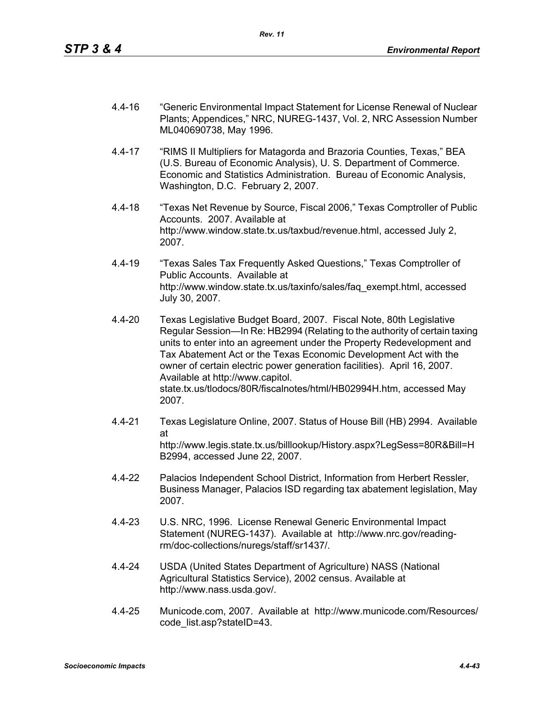- 4.4-16 "Generic Environmental Impact Statement for License Renewal of Nuclear Plants; Appendices," NRC, NUREG-1437, Vol. 2, NRC Assession Number ML040690738, May 1996.
- 4.4-17 "RIMS II Multipliers for Matagorda and Brazoria Counties, Texas," BEA (U.S. Bureau of Economic Analysis), U. S. Department of Commerce. Economic and Statistics Administration. Bureau of Economic Analysis, Washington, D.C. February 2, 2007.
- 4.4-18 "Texas Net Revenue by Source, Fiscal 2006," Texas Comptroller of Public Accounts. 2007. Available at http://www.window.state.tx.us/taxbud/revenue.html, accessed July 2, 2007.
- 4.4-19 "Texas Sales Tax Frequently Asked Questions," Texas Comptroller of Public Accounts. Available at http://www.window.state.tx.us/taxinfo/sales/faq\_exempt.html, accessed July 30, 2007.
- 4.4-20 Texas Legislative Budget Board, 2007. Fiscal Note, 80th Legislative Regular Session—In Re: HB2994 (Relating to the authority of certain taxing units to enter into an agreement under the Property Redevelopment and Tax Abatement Act or the Texas Economic Development Act with the owner of certain electric power generation facilities). April 16, 2007. Available at http://www.capitol. state.tx.us/tlodocs/80R/fiscalnotes/html/HB02994H.htm, accessed May 2007.
- 4.4-21 Texas Legislature Online, 2007. Status of House Bill (HB) 2994. Available at http://www.legis.state.tx.us/billlookup/History.aspx?LegSess=80R&Bill=H B2994, accessed June 22, 2007.
- 4.4-22 Palacios Independent School District, Information from Herbert Ressler, Business Manager, Palacios ISD regarding tax abatement legislation, May 2007.
- 4.4-23 U.S. NRC, 1996. License Renewal Generic Environmental Impact Statement (NUREG-1437). Available at http://www.nrc.gov/readingrm/doc-collections/nuregs/staff/sr1437/.
- 4.4-24 USDA (United States Department of Agriculture) NASS (National Agricultural Statistics Service), 2002 census. Available at http://www.nass.usda.gov/.
- 4.4-25 Municode.com, 2007. Available at http://www.municode.com/Resources/ code\_list.asp?stateID=43.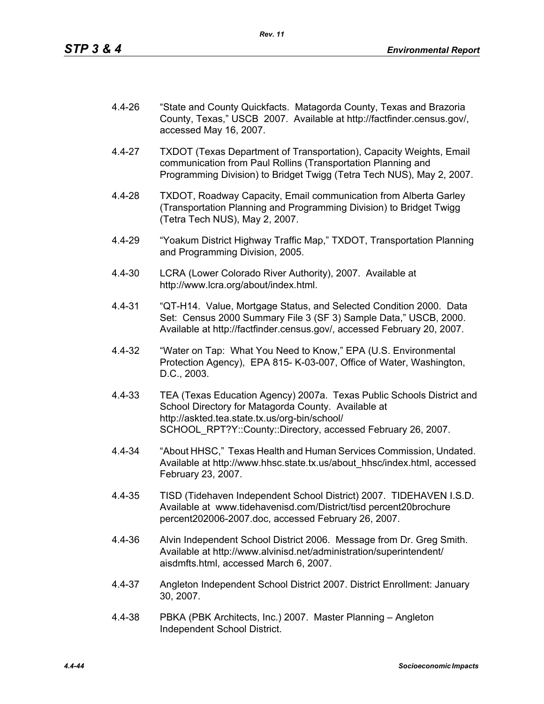- 4.4-26 "State and County Quickfacts. Matagorda County, Texas and Brazoria County, Texas," USCB 2007. Available at http://factfinder.census.gov/, accessed May 16, 2007.
- 4.4-27 TXDOT (Texas Department of Transportation), Capacity Weights, Email communication from Paul Rollins (Transportation Planning and Programming Division) to Bridget Twigg (Tetra Tech NUS), May 2, 2007.
- 4.4-28 TXDOT, Roadway Capacity, Email communication from Alberta Garley (Transportation Planning and Programming Division) to Bridget Twigg (Tetra Tech NUS), May 2, 2007.
- 4.4-29 "Yoakum District Highway Traffic Map," TXDOT, Transportation Planning and Programming Division, 2005.
- 4.4-30 LCRA (Lower Colorado River Authority), 2007. Available at http://www.lcra.org/about/index.html.
- 4.4-31 "QT-H14. Value, Mortgage Status, and Selected Condition 2000. Data Set: Census 2000 Summary File 3 (SF 3) Sample Data," USCB, 2000. Available at http://factfinder.census.gov/, accessed February 20, 2007.
- 4.4-32 "Water on Tap: What You Need to Know," EPA (U.S. Environmental Protection Agency), EPA 815- K-03-007, Office of Water, Washington, D.C., 2003.
- 4.4-33 TEA (Texas Education Agency) 2007a. Texas Public Schools District and School Directory for Matagorda County. Available at http://askted.tea.state.tx.us/org-bin/school/ SCHOOL\_RPT?Y::County::Directory, accessed February 26, 2007.
- 4.4-34 "About HHSC," Texas Health and Human Services Commission, Undated. Available at http://www.hhsc.state.tx.us/about\_hhsc/index.html, accessed February 23, 2007.
- 4.4-35 TISD (Tidehaven Independent School District) 2007. TIDEHAVEN I.S.D. Available at www.tidehavenisd.com/District/tisd percent20brochure percent202006-2007.doc, accessed February 26, 2007.
- 4.4-36 Alvin Independent School District 2006. Message from Dr. Greg Smith. Available at http://www.alvinisd.net/administration/superintendent/ aisdmfts.html, accessed March 6, 2007.
- 4.4-37 Angleton Independent School District 2007. District Enrollment: January 30, 2007.
- 4.4-38 PBKA (PBK Architects, Inc.) 2007. Master Planning Angleton Independent School District.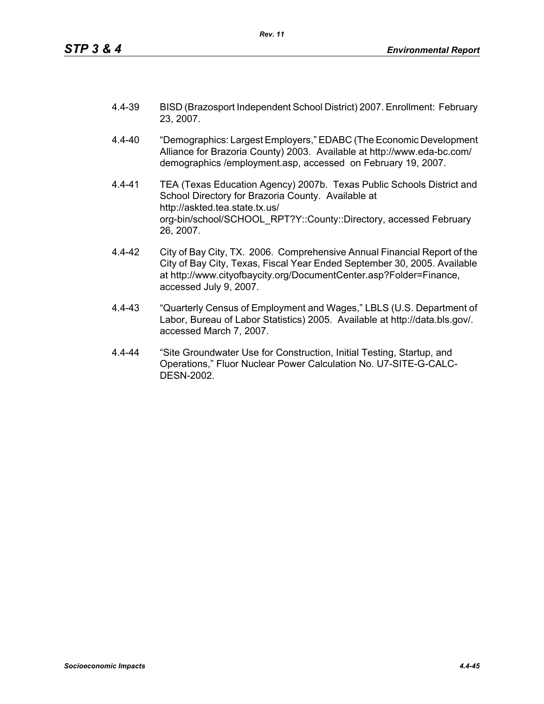- 4.4-39 BISD (Brazosport Independent School District) 2007. Enrollment: February 23, 2007.
- 4.4-40 "Demographics: Largest Employers," EDABC (The Economic Development Alliance for Brazoria County) 2003. Available at http://www.eda-bc.com/ demographics /employment.asp, accessed on February 19, 2007.
- 4.4-41 TEA (Texas Education Agency) 2007b. Texas Public Schools District and School Directory for Brazoria County. Available at http://askted.tea.state.tx.us/ org-bin/school/SCHOOL\_RPT?Y::County::Directory, accessed February 26, 2007.
- 4.4-42 City of Bay City, TX. 2006. Comprehensive Annual Financial Report of the City of Bay City, Texas, Fiscal Year Ended September 30, 2005. Available at http://www.cityofbaycity.org/DocumentCenter.asp?Folder=Finance, accessed July 9, 2007.
- 4.4-43 "Quarterly Census of Employment and Wages," LBLS (U.S. Department of Labor, Bureau of Labor Statistics) 2005. Available at http://data.bls.gov/. accessed March 7, 2007.
- 4.4-44 "Site Groundwater Use for Construction, Initial Testing, Startup, and Operations," Fluor Nuclear Power Calculation No. U7-SITE-G-CALC-DESN-2002.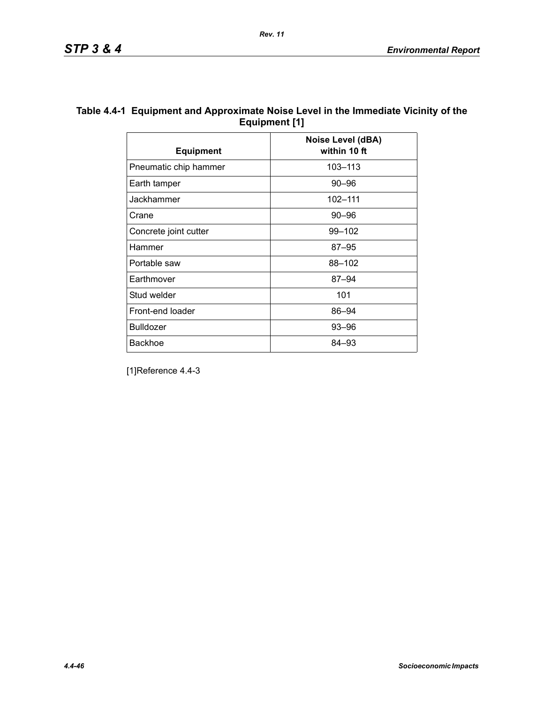|                       | Noise Level (dBA) |
|-----------------------|-------------------|
| <b>Equipment</b>      | within 10 ft      |
| Pneumatic chip hammer | 103-113           |
| Earth tamper          | $90 - 96$         |
| Jackhammer            | 102-111           |
| Crane                 | $90 - 96$         |
| Concrete joint cutter | $99 - 102$        |
| Hammer                | $87 - 95$         |
| Portable saw          | 88-102            |
| Earthmover            | $87 - 94$         |
| Stud welder           | 101               |
| Front-end loader      | 86-94             |
| <b>Bulldozer</b>      | 93-96             |
| <b>Backhoe</b>        | 84-93             |

## **Table 4.4-1 Equipment and Approximate Noise Level in the Immediate Vicinity of the Equipment [1]**

*Rev. 11*

[1]Reference 4.4-3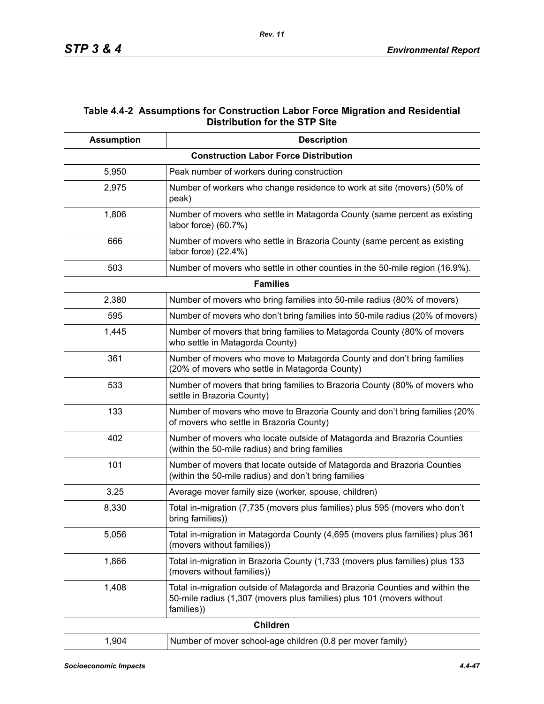## **Table 4.4-2 Assumptions for Construction Labor Force Migration and Residential Distribution for the STP Site**

| <b>Assumption</b> | <b>Description</b>                                                                                                                                                  |  |  |  |  |  |  |  |  |  |
|-------------------|---------------------------------------------------------------------------------------------------------------------------------------------------------------------|--|--|--|--|--|--|--|--|--|
|                   | <b>Construction Labor Force Distribution</b>                                                                                                                        |  |  |  |  |  |  |  |  |  |
| 5,950             | Peak number of workers during construction                                                                                                                          |  |  |  |  |  |  |  |  |  |
| 2,975             | Number of workers who change residence to work at site (movers) (50% of<br>peak)                                                                                    |  |  |  |  |  |  |  |  |  |
| 1,806             | Number of movers who settle in Matagorda County (same percent as existing<br>labor force) (60.7%)                                                                   |  |  |  |  |  |  |  |  |  |
| 666               | Number of movers who settle in Brazoria County (same percent as existing<br>labor force) (22.4%)                                                                    |  |  |  |  |  |  |  |  |  |
| 503               | Number of movers who settle in other counties in the 50-mile region (16.9%).                                                                                        |  |  |  |  |  |  |  |  |  |
|                   | <b>Families</b>                                                                                                                                                     |  |  |  |  |  |  |  |  |  |
| 2,380             | Number of movers who bring families into 50-mile radius (80% of movers)                                                                                             |  |  |  |  |  |  |  |  |  |
| 595               | Number of movers who don't bring families into 50-mile radius (20% of movers)                                                                                       |  |  |  |  |  |  |  |  |  |
| 1,445             | Number of movers that bring families to Matagorda County (80% of movers<br>who settle in Matagorda County)                                                          |  |  |  |  |  |  |  |  |  |
| 361               | Number of movers who move to Matagorda County and don't bring families<br>(20% of movers who settle in Matagorda County)                                            |  |  |  |  |  |  |  |  |  |
| 533               | Number of movers that bring families to Brazoria County (80% of movers who<br>settle in Brazoria County)                                                            |  |  |  |  |  |  |  |  |  |
| 133               | Number of movers who move to Brazoria County and don't bring families (20%<br>of movers who settle in Brazoria County)                                              |  |  |  |  |  |  |  |  |  |
| 402               | Number of movers who locate outside of Matagorda and Brazoria Counties<br>(within the 50-mile radius) and bring families                                            |  |  |  |  |  |  |  |  |  |
| 101               | Number of movers that locate outside of Matagorda and Brazoria Counties<br>(within the 50-mile radius) and don't bring families                                     |  |  |  |  |  |  |  |  |  |
| 3.25              | Average mover family size (worker, spouse, children)                                                                                                                |  |  |  |  |  |  |  |  |  |
| 8,330             | Total in-migration (7,735 (movers plus families) plus 595 (movers who don't<br>bring families))                                                                     |  |  |  |  |  |  |  |  |  |
| 5,056             | Total in-migration in Matagorda County (4,695 (movers plus families) plus 361<br>(movers without families))                                                         |  |  |  |  |  |  |  |  |  |
| 1,866             | Total in-migration in Brazoria County (1,733 (movers plus families) plus 133<br>(movers without families))                                                          |  |  |  |  |  |  |  |  |  |
| 1,408             | Total in-migration outside of Matagorda and Brazoria Counties and within the<br>50-mile radius (1,307 (movers plus families) plus 101 (movers without<br>families)) |  |  |  |  |  |  |  |  |  |
|                   | <b>Children</b>                                                                                                                                                     |  |  |  |  |  |  |  |  |  |
| 1,904             | Number of mover school-age children (0.8 per mover family)                                                                                                          |  |  |  |  |  |  |  |  |  |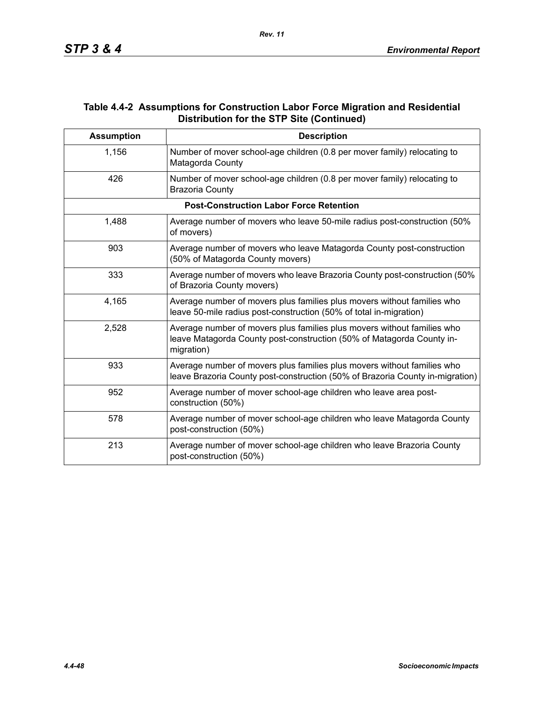## **Table 4.4-2 Assumptions for Construction Labor Force Migration and Residential Distribution for the STP Site (Continued)**

| <b>Assumption</b> | <b>Description</b>                                                                                                                                             |
|-------------------|----------------------------------------------------------------------------------------------------------------------------------------------------------------|
| 1,156             | Number of mover school-age children (0.8 per mover family) relocating to<br>Matagorda County                                                                   |
| 426               | Number of mover school-age children (0.8 per mover family) relocating to<br><b>Brazoria County</b>                                                             |
|                   | <b>Post-Construction Labor Force Retention</b>                                                                                                                 |
| 1,488             | Average number of movers who leave 50-mile radius post-construction (50%<br>of movers)                                                                         |
| 903               | Average number of movers who leave Matagorda County post-construction<br>(50% of Matagorda County movers)                                                      |
| 333               | Average number of movers who leave Brazoria County post-construction (50%<br>of Brazoria County movers)                                                        |
| 4,165             | Average number of movers plus families plus movers without families who<br>leave 50-mile radius post-construction (50% of total in-migration)                  |
| 2,528             | Average number of movers plus families plus movers without families who<br>leave Matagorda County post-construction (50% of Matagorda County in-<br>migration) |
| 933               | Average number of movers plus families plus movers without families who<br>leave Brazoria County post-construction (50% of Brazoria County in-migration)       |
| 952               | Average number of mover school-age children who leave area post-<br>construction (50%)                                                                         |
| 578               | Average number of mover school-age children who leave Matagorda County<br>post-construction (50%)                                                              |
| 213               | Average number of mover school-age children who leave Brazoria County<br>post-construction (50%)                                                               |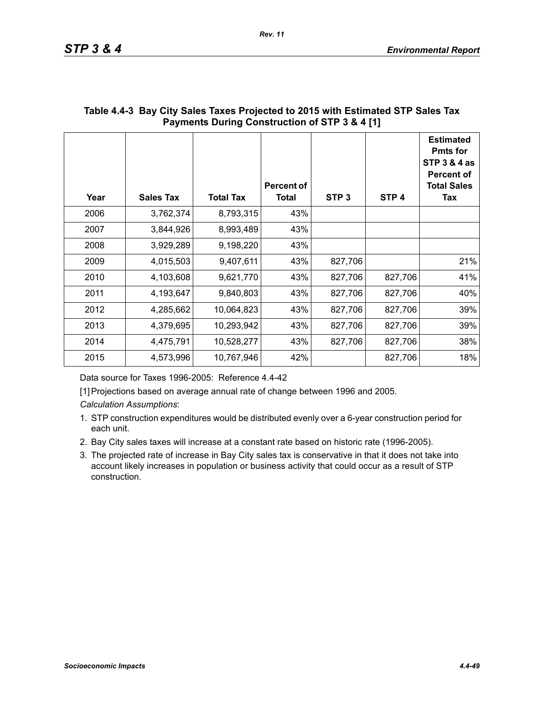| Year | <b>Sales Tax</b> | <b>Total Tax</b> | <b>Percent of</b><br>Total | STP <sub>3</sub> | STP <sub>4</sub> | <b>Estimated</b><br><b>Pmts for</b><br>STP 3 & 4 as<br><b>Percent of</b><br><b>Total Sales</b><br>Tax |
|------|------------------|------------------|----------------------------|------------------|------------------|-------------------------------------------------------------------------------------------------------|
| 2006 | 3,762,374        | 8,793,315        | 43%                        |                  |                  |                                                                                                       |
| 2007 | 3,844,926        | 8,993,489        | 43%                        |                  |                  |                                                                                                       |
| 2008 | 3,929,289        | 9,198,220        | 43%                        |                  |                  |                                                                                                       |
| 2009 | 4,015,503        | 9,407,611        | 43%                        | 827,706          |                  | 21%                                                                                                   |
| 2010 | 4,103,608        | 9,621,770        | 43%                        | 827,706          | 827,706          | 41%                                                                                                   |
| 2011 | 4,193,647        | 9,840,803        | 43%                        | 827,706          | 827,706          | 40%                                                                                                   |
| 2012 | 4,285,662        | 10,064,823       | 43%                        | 827,706          | 827,706          | 39%                                                                                                   |
| 2013 | 4,379,695        | 10,293,942       | 43%                        | 827,706          | 827,706          | 39%                                                                                                   |
| 2014 | 4,475,791        | 10,528,277       | 43%                        | 827,706          | 827,706          | 38%                                                                                                   |
| 2015 | 4,573,996        | 10,767,946       | 42%                        |                  | 827,706          | 18%                                                                                                   |

## **Table 4.4-3 Bay City Sales Taxes Projected to 2015 with Estimated STP Sales Tax Payments During Construction of STP 3 & 4 [1]**

Data source for Taxes 1996-2005: Reference 4.4-42

[1] Projections based on average annual rate of change between 1996 and 2005.

*Calculation Assumptions*:

- 1. STP construction expenditures would be distributed evenly over a 6-year construction period for each unit.
- 2. Bay City sales taxes will increase at a constant rate based on historic rate (1996-2005).
- 3. The projected rate of increase in Bay City sales tax is conservative in that it does not take into account likely increases in population or business activity that could occur as a result of STP construction.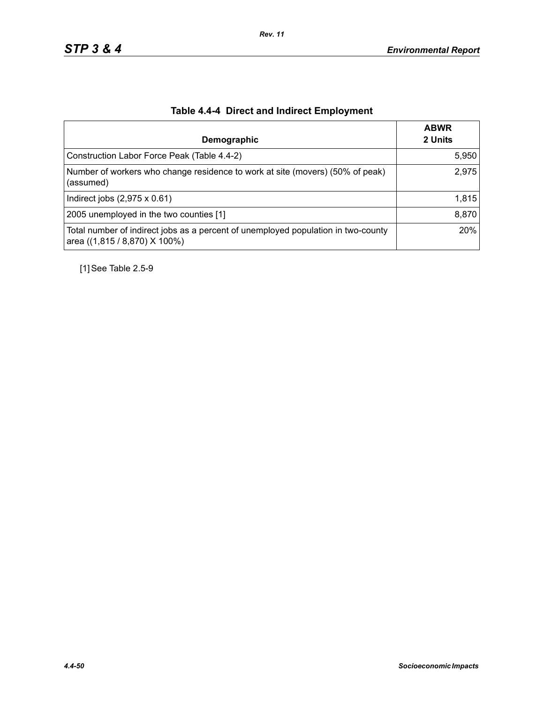| Demographic                                                                                                        | <b>ABWR</b><br>2 Units |
|--------------------------------------------------------------------------------------------------------------------|------------------------|
| Construction Labor Force Peak (Table 4.4-2)                                                                        | 5,950                  |
| Number of workers who change residence to work at site (movers) (50% of peak)<br>(assumed)                         | 2,975                  |
| Indirect jobs $(2,975 \times 0.61)$                                                                                | 1,815                  |
| 2005 unemployed in the two counties [1]                                                                            | 8,870                  |
| Total number of indirect jobs as a percent of unemployed population in two-county<br>area ((1,815 / 8,870) X 100%) | 20%                    |

# **Table 4.4-4 Direct and Indirect Employment**

[1] See Table 2.5-9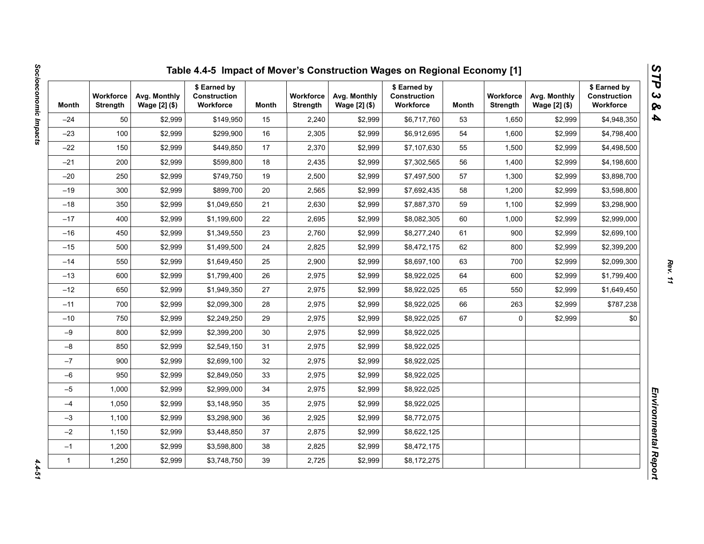| Month        | <b>Workforce</b><br><b>Strength</b> | Avg. Monthly<br>Wage [2] (\$) | \$ Earned by<br>Construction<br>Workforce | Month | <b>Workforce</b><br><b>Strength</b> | Avg. Monthly<br>Wage [2] (\$) | \$ Earned by<br><b>Construction</b><br>Workforce | Month | <b>Workforce</b><br><b>Strength</b> | Avg. Monthly<br>Wage [2] (\$) | \$ Earned by<br>Construction<br>Workforce |
|--------------|-------------------------------------|-------------------------------|-------------------------------------------|-------|-------------------------------------|-------------------------------|--------------------------------------------------|-------|-------------------------------------|-------------------------------|-------------------------------------------|
| $-24$        | 50                                  | \$2,999                       | \$149,950                                 | 15    | 2,240                               | \$2,999                       | \$6,717,760                                      | 53    | 1,650                               | \$2,999                       | \$4,948,350                               |
| $-23$        | 100                                 | \$2,999                       | \$299,900                                 | 16    | 2,305                               | \$2,999                       | \$6,912,695                                      | 54    | 1,600                               | \$2,999                       | \$4,798,400                               |
| $-22$        | 150                                 | \$2,999                       | \$449,850                                 | 17    | 2,370                               | \$2,999                       | \$7,107,630                                      | 55    | 1,500                               | \$2,999                       | \$4,498,500                               |
| $-21$        | 200                                 | \$2,999                       | \$599,800                                 | 18    | 2,435                               | \$2,999                       | \$7,302,565                                      | 56    | 1,400                               | \$2,999                       | \$4,198,600                               |
| $-20$        | 250                                 | \$2,999                       | \$749,750                                 | 19    | 2,500                               | \$2,999                       | \$7,497,500                                      | 57    | 1,300                               | \$2,999                       | \$3,898,700                               |
| $-19$        | 300                                 | \$2,999                       | \$899.700                                 | 20    | 2,565                               | \$2,999                       | \$7,692,435                                      | 58    | 1,200                               | \$2,999                       | \$3,598,800                               |
| $-18$        | 350                                 | \$2,999                       | \$1,049,650                               | 21    | 2,630                               | \$2,999                       | \$7,887,370                                      | 59    | 1,100                               | \$2,999                       | \$3,298,900                               |
| $-17$        | 400                                 | \$2,999                       | \$1,199,600                               | 22    | 2,695                               | \$2,999                       | \$8,082,305                                      | 60    | 1,000                               | \$2,999                       | \$2,999,000                               |
| $-16$        | 450                                 | \$2,999                       | \$1,349,550                               | 23    | 2,760                               | \$2,999                       | \$8,277,240                                      | 61    | 900                                 | \$2,999                       | \$2,699,100                               |
| $-15$        | 500                                 | \$2,999                       | \$1,499,500                               | 24    | 2,825                               | \$2,999                       | \$8,472,175                                      | 62    | 800                                 | \$2,999                       | \$2,399,200                               |
| $-14$        | 550                                 | \$2,999                       | \$1,649,450                               | 25    | 2,900                               | \$2,999                       | \$8,697,100                                      | 63    | 700                                 | \$2,999                       | \$2,099,300                               |
| $-13$        | 600                                 | \$2,999                       | \$1,799,400                               | 26    | 2,975                               | \$2,999                       | \$8,922,025                                      | 64    | 600                                 | \$2,999                       | \$1,799,400                               |
| $-12$        | 650                                 | \$2,999                       | \$1,949,350                               | 27    | 2,975                               | \$2,999                       | \$8,922,025                                      | 65    | 550                                 | \$2,999                       | \$1,649,450                               |
| $-11$        | 700                                 | \$2,999                       | \$2,099,300                               | 28    | 2,975                               | \$2,999                       | \$8,922,025                                      | 66    | 263                                 | \$2,999                       | \$787,238                                 |
| $-10$        | 750                                 | \$2,999                       | \$2,249,250                               | 29    | 2,975                               | \$2,999                       | \$8,922,025                                      | 67    | 0                                   | \$2,999                       | \$0                                       |
| $-9$         | 800                                 | \$2,999                       | \$2,399,200                               | 30    | 2,975                               | \$2,999                       | \$8,922,025                                      |       |                                     |                               |                                           |
| $-8$         | 850                                 | \$2,999                       | \$2,549,150                               | 31    | 2,975                               | \$2,999                       | \$8,922,025                                      |       |                                     |                               |                                           |
| $-7$         | 900                                 | \$2,999                       | \$2,699,100                               | 32    | 2,975                               | \$2,999                       | \$8,922,025                                      |       |                                     |                               |                                           |
| $-6$         | 950                                 | \$2,999                       | \$2,849,050                               | 33    | 2,975                               | \$2,999                       | \$8,922,025                                      |       |                                     |                               |                                           |
| $-5$         | 1,000                               | \$2,999                       | \$2,999,000                               | 34    | 2,975                               | \$2,999                       | \$8,922,025                                      |       |                                     |                               |                                           |
| $-4$         | 1,050                               | \$2,999                       | \$3,148,950                               | 35    | 2,975                               | \$2,999                       | \$8,922,025                                      |       |                                     |                               |                                           |
| $-3$         | 1,100                               | \$2,999                       | \$3,298,900                               | 36    | 2,925                               | \$2,999                       | \$8,772,075                                      |       |                                     |                               |                                           |
| $-2$         | 1,150                               | \$2,999                       | \$3,448,850                               | 37    | 2,875                               | \$2,999                       | \$8,622,125                                      |       |                                     |                               |                                           |
| $-1$         | 1,200                               | \$2,999                       | \$3,598,800                               | 38    | 2,825                               | \$2,999                       | \$8,472,175                                      |       |                                     |                               |                                           |
| $\mathbf{1}$ | 1,250                               | \$2,999                       | \$3,748,750                               | 39    | 2,725                               | \$2,999                       | \$8,172,275                                      |       |                                     |                               |                                           |

 $4.4 - 51$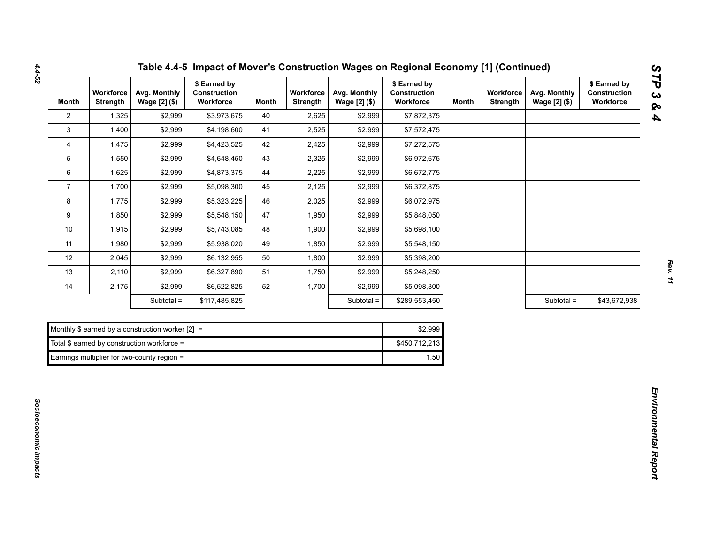| <b>Month</b>   | Workforce<br><b>Strength</b> | Avg. Monthly<br>Wage [2] (\$)                      | \$ Earned by<br>Construction<br>Workforce | <b>Month</b> | Workforce<br><b>Strength</b> | Avg. Monthly<br>Wage [2] (\$) | \$ Earned by<br>Construction<br>Workforce | <b>Month</b> | Workforce<br><b>Strength</b> | Avg. Monthly<br>Wage [2] (\$) | \$ Earned by<br>Construction<br>Workforce |
|----------------|------------------------------|----------------------------------------------------|-------------------------------------------|--------------|------------------------------|-------------------------------|-------------------------------------------|--------------|------------------------------|-------------------------------|-------------------------------------------|
| $\mathbf{2}$   | 1,325                        | \$2,999                                            | \$3,973,675                               | 40           | 2,625                        | \$2,999                       | \$7,872,375                               |              |                              |                               |                                           |
| 3              | 1,400                        | \$2,999                                            | \$4,198,600                               | 41           | 2,525                        | \$2,999                       | \$7,572,475                               |              |                              |                               |                                           |
| 4              | 1,475                        | \$2,999                                            | \$4,423,525                               | 42           | 2,425                        | \$2,999                       | \$7,272,575                               |              |                              |                               |                                           |
| 5              | 1,550                        | \$2,999                                            | \$4,648,450                               | 43           | 2,325                        | \$2,999                       | \$6,972,675                               |              |                              |                               |                                           |
| 6              | 1,625                        | \$2,999                                            | \$4,873,375                               | 44           | 2,225                        | \$2,999                       | \$6,672,775                               |              |                              |                               |                                           |
| $\overline{7}$ | 1,700                        | \$2,999                                            | \$5,098,300                               | 45           | 2,125                        | \$2,999                       | \$6,372,875                               |              |                              |                               |                                           |
| 8              | 1,775                        | \$2,999                                            | \$5,323,225                               | 46           | 2,025                        | \$2,999                       | \$6,072,975                               |              |                              |                               |                                           |
| 9              | 1,850                        | \$2,999                                            | \$5,548,150                               | 47           | 1,950                        | \$2,999                       | \$5,848,050                               |              |                              |                               |                                           |
| $10$           | 1,915                        | \$2,999                                            | \$5,743,085                               | 48           | 1,900                        | \$2,999                       | \$5,698,100                               |              |                              |                               |                                           |
| 11             | 1,980                        | \$2,999                                            | \$5,938,020                               | 49           | 1,850                        | \$2,999                       | \$5,548,150                               |              |                              |                               |                                           |
| 12             | 2,045                        | \$2,999                                            | \$6,132,955                               | 50           | 1,800                        | \$2,999                       | \$5,398,200                               |              |                              |                               |                                           |
| 13             | 2,110                        | \$2,999                                            | \$6,327,890                               | 51           | 1,750                        | \$2,999                       | \$5,248,250                               |              |                              |                               |                                           |
| 14             | 2,175                        | \$2,999                                            | \$6,522,825                               | 52           | 1,700                        | \$2,999                       | \$5,098,300                               |              |                              |                               |                                           |
|                |                              | Subtotal =                                         | \$117,485,825                             |              |                              | Subtotal =                    | \$289,553,450                             |              |                              | Subtotal =                    | \$43,672,938                              |
|                |                              |                                                    |                                           |              |                              |                               |                                           |              |                              |                               |                                           |
|                |                              | Monthly \$ earned by a construction worker $[2] =$ |                                           |              |                              |                               | \$2,999                                   |              |                              |                               |                                           |
|                |                              | Total \$ earned by construction workforce =        |                                           |              |                              |                               | \$450,712,213                             |              |                              |                               |                                           |
|                |                              | Earnings multiplier for two-county region =        |                                           |              |                              |                               | 1.50                                      |              |                              |                               |                                           |

| Monthly \$ earned by a construction worker $[2] =$ | \$2.999       |
|----------------------------------------------------|---------------|
| Total $$$ earned by construction workforce =       | \$450.712.213 |
| Earnings multiplier for two-county region $=$      | 1.50          |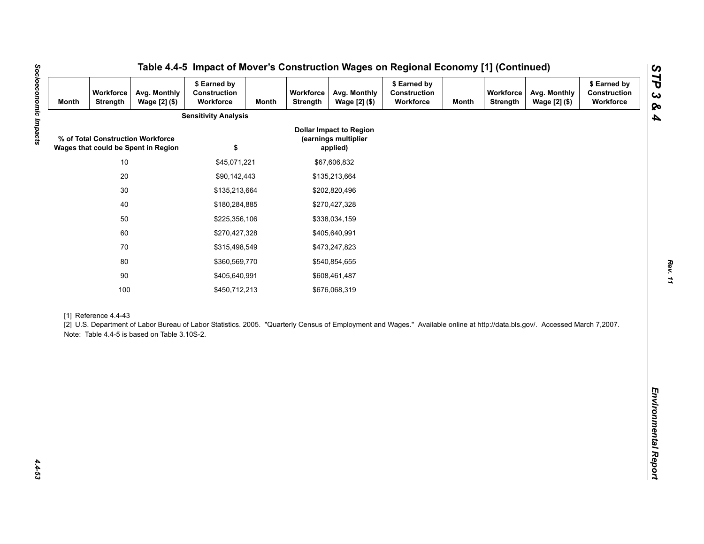| <b>Month</b> | Workforce<br>Strength | Avg. Monthly<br>Wage [2] (\$)                                            | \$ Earned by<br>Construction<br>Workforce                                                                                                                                   | <b>Month</b> | Workforce<br>Strength | Avg. Monthly<br>Wage [2] (\$)                                      | \$ Earned by<br>Construction<br>Workforce | <b>Month</b> | Workforce<br><b>Strength</b> | Avg. Monthly<br>Wage [2] (\$) | \$ Earned by<br>Construction<br>Workforce |
|--------------|-----------------------|--------------------------------------------------------------------------|-----------------------------------------------------------------------------------------------------------------------------------------------------------------------------|--------------|-----------------------|--------------------------------------------------------------------|-------------------------------------------|--------------|------------------------------|-------------------------------|-------------------------------------------|
|              |                       |                                                                          | <b>Sensitivity Analysis</b>                                                                                                                                                 |              |                       |                                                                    |                                           |              |                              |                               |                                           |
|              |                       | % of Total Construction Workforce<br>Wages that could be Spent in Region | \$                                                                                                                                                                          |              |                       | <b>Dollar Impact to Region</b><br>(earnings multiplier<br>applied) |                                           |              |                              |                               |                                           |
|              | $10$                  |                                                                          | \$45,071,221                                                                                                                                                                |              |                       | \$67,606,832                                                       |                                           |              |                              |                               |                                           |
|              | $20\,$                |                                                                          | \$90,142,443                                                                                                                                                                |              |                       | \$135,213,664                                                      |                                           |              |                              |                               |                                           |
|              | $30\,$                |                                                                          | \$135,213,664                                                                                                                                                               |              |                       | \$202,820,496                                                      |                                           |              |                              |                               |                                           |
|              | 40                    |                                                                          | \$180,284,885                                                                                                                                                               |              |                       | \$270,427,328                                                      |                                           |              |                              |                               |                                           |
|              | 50                    |                                                                          | \$225,356,106                                                                                                                                                               |              |                       | \$338,034,159                                                      |                                           |              |                              |                               |                                           |
|              | 60                    |                                                                          | \$270,427,328                                                                                                                                                               |              |                       | \$405,640,991                                                      |                                           |              |                              |                               |                                           |
|              | 70                    |                                                                          | \$315,498,549                                                                                                                                                               |              |                       | \$473,247,823                                                      |                                           |              |                              |                               |                                           |
|              | 80                    |                                                                          | \$360,569,770                                                                                                                                                               |              |                       | \$540,854,655                                                      |                                           |              |                              |                               |                                           |
|              | $90\,$                |                                                                          | \$405,640,991                                                                                                                                                               |              |                       | \$608,461,487                                                      |                                           |              |                              |                               |                                           |
|              | 100                   |                                                                          | \$450,712,213                                                                                                                                                               |              |                       | \$676,068,319                                                      |                                           |              |                              |                               |                                           |
|              | [1] Reference 4.4-43  | Note: Table 4.4-5 is based on Table 3.10S-2.                             | [2] U.S. Department of Labor Bureau of Labor Statistics. 2005. "Quarterly Census of Employment and Wages." Available online at http://data.bls.gov/. Accessed March 7,2007. |              |                       |                                                                    |                                           |              |                              |                               |                                           |
|              |                       |                                                                          |                                                                                                                                                                             |              |                       |                                                                    |                                           |              |                              |                               |                                           |
|              |                       |                                                                          |                                                                                                                                                                             |              |                       |                                                                    |                                           |              |                              |                               |                                           |
|              |                       |                                                                          |                                                                                                                                                                             |              |                       |                                                                    |                                           |              |                              |                               |                                           |
|              |                       |                                                                          |                                                                                                                                                                             |              |                       |                                                                    |                                           |              |                              |                               |                                           |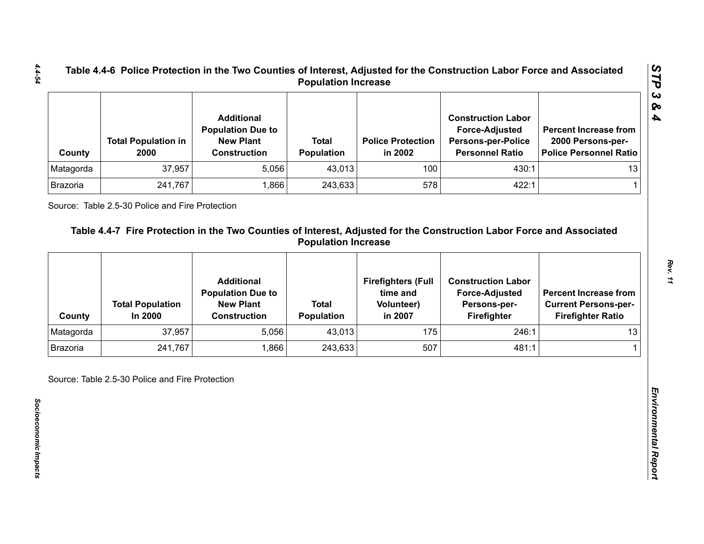| County    | <b>Total Population in</b><br>2000 | <b>Additional</b><br><b>Population Due to</b><br><b>New Plant</b><br><b>Construction</b> | <b>Total</b><br><b>Population</b> | <b>Police Protection</b><br>in 2002 | <b>Construction Labor</b><br><b>Force-Adjusted</b><br><b>Persons-per-Police</b><br><b>Personnel Ratio</b> | <b>Percent Increase from</b><br>2000 Persons-per-<br>Police Personnel Ratio |
|-----------|------------------------------------|------------------------------------------------------------------------------------------|-----------------------------------|-------------------------------------|-----------------------------------------------------------------------------------------------------------|-----------------------------------------------------------------------------|
| Matagorda | 37,957                             | 5,056                                                                                    | 43,013                            | 100                                 | 430:1                                                                                                     | 13                                                                          |
| Brazoria  | 241,767                            | .866                                                                                     | 243,633                           | 578                                 | 422:1                                                                                                     |                                                                             |

|                 | 2000                               | <b>New Plant</b><br><b>Construction</b>       | <b>Total</b><br>Population | <b>Police Protection</b><br>in 2002   | <b>Force-Adjusted</b><br><b>Persons-per-Police</b><br><b>Personnel Ratio</b> | <b>Percent Increase from</b><br>2000 Persons-per-<br><b>Police Personnel Ratio</b> |
|-----------------|------------------------------------|-----------------------------------------------|----------------------------|---------------------------------------|------------------------------------------------------------------------------|------------------------------------------------------------------------------------|
| Matagorda       | 37,957                             | 5,056                                         | 43,013                     | 100                                   | 430:1                                                                        | 13                                                                                 |
| Brazoria        | 241,767                            | 1,866                                         | 243,633                    | 578                                   | 422:1                                                                        | 1                                                                                  |
|                 |                                    | <b>Additional</b><br><b>Population Due to</b> | <b>Total</b>               | <b>Firefighters (Full</b><br>time and | <b>Construction Labor</b><br><b>Force-Adjusted</b>                           | <b>Percent Increase from</b>                                                       |
| County          | <b>Total Population</b><br>In 2000 | <b>New Plant</b><br><b>Construction</b>       | <b>Population</b>          | <b>Volunteer)</b><br>in 2007          | Persons-per-<br>Firefighter                                                  | <b>Current Persons-per-</b><br><b>Firefighter Ratio</b>                            |
| Matagorda       | 37,957                             | 5,056                                         | 43,013                     | 175                                   | 246:1                                                                        | 13                                                                                 |
| <b>Brazoria</b> | 241,767                            | 1,866                                         | 243,633                    | 507                                   | 481:1                                                                        |                                                                                    |

*4.4-54*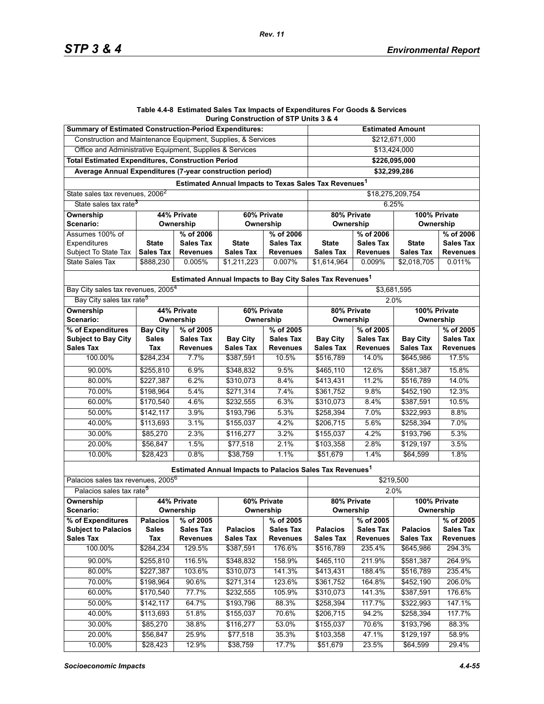#### **Table 4.4-8 Estimated Sales Tax Impacts of Expenditures For Goods & Services During Construction of STP Units 3 & 4**

| <b>Summary of Estimated Construction-Period Expenditures:</b> |                     |                                     | <b>Estimated Amount</b>                                              |                                     |                                     |                                     |                                     |                                     |  |  |
|---------------------------------------------------------------|---------------------|-------------------------------------|----------------------------------------------------------------------|-------------------------------------|-------------------------------------|-------------------------------------|-------------------------------------|-------------------------------------|--|--|
| Construction and Maintenance Equipment, Supplies, & Services  |                     |                                     | \$212,671,000                                                        |                                     |                                     |                                     |                                     |                                     |  |  |
| Office and Administrative Equipment, Supplies & Services      |                     |                                     | \$13,424,000                                                         |                                     |                                     |                                     |                                     |                                     |  |  |
| <b>Total Estimated Expenditures, Construction Period</b>      |                     |                                     | \$226,095,000                                                        |                                     |                                     |                                     |                                     |                                     |  |  |
| Average Annual Expenditures (7-year construction period)      |                     |                                     | \$32.299.286                                                         |                                     |                                     |                                     |                                     |                                     |  |  |
|                                                               |                     |                                     | Estimated Annual Impacts to Texas Sales Tax Revenues <sup>1</sup>    |                                     |                                     |                                     |                                     |                                     |  |  |
| State sales tax revenues, 2006 <sup>2</sup>                   |                     |                                     | \$18,275,209,754                                                     |                                     |                                     |                                     |                                     |                                     |  |  |
| State sales tax rate <sup>3</sup>                             |                     |                                     | 6.25%                                                                |                                     |                                     |                                     |                                     |                                     |  |  |
| <b>Ownership</b>                                              | 60% Private         |                                     | 80% Private<br>100% Private                                          |                                     |                                     |                                     |                                     |                                     |  |  |
| Scenario:                                                     | Ownership           |                                     | Ownership                                                            |                                     | Ownership                           |                                     | Ownership                           |                                     |  |  |
| Assumes 100% of                                               | % of 2006           |                                     | % of 2006                                                            |                                     | % of 2006                           |                                     | % of 2006                           |                                     |  |  |
| Expenditures                                                  | <b>State</b>        | <b>Sales Tax</b>                    | <b>State</b>                                                         | <b>Sales Tax</b>                    | <b>State</b>                        | <b>Sales Tax</b>                    | <b>State</b>                        | <b>Sales Tax</b>                    |  |  |
| Subject To State Tax                                          | <b>Sales Tax</b>    | <b>Revenues</b>                     | <b>Sales Tax</b>                                                     | <b>Revenues</b>                     | <b>Sales Tax</b>                    | <b>Revenues</b>                     | <b>Sales Tax</b>                    | <b>Revenues</b>                     |  |  |
| State Sales Tax                                               | \$888,230           | 0.005%                              | \$1,211,223                                                          | 0.007%                              | \$1,614,964                         | 0.009%                              | \$2,018,705                         | 0.011%                              |  |  |
|                                                               |                     |                                     | Estimated Annual Impacts to Bay City Sales Tax Revenues <sup>1</sup> |                                     |                                     |                                     |                                     |                                     |  |  |
| Bay City sales tax revenues, 2005 <sup>4</sup>                |                     |                                     |                                                                      |                                     | \$3,681,595                         |                                     |                                     |                                     |  |  |
| Bay City sales tax rate <sup>5</sup>                          |                     |                                     |                                                                      |                                     |                                     | 2.0%                                |                                     |                                     |  |  |
| Ownership                                                     | 44% Private         |                                     | 60% Private                                                          |                                     | 80% Private                         |                                     | 100% Private                        |                                     |  |  |
| Scenario:                                                     |                     | Ownership                           | Ownership                                                            |                                     | Ownership                           |                                     | Ownership                           |                                     |  |  |
| % of Expenditures                                             | <b>Bay City</b>     | % of 2005                           |                                                                      | % of 2005                           |                                     | % of 2005                           |                                     | % of 2005                           |  |  |
| <b>Subject to Bay City</b><br><b>Sales Tax</b>                | <b>Sales</b><br>Tax | <b>Sales Tax</b><br><b>Revenues</b> | <b>Bay City</b><br><b>Sales Tax</b>                                  | <b>Sales Tax</b><br><b>Revenues</b> | <b>Bay City</b><br><b>Sales Tax</b> | <b>Sales Tax</b><br><b>Revenues</b> | <b>Bay City</b><br><b>Sales Tax</b> | Sales Tax<br><b>Revenues</b>        |  |  |
| 100.00%                                                       | \$284,234           | 7.7%                                | \$387,591                                                            | 10.5%                               | \$516,789                           | 14.0%                               | \$645,986                           | 17.5%                               |  |  |
|                                                               |                     |                                     |                                                                      |                                     |                                     |                                     |                                     |                                     |  |  |
| 90.00%                                                        | \$255,810           | 6.9%                                | \$348,832                                                            | 9.5%                                | \$465,110                           | 12.6%                               | \$581,387                           | 15.8%                               |  |  |
| 80.00%                                                        | \$227,387           | 6.2%                                | \$310,073                                                            | 8.4%                                | \$413,431                           | 11.2%                               | \$516,789                           | 14.0%                               |  |  |
| 70.00%                                                        | \$198,964           | 5.4%                                | \$271,314                                                            | 7.4%                                | \$361,752                           | 9.8%                                | \$452,190                           | 12.3%                               |  |  |
| 60.00%                                                        | \$170,540           | 4.6%                                | \$232,555                                                            | 6.3%                                | \$310,073                           | 8.4%                                | \$387,591                           | 10.5%                               |  |  |
| 50.00%                                                        | \$142,117           | 3.9%                                | \$193,796                                                            | 5.3%                                | \$258,394                           | 7.0%                                | \$322,993                           | 8.8%                                |  |  |
| 40.00%                                                        | \$113,693           | 3.1%                                | \$155,037                                                            | 4.2%                                | \$206,715                           | 5.6%                                | \$258,394                           | 7.0%                                |  |  |
| 30.00%                                                        | \$85,270            | 2.3%                                | \$116,277                                                            | 3.2%                                | \$155,037                           | 4.2%                                | \$193,796                           | 5.3%                                |  |  |
| 20.00%                                                        | \$56,847            | 1.5%                                | \$77,518                                                             | 2.1%                                | \$103,358                           | 2.8%                                | \$129,197                           | 3.5%                                |  |  |
| 10.00%                                                        | \$28,423            | 0.8%                                | \$38,759                                                             | 1.1%                                | \$51,679                            | 1.4%                                | \$64,599                            | 1.8%                                |  |  |
|                                                               |                     |                                     | Estimated Annual Impacts to Palacios Sales Tax Revenues <sup>1</sup> |                                     |                                     |                                     |                                     |                                     |  |  |
| Palacios sales tax revenues, 2005 <sup>6</sup>                |                     |                                     |                                                                      |                                     | \$219,500                           |                                     |                                     |                                     |  |  |
| Palacios sales tax rate <sup>5</sup>                          |                     |                                     |                                                                      |                                     | 2.0%                                |                                     |                                     |                                     |  |  |
| 44% Private<br>Ownership                                      |                     | 60% Private                         |                                                                      | 80% Private                         |                                     | 100% Private                        |                                     |                                     |  |  |
| Scenario:                                                     | Ownership           |                                     | Ownership                                                            |                                     | Ownership                           |                                     | Ownership                           |                                     |  |  |
| % of Expenditures                                             | <b>Palacios</b>     | % of 2005                           |                                                                      | % of 2005                           |                                     | % of 2005                           |                                     | % of 2005                           |  |  |
| <b>Subject to Palacios</b><br><b>Sales Tax</b>                | <b>Sales</b><br>Tax | <b>Sales Tax</b><br><b>Revenues</b> | <b>Palacios</b><br><b>Sales Tax</b>                                  | <b>Sales Tax</b><br><b>Revenues</b> | <b>Palacios</b><br><b>Sales Tax</b> | <b>Sales Tax</b><br><b>Revenues</b> | <b>Palacios</b><br><b>Sales Tax</b> | <b>Sales Tax</b><br><b>Revenues</b> |  |  |
| 100.00%                                                       |                     | 129.5%                              |                                                                      | 176.6%                              | \$516,789                           | 235.4%                              |                                     | 294.3%                              |  |  |
|                                                               | \$284,234           |                                     | \$387,591                                                            |                                     |                                     |                                     | \$645,986                           |                                     |  |  |
| 90.00%                                                        | \$255,810           | 116.5%                              | \$348,832                                                            | 158.9%                              | \$465,110                           | 211.9%                              | \$581,387                           | 264.9%                              |  |  |
| 80.00%                                                        | \$227,387           | 103.6%                              | \$310,073                                                            | 141.3%                              | \$413,431                           | 188.4%                              | \$516,789                           | 235.4%                              |  |  |
| 70.00%                                                        | \$198,964           | 90.6%                               | \$271,314                                                            | 123.6%                              | \$361,752                           | 164.8%                              | \$452,190                           | 206.0%                              |  |  |
| 60.00%                                                        | \$170,540           | 77.7%                               | \$232,555                                                            | 105.9%                              | \$310,073                           | 141.3%                              | \$387,591                           | 176.6%                              |  |  |
| 50.00%                                                        | \$142,117           | 64.7%                               | \$193,796                                                            | 88.3%                               | \$258,394                           | 117.7%                              | \$322,993                           | 147.1%                              |  |  |
| 40.00%                                                        | \$113,693           | 51.8%                               | \$155,037                                                            | 70.6%                               | \$206,715                           | 94.2%                               | \$258,394                           | 117.7%                              |  |  |
| 30.00%                                                        | \$85,270            | 38.8%                               | \$116,277                                                            | 53.0%                               | \$155,037                           | 70.6%                               | \$193,796                           | 88.3%                               |  |  |
| 20.00%                                                        | \$56,847            | 25.9%                               | \$77,518                                                             | 35.3%                               | \$103,358                           | 47.1%                               | \$129,197                           | 58.9%                               |  |  |
| 10.00%                                                        | \$28,423            | 12.9%                               | \$38,759                                                             | 17.7%                               | \$51,679                            | 23.5%                               | \$64,599                            | 29.4%                               |  |  |